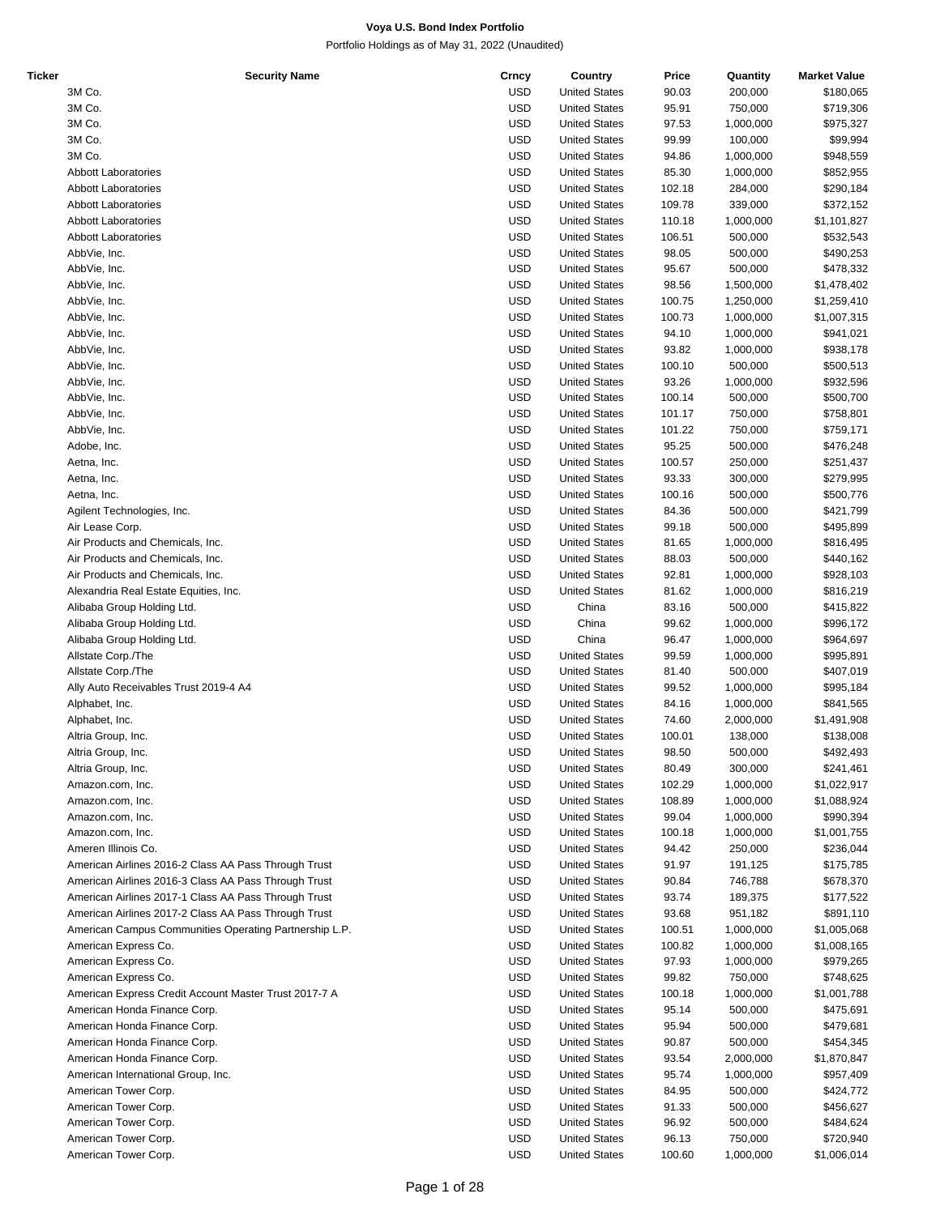| Ticker | <b>Security Name</b>                                   | Crncy      | Country              | Price  | Quantity  | <b>Market Value</b> |
|--------|--------------------------------------------------------|------------|----------------------|--------|-----------|---------------------|
|        | 3M Co.                                                 | <b>USD</b> | <b>United States</b> | 90.03  | 200,000   | \$180,065           |
|        | 3M Co.                                                 | <b>USD</b> | <b>United States</b> | 95.91  | 750,000   | \$719,306           |
|        | 3M Co.                                                 | <b>USD</b> | <b>United States</b> | 97.53  | 1,000,000 | \$975,327           |
|        | 3M Co.                                                 | <b>USD</b> | <b>United States</b> | 99.99  | 100,000   | \$99,994            |
|        | 3M Co.                                                 | <b>USD</b> | <b>United States</b> | 94.86  | 1,000,000 | \$948,559           |
|        |                                                        |            |                      |        |           |                     |
|        | <b>Abbott Laboratories</b>                             | <b>USD</b> | <b>United States</b> | 85.30  | 1,000,000 | \$852,955           |
|        | <b>Abbott Laboratories</b>                             | <b>USD</b> | <b>United States</b> | 102.18 | 284,000   | \$290,184           |
|        | <b>Abbott Laboratories</b>                             | <b>USD</b> | <b>United States</b> | 109.78 | 339,000   | \$372,152           |
|        | <b>Abbott Laboratories</b>                             | <b>USD</b> | <b>United States</b> | 110.18 | 1,000,000 | \$1,101,827         |
|        | <b>Abbott Laboratories</b>                             | <b>USD</b> | <b>United States</b> | 106.51 | 500,000   | \$532,543           |
|        | AbbVie, Inc.                                           | <b>USD</b> | <b>United States</b> | 98.05  | 500,000   | \$490,253           |
|        | AbbVie, Inc.                                           | <b>USD</b> | <b>United States</b> | 95.67  | 500,000   | \$478,332           |
|        | AbbVie, Inc.                                           | <b>USD</b> | <b>United States</b> | 98.56  | 1,500,000 | \$1,478,402         |
|        |                                                        | <b>USD</b> |                      |        |           |                     |
|        | AbbVie, Inc.                                           |            | <b>United States</b> | 100.75 | 1,250,000 | \$1,259,410         |
|        | AbbVie, Inc.                                           | <b>USD</b> | <b>United States</b> | 100.73 | 1,000,000 | \$1,007,315         |
|        | AbbVie, Inc.                                           | <b>USD</b> | <b>United States</b> | 94.10  | 1,000,000 | \$941,021           |
|        | AbbVie, Inc.                                           | <b>USD</b> | <b>United States</b> | 93.82  | 1,000,000 | \$938,178           |
|        | AbbVie, Inc.                                           | <b>USD</b> | <b>United States</b> | 100.10 | 500,000   | \$500,513           |
|        | AbbVie, Inc.                                           | <b>USD</b> | <b>United States</b> | 93.26  | 1,000,000 | \$932,596           |
|        | AbbVie, Inc.                                           | <b>USD</b> | <b>United States</b> | 100.14 | 500,000   | \$500,700           |
|        | AbbVie, Inc.                                           | <b>USD</b> | <b>United States</b> | 101.17 | 750,000   | \$758,801           |
|        | AbbVie, Inc.                                           | <b>USD</b> | <b>United States</b> | 101.22 | 750,000   | \$759,171           |
|        |                                                        |            |                      |        |           |                     |
|        | Adobe, Inc.                                            | <b>USD</b> | <b>United States</b> | 95.25  | 500,000   | \$476,248           |
|        | Aetna, Inc.                                            | <b>USD</b> | <b>United States</b> | 100.57 | 250,000   | \$251,437           |
|        | Aetna, Inc.                                            | <b>USD</b> | <b>United States</b> | 93.33  | 300,000   | \$279,995           |
|        | Aetna, Inc.                                            | <b>USD</b> | <b>United States</b> | 100.16 | 500,000   | \$500,776           |
|        | Agilent Technologies, Inc.                             | <b>USD</b> | <b>United States</b> | 84.36  | 500,000   | \$421,799           |
|        | Air Lease Corp.                                        | <b>USD</b> | <b>United States</b> | 99.18  | 500,000   | \$495,899           |
|        | Air Products and Chemicals, Inc.                       | <b>USD</b> | <b>United States</b> | 81.65  | 1,000,000 | \$816,495           |
|        | Air Products and Chemicals, Inc.                       | <b>USD</b> | <b>United States</b> | 88.03  | 500,000   | \$440,162           |
|        |                                                        |            |                      |        |           |                     |
|        | Air Products and Chemicals, Inc.                       | <b>USD</b> | <b>United States</b> | 92.81  | 1,000,000 | \$928,103           |
|        | Alexandria Real Estate Equities, Inc.                  | <b>USD</b> | <b>United States</b> | 81.62  | 1,000,000 | \$816,219           |
|        | Alibaba Group Holding Ltd.                             | <b>USD</b> | China                | 83.16  | 500,000   | \$415,822           |
|        | Alibaba Group Holding Ltd.                             | <b>USD</b> | China                | 99.62  | 1,000,000 | \$996,172           |
|        | Alibaba Group Holding Ltd.                             | <b>USD</b> | China                | 96.47  | 1,000,000 | \$964,697           |
|        | Allstate Corp./The                                     | <b>USD</b> | <b>United States</b> | 99.59  | 1,000,000 | \$995,891           |
|        | Allstate Corp./The                                     | <b>USD</b> | <b>United States</b> | 81.40  | 500,000   | \$407,019           |
|        | Ally Auto Receivables Trust 2019-4 A4                  | <b>USD</b> | <b>United States</b> | 99.52  | 1,000,000 | \$995,184           |
|        |                                                        | <b>USD</b> |                      |        |           |                     |
|        | Alphabet, Inc.                                         |            | <b>United States</b> | 84.16  | 1,000,000 | \$841,565           |
|        | Alphabet, Inc.                                         | <b>USD</b> | <b>United States</b> | 74.60  | 2,000,000 | \$1,491,908         |
|        | Altria Group, Inc.                                     | <b>USD</b> | <b>United States</b> | 100.01 | 138,000   | \$138,008           |
|        | Altria Group, Inc.                                     | <b>USD</b> | <b>United States</b> | 98.50  | 500,000   | \$492,493           |
|        | Altria Group, Inc.                                     | <b>USD</b> | <b>United States</b> | 80.49  | 300,000   | \$241,461           |
|        | Amazon.com, Inc.                                       | <b>USD</b> | <b>United States</b> | 102.29 | 1,000,000 | \$1,022,917         |
|        | Amazon.com, Inc.                                       | <b>USD</b> | <b>United States</b> | 108.89 | 1,000,000 | \$1,088,924         |
|        | Amazon.com, Inc.                                       | <b>USD</b> | <b>United States</b> | 99.04  | 1,000,000 | \$990,394           |
|        | Amazon.com, Inc.                                       | <b>USD</b> | <b>United States</b> | 100.18 | 1,000,000 | \$1,001,755         |
|        | Ameren Illinois Co.                                    |            |                      |        |           |                     |
|        |                                                        | <b>USD</b> | <b>United States</b> | 94.42  | 250,000   | \$236,044           |
|        | American Airlines 2016-2 Class AA Pass Through Trust   | <b>USD</b> | <b>United States</b> | 91.97  | 191,125   | \$175,785           |
|        | American Airlines 2016-3 Class AA Pass Through Trust   | <b>USD</b> | <b>United States</b> | 90.84  | 746,788   | \$678,370           |
|        | American Airlines 2017-1 Class AA Pass Through Trust   | <b>USD</b> | <b>United States</b> | 93.74  | 189,375   | \$177,522           |
|        | American Airlines 2017-2 Class AA Pass Through Trust   | <b>USD</b> | <b>United States</b> | 93.68  | 951,182   | \$891,110           |
|        | American Campus Communities Operating Partnership L.P. | <b>USD</b> | <b>United States</b> | 100.51 | 1,000,000 | \$1,005,068         |
|        | American Express Co.                                   | <b>USD</b> | <b>United States</b> | 100.82 | 1,000,000 | \$1,008,165         |
|        | American Express Co.                                   | <b>USD</b> | <b>United States</b> | 97.93  | 1,000,000 | \$979,265           |
|        |                                                        | <b>USD</b> |                      |        |           |                     |
|        | American Express Co.                                   |            | <b>United States</b> | 99.82  | 750,000   | \$748,625           |
|        | American Express Credit Account Master Trust 2017-7 A  | <b>USD</b> | <b>United States</b> | 100.18 | 1,000,000 | \$1,001,788         |
|        | American Honda Finance Corp.                           | <b>USD</b> | <b>United States</b> | 95.14  | 500,000   | \$475,691           |
|        | American Honda Finance Corp.                           | <b>USD</b> | <b>United States</b> | 95.94  | 500,000   | \$479,681           |
|        | American Honda Finance Corp.                           | <b>USD</b> | <b>United States</b> | 90.87  | 500,000   | \$454,345           |
|        | American Honda Finance Corp.                           | <b>USD</b> | <b>United States</b> | 93.54  | 2,000,000 | \$1,870,847         |
|        | American International Group, Inc.                     | <b>USD</b> | <b>United States</b> | 95.74  | 1,000,000 | \$957,409           |
|        | American Tower Corp.                                   | <b>USD</b> | <b>United States</b> | 84.95  | 500,000   | \$424,772           |
|        | American Tower Corp.                                   | <b>USD</b> | <b>United States</b> | 91.33  | 500,000   | \$456,627           |
|        |                                                        |            |                      |        |           |                     |
|        | American Tower Corp.                                   | <b>USD</b> | <b>United States</b> | 96.92  | 500,000   | \$484,624           |
|        | American Tower Corp.                                   | <b>USD</b> | <b>United States</b> | 96.13  | 750,000   | \$720,940           |
|        | American Tower Corp.                                   | <b>USD</b> | <b>United States</b> | 100.60 | 1,000,000 | \$1,006,014         |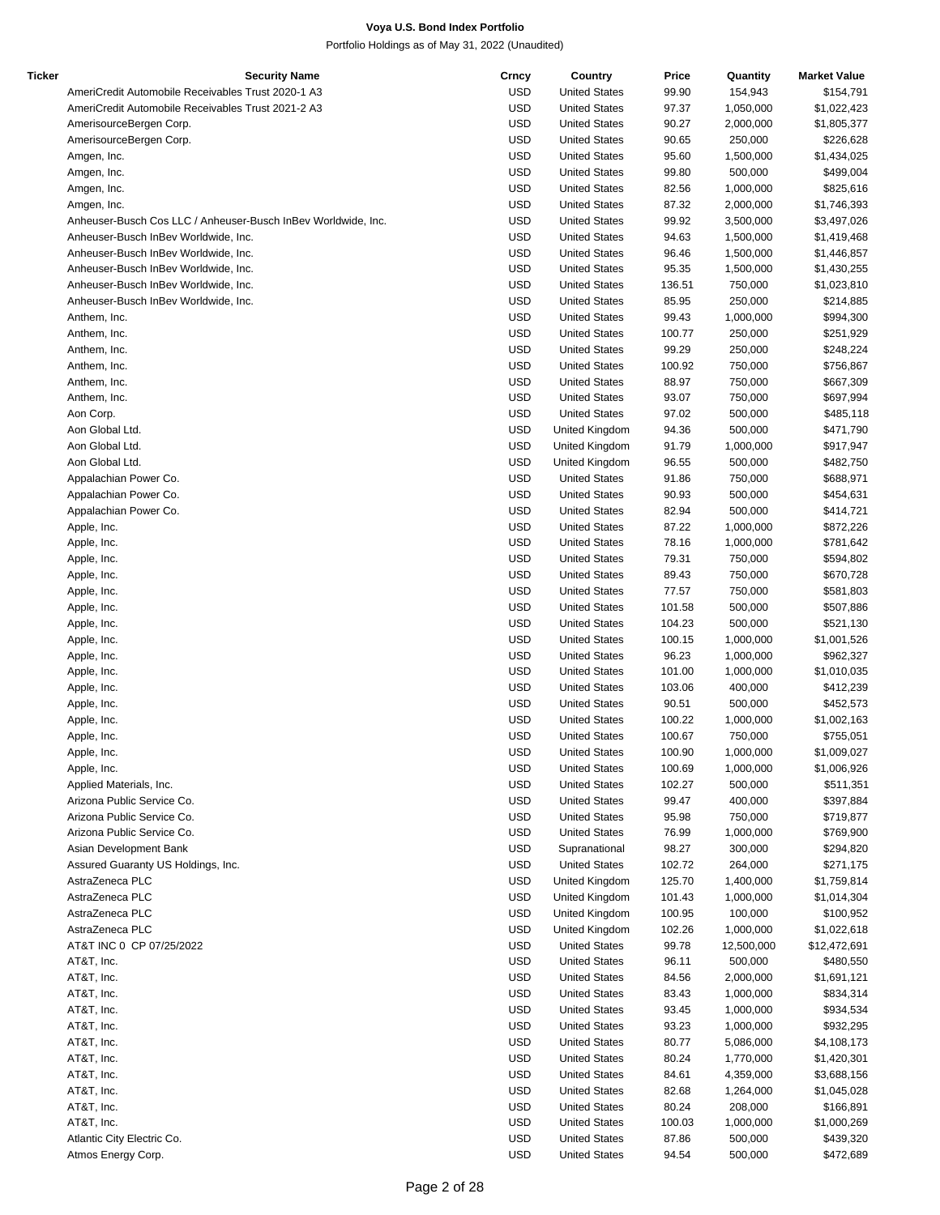| Ticker | <b>Security Name</b>                                          | Crncy      | Country              | Price  | Quantity   | <b>Market Value</b> |
|--------|---------------------------------------------------------------|------------|----------------------|--------|------------|---------------------|
|        | AmeriCredit Automobile Receivables Trust 2020-1 A3            | <b>USD</b> | <b>United States</b> | 99.90  | 154,943    | \$154,791           |
|        | AmeriCredit Automobile Receivables Trust 2021-2 A3            | <b>USD</b> | <b>United States</b> | 97.37  | 1,050,000  | \$1,022,423         |
|        | AmerisourceBergen Corp.                                       | <b>USD</b> | <b>United States</b> | 90.27  | 2,000,000  | \$1,805,377         |
|        | AmerisourceBergen Corp.                                       | <b>USD</b> | <b>United States</b> | 90.65  | 250,000    | \$226,628           |
|        | Amgen, Inc.                                                   | <b>USD</b> | <b>United States</b> | 95.60  | 1,500,000  | \$1,434,025         |
|        | Amgen, Inc.                                                   | <b>USD</b> | <b>United States</b> | 99.80  | 500,000    | \$499,004           |
|        | Amgen, Inc.                                                   | <b>USD</b> | <b>United States</b> | 82.56  | 1,000,000  | \$825,616           |
|        | Amgen, Inc.                                                   | <b>USD</b> | <b>United States</b> | 87.32  | 2,000,000  | \$1,746,393         |
|        | Anheuser-Busch Cos LLC / Anheuser-Busch InBev Worldwide, Inc. | <b>USD</b> | <b>United States</b> | 99.92  | 3,500,000  | \$3,497,026         |
|        | Anheuser-Busch InBev Worldwide, Inc.                          | <b>USD</b> | <b>United States</b> | 94.63  | 1,500,000  | \$1,419,468         |
|        | Anheuser-Busch InBev Worldwide, Inc.                          | <b>USD</b> | <b>United States</b> | 96.46  | 1,500,000  | \$1,446,857         |
|        | Anheuser-Busch InBev Worldwide, Inc.                          | <b>USD</b> | <b>United States</b> | 95.35  | 1,500,000  | \$1,430,255         |
|        | Anheuser-Busch InBev Worldwide, Inc.                          | <b>USD</b> | <b>United States</b> | 136.51 | 750,000    | \$1,023,810         |
|        | Anheuser-Busch InBev Worldwide, Inc.                          | <b>USD</b> | <b>United States</b> | 85.95  | 250,000    | \$214,885           |
|        | Anthem, Inc.                                                  | <b>USD</b> | <b>United States</b> | 99.43  | 1,000,000  | \$994,300           |
|        | Anthem, Inc.                                                  | <b>USD</b> | <b>United States</b> | 100.77 | 250,000    | \$251,929           |
|        | Anthem, Inc.                                                  | <b>USD</b> | <b>United States</b> | 99.29  | 250,000    | \$248,224           |
|        | Anthem, Inc.                                                  | <b>USD</b> | <b>United States</b> | 100.92 | 750,000    | \$756,867           |
|        | Anthem, Inc.                                                  | <b>USD</b> | <b>United States</b> | 88.97  | 750,000    | \$667,309           |
|        | Anthem, Inc.                                                  | <b>USD</b> | <b>United States</b> | 93.07  | 750,000    | \$697,994           |
|        | Aon Corp.                                                     | <b>USD</b> | <b>United States</b> | 97.02  | 500,000    | \$485,118           |
|        | Aon Global Ltd.                                               | <b>USD</b> | United Kingdom       | 94.36  | 500,000    | \$471,790           |
|        | Aon Global Ltd.                                               | <b>USD</b> | United Kingdom       | 91.79  | 1,000,000  | \$917,947           |
|        | Aon Global Ltd.                                               | <b>USD</b> | United Kingdom       | 96.55  | 500,000    | \$482,750           |
|        | Appalachian Power Co.                                         | <b>USD</b> | <b>United States</b> | 91.86  | 750,000    | \$688,971           |
|        | Appalachian Power Co.                                         | <b>USD</b> | <b>United States</b> | 90.93  | 500,000    | \$454,631           |
|        | Appalachian Power Co.                                         | <b>USD</b> | <b>United States</b> | 82.94  | 500,000    | \$414,721           |
|        | Apple, Inc.                                                   | <b>USD</b> | <b>United States</b> | 87.22  | 1,000,000  | \$872,226           |
|        | Apple, Inc.                                                   | <b>USD</b> | <b>United States</b> | 78.16  | 1,000,000  | \$781,642           |
|        | Apple, Inc.                                                   | <b>USD</b> | <b>United States</b> | 79.31  | 750,000    | \$594,802           |
|        | Apple, Inc.                                                   | <b>USD</b> | <b>United States</b> | 89.43  | 750,000    | \$670,728           |
|        | Apple, Inc.                                                   | <b>USD</b> | <b>United States</b> | 77.57  | 750,000    | \$581,803           |
|        | Apple, Inc.                                                   | <b>USD</b> | <b>United States</b> | 101.58 | 500,000    | \$507,886           |
|        | Apple, Inc.                                                   | <b>USD</b> | <b>United States</b> | 104.23 | 500,000    | \$521,130           |
|        | Apple, Inc.                                                   | <b>USD</b> | <b>United States</b> | 100.15 | 1,000,000  | \$1,001,526         |
|        | Apple, Inc.                                                   | <b>USD</b> | <b>United States</b> | 96.23  | 1,000,000  | \$962,327           |
|        | Apple, Inc.                                                   | <b>USD</b> | <b>United States</b> | 101.00 | 1,000,000  | \$1,010,035         |
|        | Apple, Inc.                                                   | <b>USD</b> | <b>United States</b> | 103.06 | 400,000    | \$412,239           |
|        | Apple, Inc.                                                   | <b>USD</b> | <b>United States</b> | 90.51  | 500,000    | \$452,573           |
|        | Apple, Inc.                                                   | <b>USD</b> | <b>United States</b> | 100.22 | 1,000,000  | \$1,002,163         |
|        | Apple, Inc.                                                   | <b>USD</b> | <b>United States</b> | 100.67 | 750,000    | \$755,051           |
|        | Apple, Inc.                                                   | <b>USD</b> | <b>United States</b> | 100.90 | 1,000,000  | \$1,009,027         |
|        | Apple, Inc.                                                   | <b>USD</b> | <b>United States</b> | 100.69 | 1,000,000  | \$1,006,926         |
|        | Applied Materials, Inc.                                       | <b>USD</b> | <b>United States</b> | 102.27 | 500,000    | \$511,351           |
|        | Arizona Public Service Co.                                    | <b>USD</b> | <b>United States</b> | 99.47  | 400,000    | \$397,884           |
|        | Arizona Public Service Co.                                    | <b>USD</b> | <b>United States</b> | 95.98  | 750,000    | \$719,877           |
|        | Arizona Public Service Co.                                    | <b>USD</b> | <b>United States</b> | 76.99  | 1,000,000  | \$769,900           |
|        | Asian Development Bank                                        | <b>USD</b> | Supranational        | 98.27  | 300,000    | \$294,820           |
|        | Assured Guaranty US Holdings, Inc.                            | <b>USD</b> | <b>United States</b> | 102.72 | 264,000    | \$271,175           |
|        | AstraZeneca PLC                                               | <b>USD</b> | United Kingdom       | 125.70 | 1,400,000  | \$1,759,814         |
|        | AstraZeneca PLC                                               | <b>USD</b> | United Kingdom       | 101.43 | 1,000,000  | \$1,014,304         |
|        | AstraZeneca PLC                                               | <b>USD</b> | United Kingdom       | 100.95 | 100,000    | \$100,952           |
|        | AstraZeneca PLC                                               | <b>USD</b> | United Kingdom       | 102.26 | 1,000,000  | \$1,022,618         |
|        | AT&T INC 0 CP 07/25/2022                                      | <b>USD</b> | <b>United States</b> | 99.78  | 12,500,000 | \$12,472,691        |
|        | AT&T, Inc.                                                    | <b>USD</b> | <b>United States</b> | 96.11  | 500,000    | \$480,550           |
|        | AT&T, Inc.                                                    | <b>USD</b> | <b>United States</b> | 84.56  | 2,000,000  | \$1,691,121         |
|        | AT&T, Inc.                                                    | <b>USD</b> | <b>United States</b> | 83.43  | 1,000,000  | \$834,314           |
|        | AT&T, Inc.                                                    | <b>USD</b> | <b>United States</b> | 93.45  | 1,000,000  | \$934,534           |
|        | AT&T, Inc.                                                    | <b>USD</b> | <b>United States</b> | 93.23  | 1,000,000  | \$932,295           |
|        | AT&T, Inc.                                                    | <b>USD</b> | <b>United States</b> | 80.77  | 5,086,000  | \$4,108,173         |
|        | AT&T, Inc.                                                    | <b>USD</b> | <b>United States</b> | 80.24  | 1,770,000  | \$1,420,301         |
|        | AT&T, Inc.                                                    | <b>USD</b> | <b>United States</b> | 84.61  | 4,359,000  | \$3,688,156         |
|        | AT&T, Inc.                                                    | <b>USD</b> | <b>United States</b> | 82.68  | 1,264,000  | \$1,045,028         |
|        | AT&T, Inc.                                                    | <b>USD</b> | <b>United States</b> | 80.24  | 208,000    | \$166,891           |
|        | AT&T, Inc.                                                    | <b>USD</b> | <b>United States</b> | 100.03 | 1,000,000  | \$1,000,269         |
|        | Atlantic City Electric Co.                                    | <b>USD</b> | <b>United States</b> | 87.86  | 500,000    | \$439,320           |
|        | Atmos Energy Corp.                                            | <b>USD</b> | <b>United States</b> | 94.54  | 500,000    | \$472,689           |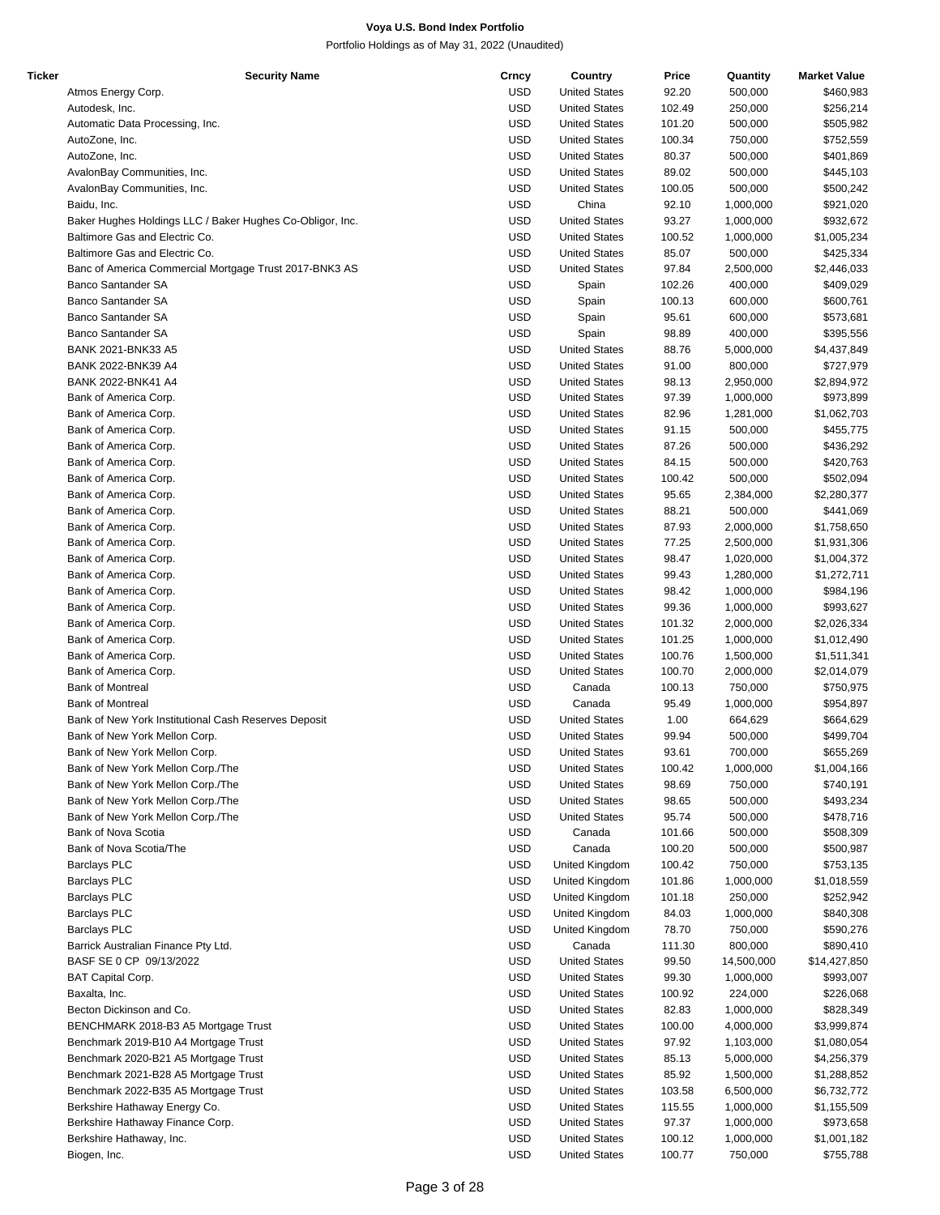| Ticker | <b>Security Name</b>                                      | Crncy      | Country              | Price  | Quantity   | <b>Market Value</b> |
|--------|-----------------------------------------------------------|------------|----------------------|--------|------------|---------------------|
|        | Atmos Energy Corp.                                        | USD        | <b>United States</b> | 92.20  | 500,000    | \$460,983           |
|        | Autodesk, Inc.                                            | <b>USD</b> | <b>United States</b> | 102.49 | 250,000    | \$256,214           |
|        | Automatic Data Processing, Inc.                           | <b>USD</b> | <b>United States</b> | 101.20 | 500,000    | \$505,982           |
|        | AutoZone, Inc.                                            | <b>USD</b> | <b>United States</b> | 100.34 | 750,000    | \$752,559           |
|        | AutoZone, Inc.                                            | <b>USD</b> | <b>United States</b> | 80.37  | 500,000    | \$401,869           |
|        | AvalonBay Communities, Inc.                               | <b>USD</b> | <b>United States</b> | 89.02  | 500,000    | \$445,103           |
|        | AvalonBay Communities, Inc.                               | <b>USD</b> | <b>United States</b> | 100.05 | 500,000    | \$500,242           |
|        | Baidu, Inc.                                               | <b>USD</b> | China                | 92.10  | 1,000,000  | \$921,020           |
|        | Baker Hughes Holdings LLC / Baker Hughes Co-Obligor, Inc. | USD        | <b>United States</b> | 93.27  | 1,000,000  | \$932,672           |
|        | Baltimore Gas and Electric Co.                            | <b>USD</b> | <b>United States</b> | 100.52 | 1,000,000  | \$1,005,234         |
|        | Baltimore Gas and Electric Co.                            | <b>USD</b> | <b>United States</b> | 85.07  | 500,000    | \$425,334           |
|        |                                                           |            |                      |        |            |                     |
|        | Banc of America Commercial Mortgage Trust 2017-BNK3 AS    | <b>USD</b> | <b>United States</b> | 97.84  | 2,500,000  | \$2,446,033         |
|        | <b>Banco Santander SA</b>                                 | <b>USD</b> | Spain                | 102.26 | 400,000    | \$409,029           |
|        | <b>Banco Santander SA</b>                                 | <b>USD</b> | Spain                | 100.13 | 600,000    | \$600,761           |
|        | Banco Santander SA                                        | <b>USD</b> | Spain                | 95.61  | 600,000    | \$573,681           |
|        | <b>Banco Santander SA</b>                                 | <b>USD</b> | Spain                | 98.89  | 400,000    | \$395,556           |
|        | BANK 2021-BNK33 A5                                        | <b>USD</b> | <b>United States</b> | 88.76  | 5,000,000  | \$4,437,849         |
|        | BANK 2022-BNK39 A4                                        | <b>USD</b> | <b>United States</b> | 91.00  | 800,000    | \$727,979           |
|        | BANK 2022-BNK41 A4                                        | <b>USD</b> | <b>United States</b> | 98.13  | 2,950,000  | \$2,894,972         |
|        | Bank of America Corp.                                     | <b>USD</b> | <b>United States</b> | 97.39  | 1,000,000  | \$973,899           |
|        | Bank of America Corp.                                     | <b>USD</b> | <b>United States</b> | 82.96  | 1,281,000  | \$1,062,703         |
|        | Bank of America Corp.                                     | <b>USD</b> | <b>United States</b> | 91.15  | 500,000    | \$455,775           |
|        | Bank of America Corp.                                     | <b>USD</b> | <b>United States</b> | 87.26  | 500,000    | \$436,292           |
|        | Bank of America Corp.                                     | <b>USD</b> | <b>United States</b> | 84.15  | 500,000    | \$420,763           |
|        | Bank of America Corp.                                     | <b>USD</b> | <b>United States</b> | 100.42 | 500,000    | \$502,094           |
|        | Bank of America Corp.                                     | <b>USD</b> | <b>United States</b> | 95.65  | 2,384,000  | \$2,280,377         |
|        | Bank of America Corp.                                     | <b>USD</b> | <b>United States</b> | 88.21  | 500,000    | \$441,069           |
|        | Bank of America Corp.                                     | <b>USD</b> | <b>United States</b> | 87.93  | 2,000,000  | \$1,758,650         |
|        | Bank of America Corp.                                     | <b>USD</b> | <b>United States</b> | 77.25  | 2,500,000  | \$1,931,306         |
|        | Bank of America Corp.                                     | <b>USD</b> | <b>United States</b> | 98.47  | 1,020,000  | \$1,004,372         |
|        | Bank of America Corp.                                     | <b>USD</b> | <b>United States</b> | 99.43  | 1,280,000  | \$1,272,711         |
|        |                                                           | <b>USD</b> |                      |        |            |                     |
|        | Bank of America Corp.                                     |            | <b>United States</b> | 98.42  | 1,000,000  | \$984,196           |
|        | Bank of America Corp.                                     | <b>USD</b> | <b>United States</b> | 99.36  | 1,000,000  | \$993,627           |
|        | Bank of America Corp.                                     | <b>USD</b> | <b>United States</b> | 101.32 | 2,000,000  | \$2,026,334         |
|        | Bank of America Corp.                                     | <b>USD</b> | <b>United States</b> | 101.25 | 1,000,000  | \$1,012,490         |
|        | Bank of America Corp.                                     | <b>USD</b> | <b>United States</b> | 100.76 | 1,500,000  | \$1,511,341         |
|        | Bank of America Corp.                                     | <b>USD</b> | <b>United States</b> | 100.70 | 2,000,000  | \$2,014,079         |
|        | <b>Bank of Montreal</b>                                   | <b>USD</b> | Canada               | 100.13 | 750,000    | \$750,975           |
|        | <b>Bank of Montreal</b>                                   | <b>USD</b> | Canada               | 95.49  | 1,000,000  | \$954,897           |
|        | Bank of New York Institutional Cash Reserves Deposit      | <b>USD</b> | <b>United States</b> | 1.00   | 664,629    | \$664,629           |
|        | Bank of New York Mellon Corp.                             | <b>USD</b> | <b>United States</b> | 99.94  | 500,000    | \$499,704           |
|        | Bank of New York Mellon Corp.                             | <b>USD</b> | <b>United States</b> | 93.61  | 700,000    | \$655,269           |
|        | Bank of New York Mellon Corp./The                         | <b>USD</b> | <b>United States</b> | 100.42 | 1,000,000  | \$1,004,166         |
|        | Bank of New York Mellon Corp./The                         | <b>USD</b> | <b>United States</b> | 98.69  | 750,000    | \$740,191           |
|        | Bank of New York Mellon Corp./The                         | USD        | <b>United States</b> | 98.65  | 500,000    | \$493,234           |
|        | Bank of New York Mellon Corp./The                         | <b>USD</b> | <b>United States</b> | 95.74  | 500,000    | \$478,716           |
|        | Bank of Nova Scotia                                       | <b>USD</b> | Canada               | 101.66 | 500,000    | \$508,309           |
|        | Bank of Nova Scotia/The                                   | <b>USD</b> | Canada               | 100.20 | 500,000    | \$500,987           |
|        | <b>Barclays PLC</b>                                       | USD        | United Kingdom       | 100.42 | 750,000    | \$753,135           |
|        | <b>Barclays PLC</b>                                       | <b>USD</b> | United Kingdom       | 101.86 | 1,000,000  | \$1,018,559         |
|        | <b>Barclays PLC</b>                                       | <b>USD</b> | United Kingdom       | 101.18 | 250,000    | \$252,942           |
|        | <b>Barclays PLC</b>                                       | <b>USD</b> | United Kingdom       | 84.03  | 1,000,000  | \$840,308           |
|        | <b>Barclays PLC</b>                                       | USD        | United Kingdom       | 78.70  | 750,000    | \$590,276           |
|        |                                                           |            |                      |        |            |                     |
|        | Barrick Australian Finance Pty Ltd.                       | USD        | Canada               | 111.30 | 800,000    | \$890,410           |
|        | BASF SE 0 CP 09/13/2022                                   | <b>USD</b> | <b>United States</b> | 99.50  | 14,500,000 | \$14,427,850        |
|        | <b>BAT Capital Corp.</b>                                  | <b>USD</b> | <b>United States</b> | 99.30  | 1,000,000  | \$993,007           |
|        | Baxalta, Inc.                                             | USD        | <b>United States</b> | 100.92 | 224,000    | \$226,068           |
|        | Becton Dickinson and Co.                                  | <b>USD</b> | <b>United States</b> | 82.83  | 1,000,000  | \$828,349           |
|        | BENCHMARK 2018-B3 A5 Mortgage Trust                       | <b>USD</b> | <b>United States</b> | 100.00 | 4,000,000  | \$3,999,874         |
|        | Benchmark 2019-B10 A4 Mortgage Trust                      | <b>USD</b> | <b>United States</b> | 97.92  | 1,103,000  | \$1,080,054         |
|        | Benchmark 2020-B21 A5 Mortgage Trust                      | USD        | <b>United States</b> | 85.13  | 5,000,000  | \$4,256,379         |
|        | Benchmark 2021-B28 A5 Mortgage Trust                      | USD        | <b>United States</b> | 85.92  | 1,500,000  | \$1,288,852         |
|        | Benchmark 2022-B35 A5 Mortgage Trust                      | USD        | <b>United States</b> | 103.58 | 6,500,000  | \$6,732,772         |
|        | Berkshire Hathaway Energy Co.                             | <b>USD</b> | <b>United States</b> | 115.55 | 1,000,000  | \$1,155,509         |
|        | Berkshire Hathaway Finance Corp.                          | USD        | <b>United States</b> | 97.37  | 1,000,000  | \$973,658           |
|        | Berkshire Hathaway, Inc.                                  | <b>USD</b> | <b>United States</b> | 100.12 | 1,000,000  | \$1,001,182         |
|        | Biogen, Inc.                                              | <b>USD</b> | <b>United States</b> | 100.77 | 750,000    | \$755,788           |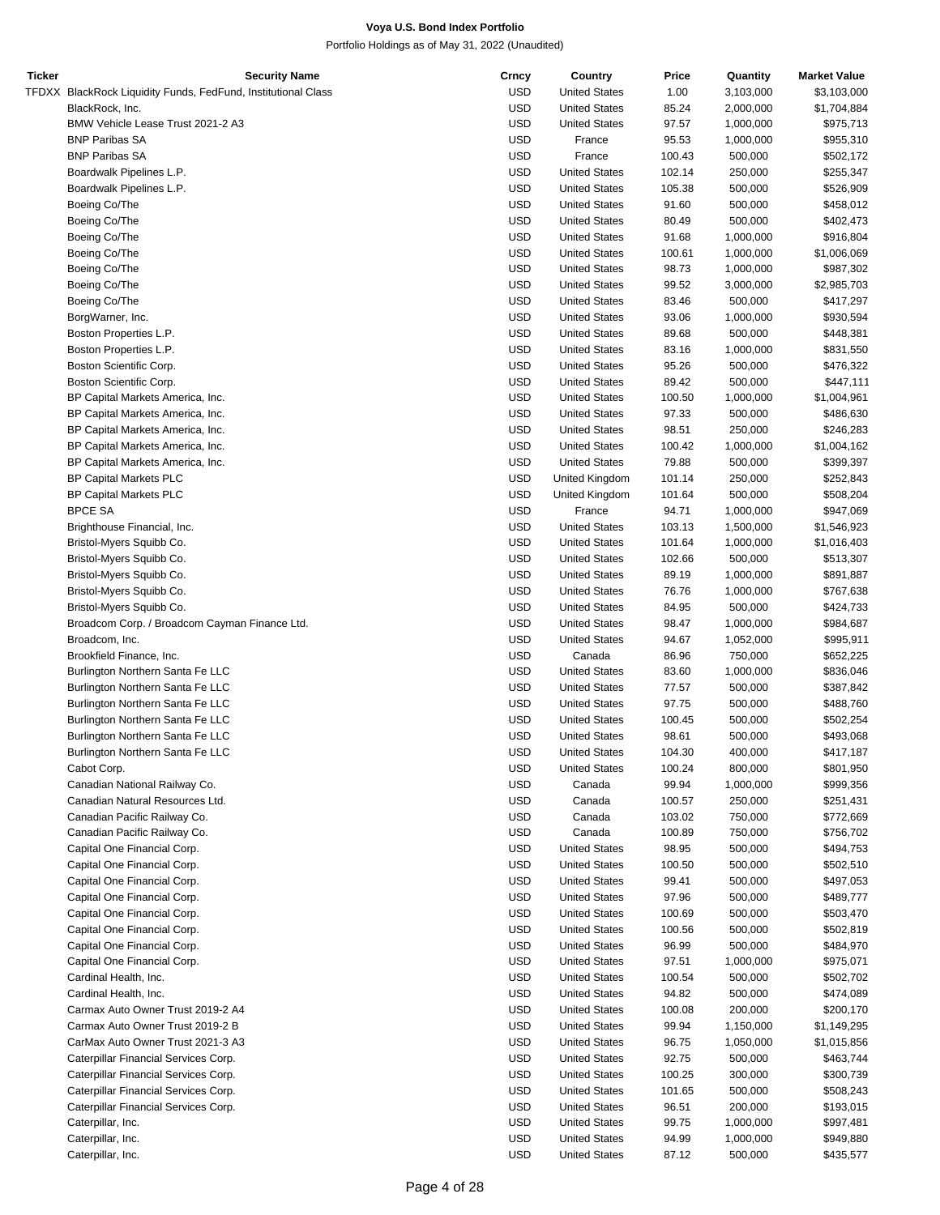| Ticker | <b>Security Name</b>                                          | Crncy      | Country              | Price  | Quantity  | <b>Market Value</b> |
|--------|---------------------------------------------------------------|------------|----------------------|--------|-----------|---------------------|
|        | TFDXX BlackRock Liquidity Funds, FedFund, Institutional Class | <b>USD</b> | <b>United States</b> | 1.00   | 3,103,000 | \$3,103,000         |
|        | BlackRock, Inc.                                               | <b>USD</b> | <b>United States</b> | 85.24  | 2,000,000 | \$1,704,884         |
|        | BMW Vehicle Lease Trust 2021-2 A3                             | <b>USD</b> | <b>United States</b> | 97.57  | 1,000,000 | \$975,713           |
|        | <b>BNP Paribas SA</b>                                         | <b>USD</b> | France               | 95.53  | 1,000,000 | \$955,310           |
|        |                                                               |            |                      |        |           |                     |
|        | <b>BNP Paribas SA</b>                                         | <b>USD</b> | France               | 100.43 | 500,000   | \$502,172           |
|        | Boardwalk Pipelines L.P.                                      | <b>USD</b> | <b>United States</b> | 102.14 | 250,000   | \$255,347           |
|        | Boardwalk Pipelines L.P.                                      | <b>USD</b> | <b>United States</b> | 105.38 | 500,000   | \$526,909           |
|        | Boeing Co/The                                                 | <b>USD</b> | <b>United States</b> | 91.60  | 500,000   | \$458,012           |
|        | Boeing Co/The                                                 | <b>USD</b> | <b>United States</b> | 80.49  | 500,000   | \$402,473           |
|        | Boeing Co/The                                                 | <b>USD</b> | <b>United States</b> | 91.68  | 1,000,000 | \$916,804           |
|        | Boeing Co/The                                                 | <b>USD</b> | <b>United States</b> | 100.61 | 1,000,000 | \$1,006,069         |
|        |                                                               |            |                      |        |           |                     |
|        | Boeing Co/The                                                 | <b>USD</b> | <b>United States</b> | 98.73  | 1,000,000 | \$987,302           |
|        | Boeing Co/The                                                 | <b>USD</b> | <b>United States</b> | 99.52  | 3,000,000 | \$2,985,703         |
|        | Boeing Co/The                                                 | <b>USD</b> | <b>United States</b> | 83.46  | 500,000   | \$417,297           |
|        | BorgWarner, Inc.                                              | <b>USD</b> | <b>United States</b> | 93.06  | 1,000,000 | \$930,594           |
|        | Boston Properties L.P.                                        | <b>USD</b> | <b>United States</b> | 89.68  | 500,000   | \$448,381           |
|        | Boston Properties L.P.                                        | <b>USD</b> | <b>United States</b> | 83.16  | 1,000,000 | \$831,550           |
|        |                                                               | <b>USD</b> |                      |        |           |                     |
|        | Boston Scientific Corp.                                       |            | <b>United States</b> | 95.26  | 500,000   | \$476,322           |
|        | Boston Scientific Corp.                                       | <b>USD</b> | <b>United States</b> | 89.42  | 500,000   | \$447,111           |
|        | BP Capital Markets America, Inc.                              | <b>USD</b> | <b>United States</b> | 100.50 | 1,000,000 | \$1,004,961         |
|        | BP Capital Markets America, Inc.                              | <b>USD</b> | <b>United States</b> | 97.33  | 500,000   | \$486,630           |
|        | BP Capital Markets America, Inc.                              | <b>USD</b> | <b>United States</b> | 98.51  | 250,000   | \$246,283           |
|        | BP Capital Markets America, Inc.                              | <b>USD</b> | <b>United States</b> | 100.42 | 1,000,000 | \$1,004,162         |
|        |                                                               | <b>USD</b> | <b>United States</b> |        | 500,000   | \$399,397           |
|        | BP Capital Markets America, Inc.                              |            |                      | 79.88  |           |                     |
|        | <b>BP Capital Markets PLC</b>                                 | <b>USD</b> | United Kingdom       | 101.14 | 250,000   | \$252,843           |
|        | <b>BP Capital Markets PLC</b>                                 | <b>USD</b> | United Kingdom       | 101.64 | 500,000   | \$508,204           |
|        | <b>BPCE SA</b>                                                | <b>USD</b> | France               | 94.71  | 1,000,000 | \$947,069           |
|        | Brighthouse Financial, Inc.                                   | <b>USD</b> | <b>United States</b> | 103.13 | 1,500,000 | \$1,546,923         |
|        | Bristol-Myers Squibb Co.                                      | <b>USD</b> | <b>United States</b> | 101.64 | 1,000,000 | \$1,016,403         |
|        | Bristol-Myers Squibb Co.                                      | <b>USD</b> | <b>United States</b> | 102.66 | 500,000   | \$513,307           |
|        |                                                               |            |                      |        |           |                     |
|        | Bristol-Myers Squibb Co.                                      | <b>USD</b> | <b>United States</b> | 89.19  | 1,000,000 | \$891,887           |
|        | Bristol-Myers Squibb Co.                                      | <b>USD</b> | <b>United States</b> | 76.76  | 1,000,000 | \$767,638           |
|        | Bristol-Myers Squibb Co.                                      | <b>USD</b> | <b>United States</b> | 84.95  | 500,000   | \$424,733           |
|        | Broadcom Corp. / Broadcom Cayman Finance Ltd.                 | <b>USD</b> | <b>United States</b> | 98.47  | 1,000,000 | \$984,687           |
|        | Broadcom, Inc.                                                | <b>USD</b> | <b>United States</b> | 94.67  | 1,052,000 | \$995,911           |
|        | Brookfield Finance, Inc.                                      | <b>USD</b> | Canada               | 86.96  | 750,000   | \$652,225           |
|        |                                                               |            |                      |        | 1,000,000 |                     |
|        | Burlington Northern Santa Fe LLC                              | <b>USD</b> | <b>United States</b> | 83.60  |           | \$836,046           |
|        | Burlington Northern Santa Fe LLC                              | <b>USD</b> | <b>United States</b> | 77.57  | 500,000   | \$387,842           |
|        | Burlington Northern Santa Fe LLC                              | <b>USD</b> | <b>United States</b> | 97.75  | 500,000   | \$488,760           |
|        | Burlington Northern Santa Fe LLC                              | <b>USD</b> | <b>United States</b> | 100.45 | 500,000   | \$502,254           |
|        | Burlington Northern Santa Fe LLC                              | <b>USD</b> | <b>United States</b> | 98.61  | 500,000   | \$493,068           |
|        | Burlington Northern Santa Fe LLC                              | <b>USD</b> | <b>United States</b> | 104.30 | 400,000   | \$417,187           |
|        | Cabot Corp.                                                   | <b>USD</b> | <b>United States</b> | 100.24 | 800,000   | \$801,950           |
|        |                                                               |            |                      |        |           |                     |
|        | Canadian National Railway Co.                                 | <b>USD</b> | Canada               | 99.94  | 1,000,000 | \$999,356           |
|        | Canadian Natural Resources Ltd.                               | <b>USD</b> | Canada               | 100.57 | 250,000   | \$251,431           |
|        | Canadian Pacific Railway Co.                                  | <b>USD</b> | Canada               | 103.02 | 750,000   | \$772,669           |
|        | Canadian Pacific Railway Co.                                  | <b>USD</b> | Canada               | 100.89 | 750,000   | \$756,702           |
|        | Capital One Financial Corp.                                   | <b>USD</b> | <b>United States</b> | 98.95  | 500,000   | \$494,753           |
|        | Capital One Financial Corp.                                   | <b>USD</b> | <b>United States</b> | 100.50 | 500,000   | \$502,510           |
|        |                                                               |            |                      |        |           |                     |
|        | Capital One Financial Corp.                                   | <b>USD</b> | <b>United States</b> | 99.41  | 500,000   | \$497,053           |
|        | Capital One Financial Corp.                                   | <b>USD</b> | <b>United States</b> | 97.96  | 500,000   | \$489,777           |
|        | Capital One Financial Corp.                                   | <b>USD</b> | <b>United States</b> | 100.69 | 500,000   | \$503,470           |
|        | Capital One Financial Corp.                                   | <b>USD</b> | <b>United States</b> | 100.56 | 500,000   | \$502,819           |
|        | Capital One Financial Corp.                                   | <b>USD</b> | <b>United States</b> | 96.99  | 500,000   | \$484,970           |
|        | Capital One Financial Corp.                                   | <b>USD</b> | <b>United States</b> | 97.51  | 1,000,000 | \$975,071           |
|        |                                                               |            |                      |        |           |                     |
|        | Cardinal Health, Inc.                                         | <b>USD</b> | <b>United States</b> | 100.54 | 500,000   | \$502,702           |
|        | Cardinal Health, Inc.                                         | <b>USD</b> | <b>United States</b> | 94.82  | 500,000   | \$474,089           |
|        | Carmax Auto Owner Trust 2019-2 A4                             | <b>USD</b> | <b>United States</b> | 100.08 | 200,000   | \$200,170           |
|        | Carmax Auto Owner Trust 2019-2 B                              | <b>USD</b> | <b>United States</b> | 99.94  | 1,150,000 | \$1,149,295         |
|        | CarMax Auto Owner Trust 2021-3 A3                             | <b>USD</b> | <b>United States</b> | 96.75  | 1,050,000 | \$1,015,856         |
|        | Caterpillar Financial Services Corp.                          | <b>USD</b> | <b>United States</b> | 92.75  | 500,000   | \$463,744           |
|        |                                                               |            |                      |        |           |                     |
|        | Caterpillar Financial Services Corp.                          | <b>USD</b> | <b>United States</b> | 100.25 | 300,000   | \$300,739           |
|        | Caterpillar Financial Services Corp.                          | <b>USD</b> | <b>United States</b> | 101.65 | 500,000   | \$508,243           |
|        | Caterpillar Financial Services Corp.                          | <b>USD</b> | <b>United States</b> | 96.51  | 200,000   | \$193,015           |
|        | Caterpillar, Inc.                                             | <b>USD</b> | <b>United States</b> | 99.75  | 1,000,000 | \$997,481           |
|        | Caterpillar, Inc.                                             | <b>USD</b> | <b>United States</b> | 94.99  | 1,000,000 | \$949,880           |
|        | Caterpillar, Inc.                                             | <b>USD</b> | <b>United States</b> | 87.12  | 500,000   | \$435,577           |
|        |                                                               |            |                      |        |           |                     |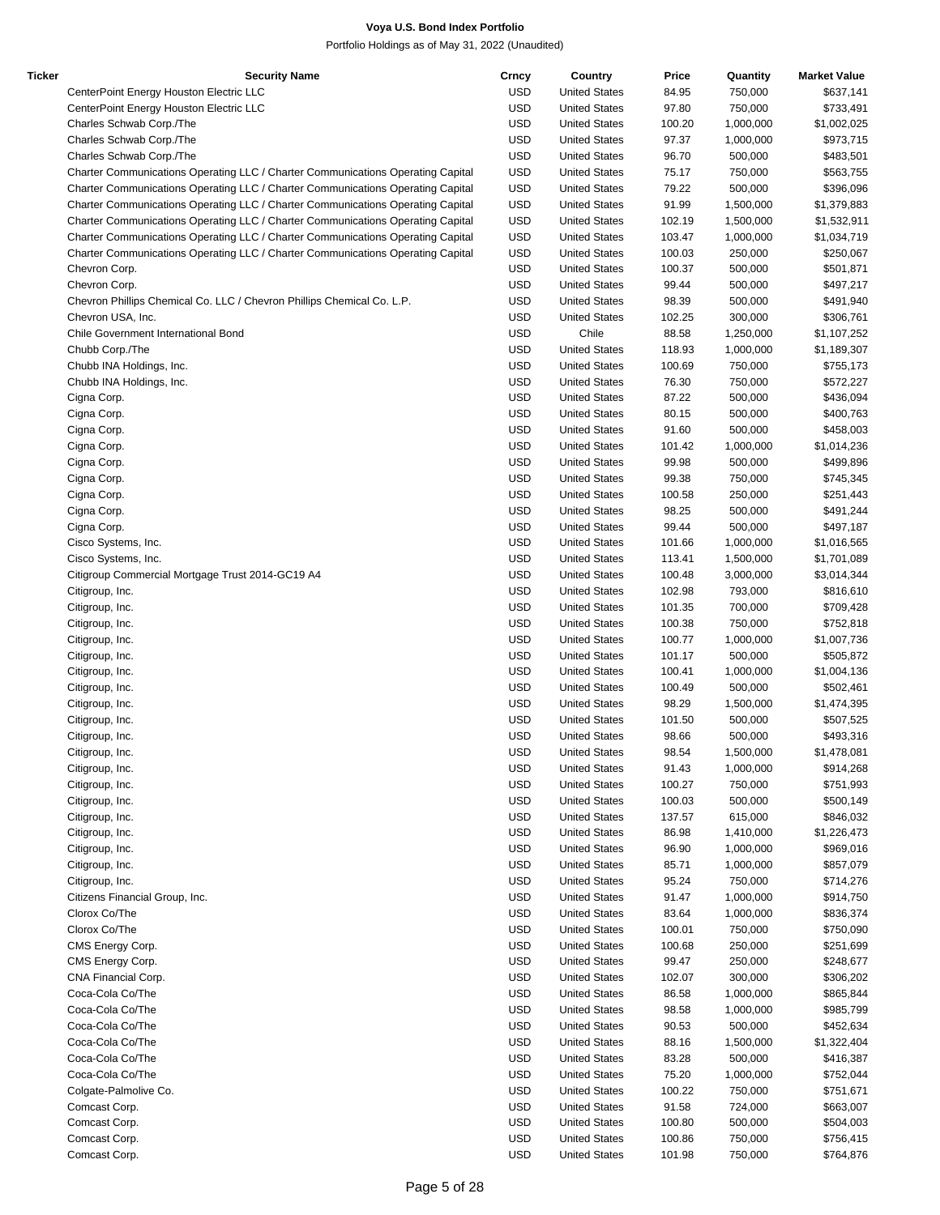| Ticker | <b>Security Name</b>                                                            | Crncy      | Country              | Price  | Quantity  | <b>Market Value</b> |
|--------|---------------------------------------------------------------------------------|------------|----------------------|--------|-----------|---------------------|
|        | CenterPoint Energy Houston Electric LLC                                         | <b>USD</b> | <b>United States</b> | 84.95  | 750,000   | \$637,141           |
|        | CenterPoint Energy Houston Electric LLC                                         | <b>USD</b> | <b>United States</b> | 97.80  | 750,000   | \$733,491           |
|        | Charles Schwab Corp./The                                                        | <b>USD</b> | <b>United States</b> | 100.20 | 1,000,000 | \$1,002,025         |
|        | Charles Schwab Corp./The                                                        | <b>USD</b> | <b>United States</b> | 97.37  | 1,000,000 | \$973,715           |
|        | Charles Schwab Corp./The                                                        | <b>USD</b> | <b>United States</b> | 96.70  | 500,000   | \$483,501           |
|        | Charter Communications Operating LLC / Charter Communications Operating Capital | <b>USD</b> | <b>United States</b> | 75.17  | 750,000   | \$563,755           |
|        | Charter Communications Operating LLC / Charter Communications Operating Capital | <b>USD</b> | <b>United States</b> | 79.22  | 500,000   | \$396,096           |
|        | Charter Communications Operating LLC / Charter Communications Operating Capital | <b>USD</b> | <b>United States</b> | 91.99  | 1,500,000 | \$1,379,883         |
|        | Charter Communications Operating LLC / Charter Communications Operating Capital | <b>USD</b> | <b>United States</b> | 102.19 | 1,500,000 | \$1,532,911         |
|        | Charter Communications Operating LLC / Charter Communications Operating Capital | <b>USD</b> | <b>United States</b> | 103.47 | 1,000,000 | \$1,034,719         |
|        |                                                                                 |            | <b>United States</b> |        |           |                     |
|        | Charter Communications Operating LLC / Charter Communications Operating Capital | <b>USD</b> |                      | 100.03 | 250,000   | \$250,067           |
|        | Chevron Corp.                                                                   | <b>USD</b> | <b>United States</b> | 100.37 | 500,000   | \$501,871           |
|        | Chevron Corp.                                                                   | <b>USD</b> | <b>United States</b> | 99.44  | 500,000   | \$497,217           |
|        | Chevron Phillips Chemical Co. LLC / Chevron Phillips Chemical Co. L.P.          | <b>USD</b> | <b>United States</b> | 98.39  | 500,000   | \$491,940           |
|        | Chevron USA, Inc.                                                               | <b>USD</b> | <b>United States</b> | 102.25 | 300,000   | \$306,761           |
|        | Chile Government International Bond                                             | <b>USD</b> | Chile                | 88.58  | 1,250,000 | \$1,107,252         |
|        | Chubb Corp./The                                                                 | <b>USD</b> | <b>United States</b> | 118.93 | 1,000,000 | \$1,189,307         |
|        | Chubb INA Holdings, Inc.                                                        | <b>USD</b> | <b>United States</b> | 100.69 | 750,000   | \$755,173           |
|        | Chubb INA Holdings, Inc.                                                        | <b>USD</b> | <b>United States</b> | 76.30  | 750,000   | \$572,227           |
|        | Cigna Corp.                                                                     | <b>USD</b> | <b>United States</b> | 87.22  | 500,000   | \$436,094           |
|        | Cigna Corp.                                                                     | <b>USD</b> | <b>United States</b> | 80.15  | 500,000   | \$400,763           |
|        | Cigna Corp.                                                                     | <b>USD</b> | <b>United States</b> | 91.60  | 500,000   | \$458,003           |
|        | Cigna Corp.                                                                     | <b>USD</b> | <b>United States</b> | 101.42 | 1,000,000 | \$1,014,236         |
|        | Cigna Corp.                                                                     | <b>USD</b> | <b>United States</b> | 99.98  | 500,000   | \$499,896           |
|        | Cigna Corp.                                                                     | <b>USD</b> | <b>United States</b> | 99.38  | 750,000   | \$745,345           |
|        | Cigna Corp.                                                                     | <b>USD</b> | <b>United States</b> | 100.58 | 250,000   | \$251,443           |
|        | Cigna Corp.                                                                     | <b>USD</b> | <b>United States</b> | 98.25  | 500,000   | \$491,244           |
|        | Cigna Corp.                                                                     | <b>USD</b> | <b>United States</b> | 99.44  | 500,000   | \$497,187           |
|        |                                                                                 | <b>USD</b> |                      |        |           |                     |
|        | Cisco Systems, Inc.                                                             |            | <b>United States</b> | 101.66 | 1,000,000 | \$1,016,565         |
|        | Cisco Systems, Inc.                                                             | <b>USD</b> | <b>United States</b> | 113.41 | 1,500,000 | \$1,701,089         |
|        | Citigroup Commercial Mortgage Trust 2014-GC19 A4                                | <b>USD</b> | <b>United States</b> | 100.48 | 3,000,000 | \$3,014,344         |
|        | Citigroup, Inc.                                                                 | <b>USD</b> | <b>United States</b> | 102.98 | 793,000   | \$816,610           |
|        | Citigroup, Inc.                                                                 | <b>USD</b> | <b>United States</b> | 101.35 | 700,000   | \$709,428           |
|        | Citigroup, Inc.                                                                 | <b>USD</b> | <b>United States</b> | 100.38 | 750,000   | \$752,818           |
|        | Citigroup, Inc.                                                                 | <b>USD</b> | <b>United States</b> | 100.77 | 1,000,000 | \$1,007,736         |
|        | Citigroup, Inc.                                                                 | <b>USD</b> | <b>United States</b> | 101.17 | 500,000   | \$505,872           |
|        | Citigroup, Inc.                                                                 | <b>USD</b> | <b>United States</b> | 100.41 | 1,000,000 | \$1,004,136         |
|        | Citigroup, Inc.                                                                 | <b>USD</b> | <b>United States</b> | 100.49 | 500,000   | \$502,461           |
|        | Citigroup, Inc.                                                                 | <b>USD</b> | <b>United States</b> | 98.29  | 1,500,000 | \$1,474,395         |
|        | Citigroup, Inc.                                                                 | <b>USD</b> | <b>United States</b> | 101.50 | 500,000   | \$507,525           |
|        | Citigroup, Inc.                                                                 | <b>USD</b> | <b>United States</b> | 98.66  | 500,000   | \$493,316           |
|        | Citigroup, Inc.                                                                 | <b>USD</b> | <b>United States</b> | 98.54  | 1,500,000 | \$1,478,081         |
|        | Citigroup, Inc.                                                                 | <b>USD</b> | <b>United States</b> | 91.43  | 1,000,000 | \$914,268           |
|        | Citigroup, Inc.                                                                 | <b>USD</b> | <b>United States</b> | 100.27 | 750,000   | \$751,993           |
|        | Citigroup, Inc.                                                                 | <b>USD</b> | <b>United States</b> | 100.03 | 500,000   | \$500,149           |
|        | Citigroup, Inc.                                                                 | <b>USD</b> | <b>United States</b> | 137.57 | 615,000   | \$846,032           |
|        | Citigroup, Inc.                                                                 | <b>USD</b> | <b>United States</b> | 86.98  | 1,410,000 | \$1,226,473         |
|        | Citigroup, Inc.                                                                 | <b>USD</b> | <b>United States</b> | 96.90  | 1,000,000 | \$969,016           |
|        | Citigroup, Inc.                                                                 | <b>USD</b> | <b>United States</b> | 85.71  | 1,000,000 | \$857,079           |
|        |                                                                                 |            |                      |        |           |                     |
|        | Citigroup, Inc.                                                                 | <b>USD</b> | <b>United States</b> | 95.24  | 750,000   | \$714,276           |
|        | Citizens Financial Group, Inc.                                                  | <b>USD</b> | <b>United States</b> | 91.47  | 1,000,000 | \$914,750           |
|        | Clorox Co/The                                                                   | <b>USD</b> | <b>United States</b> | 83.64  | 1,000,000 | \$836,374           |
|        | Clorox Co/The                                                                   | <b>USD</b> | <b>United States</b> | 100.01 | 750,000   | \$750,090           |
|        | CMS Energy Corp.                                                                | <b>USD</b> | <b>United States</b> | 100.68 | 250,000   | \$251,699           |
|        | CMS Energy Corp.                                                                | <b>USD</b> | <b>United States</b> | 99.47  | 250,000   | \$248,677           |
|        | CNA Financial Corp.                                                             | <b>USD</b> | <b>United States</b> | 102.07 | 300,000   | \$306,202           |
|        | Coca-Cola Co/The                                                                | <b>USD</b> | <b>United States</b> | 86.58  | 1,000,000 | \$865,844           |
|        | Coca-Cola Co/The                                                                | <b>USD</b> | <b>United States</b> | 98.58  | 1,000,000 | \$985,799           |
|        | Coca-Cola Co/The                                                                | <b>USD</b> | <b>United States</b> | 90.53  | 500,000   | \$452,634           |
|        | Coca-Cola Co/The                                                                | <b>USD</b> | <b>United States</b> | 88.16  | 1,500,000 | \$1,322,404         |
|        | Coca-Cola Co/The                                                                | <b>USD</b> | <b>United States</b> | 83.28  | 500,000   | \$416,387           |
|        | Coca-Cola Co/The                                                                | <b>USD</b> | <b>United States</b> | 75.20  | 1,000,000 | \$752,044           |
|        | Colgate-Palmolive Co.                                                           | <b>USD</b> | <b>United States</b> | 100.22 | 750,000   | \$751,671           |
|        | Comcast Corp.                                                                   | <b>USD</b> | <b>United States</b> | 91.58  | 724,000   | \$663,007           |
|        |                                                                                 | <b>USD</b> | <b>United States</b> |        |           |                     |
|        | Comcast Corp.                                                                   |            |                      | 100.80 | 500,000   | \$504,003           |
|        | Comcast Corp.                                                                   | <b>USD</b> | <b>United States</b> | 100.86 | 750,000   | \$756,415           |
|        | Comcast Corp.                                                                   | <b>USD</b> | <b>United States</b> | 101.98 | 750,000   | \$764,876           |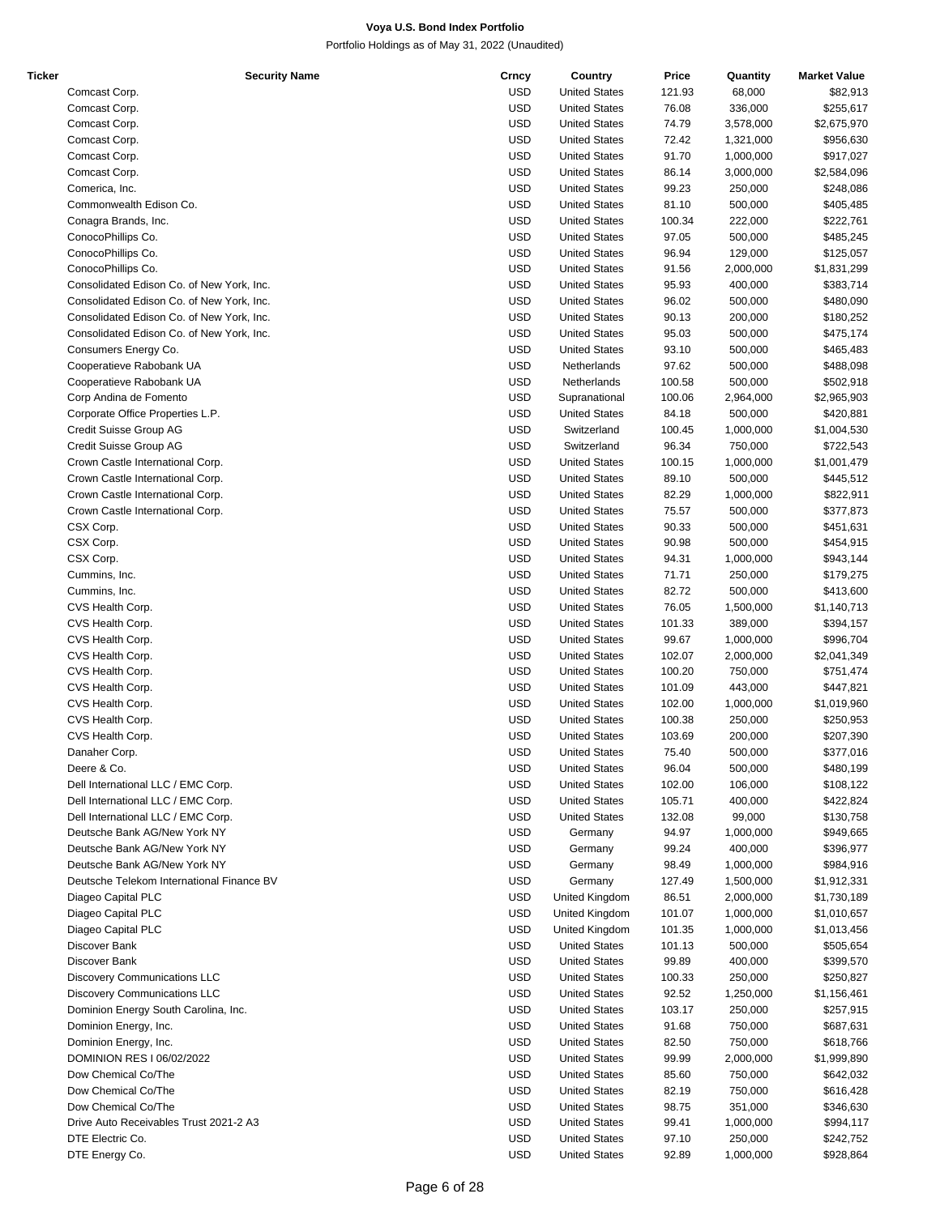| Ticker | <b>Security Name</b>                      | Crncy      | Country              | Price  | Quantity  | <b>Market Value</b> |
|--------|-------------------------------------------|------------|----------------------|--------|-----------|---------------------|
|        | Comcast Corp.                             | <b>USD</b> | <b>United States</b> | 121.93 | 68,000    | \$82,913            |
|        | Comcast Corp.                             | <b>USD</b> | <b>United States</b> | 76.08  | 336,000   | \$255,617           |
|        | Comcast Corp.                             | <b>USD</b> | <b>United States</b> | 74.79  | 3,578,000 | \$2,675,970         |
|        | Comcast Corp.                             | <b>USD</b> | <b>United States</b> | 72.42  | 1,321,000 | \$956,630           |
|        |                                           |            |                      |        |           |                     |
|        | Comcast Corp.                             | <b>USD</b> | <b>United States</b> | 91.70  | 1,000,000 | \$917,027           |
|        | Comcast Corp.                             | <b>USD</b> | <b>United States</b> | 86.14  | 3,000,000 | \$2,584,096         |
|        | Comerica, Inc.                            | <b>USD</b> | <b>United States</b> | 99.23  | 250,000   | \$248,086           |
|        | Commonwealth Edison Co.                   | <b>USD</b> | <b>United States</b> | 81.10  | 500,000   | \$405,485           |
|        | Conagra Brands, Inc.                      | <b>USD</b> | <b>United States</b> | 100.34 | 222,000   | \$222,761           |
|        | ConocoPhillips Co.                        | <b>USD</b> | <b>United States</b> | 97.05  | 500,000   | \$485,245           |
|        | ConocoPhillips Co.                        | <b>USD</b> | <b>United States</b> | 96.94  | 129,000   | \$125,057           |
|        |                                           | <b>USD</b> |                      |        |           |                     |
|        | ConocoPhillips Co.                        |            | <b>United States</b> | 91.56  | 2,000,000 | \$1,831,299         |
|        | Consolidated Edison Co. of New York, Inc. | <b>USD</b> | <b>United States</b> | 95.93  | 400,000   | \$383,714           |
|        | Consolidated Edison Co. of New York, Inc. | <b>USD</b> | <b>United States</b> | 96.02  | 500,000   | \$480,090           |
|        | Consolidated Edison Co. of New York, Inc. | <b>USD</b> | <b>United States</b> | 90.13  | 200,000   | \$180,252           |
|        | Consolidated Edison Co. of New York, Inc. | <b>USD</b> | <b>United States</b> | 95.03  | 500,000   | \$475,174           |
|        | Consumers Energy Co.                      | <b>USD</b> | <b>United States</b> | 93.10  | 500,000   | \$465,483           |
|        | Cooperatieve Rabobank UA                  | <b>USD</b> | Netherlands          | 97.62  | 500,000   | \$488,098           |
|        |                                           |            |                      |        |           |                     |
|        | Cooperatieve Rabobank UA                  | <b>USD</b> | Netherlands          | 100.58 | 500,000   | \$502,918           |
|        | Corp Andina de Fomento                    | <b>USD</b> | Supranational        | 100.06 | 2,964,000 | \$2,965,903         |
|        | Corporate Office Properties L.P.          | <b>USD</b> | <b>United States</b> | 84.18  | 500,000   | \$420,881           |
|        | Credit Suisse Group AG                    | <b>USD</b> | Switzerland          | 100.45 | 1,000,000 | \$1,004,530         |
|        | Credit Suisse Group AG                    | <b>USD</b> | Switzerland          | 96.34  | 750,000   | \$722,543           |
|        | Crown Castle International Corp.          | <b>USD</b> | <b>United States</b> | 100.15 | 1,000,000 | \$1,001,479         |
|        |                                           |            |                      |        |           |                     |
|        | Crown Castle International Corp.          | <b>USD</b> | <b>United States</b> | 89.10  | 500,000   | \$445,512           |
|        | Crown Castle International Corp.          | <b>USD</b> | <b>United States</b> | 82.29  | 1,000,000 | \$822,911           |
|        | Crown Castle International Corp.          | <b>USD</b> | <b>United States</b> | 75.57  | 500,000   | \$377,873           |
|        | CSX Corp.                                 | <b>USD</b> | <b>United States</b> | 90.33  | 500,000   | \$451,631           |
|        | CSX Corp.                                 | <b>USD</b> | <b>United States</b> | 90.98  | 500,000   | \$454,915           |
|        | CSX Corp.                                 | <b>USD</b> | <b>United States</b> | 94.31  | 1,000,000 | \$943,144           |
|        | Cummins, Inc.                             | <b>USD</b> | <b>United States</b> | 71.71  | 250,000   |                     |
|        |                                           |            |                      |        |           | \$179,275           |
|        | Cummins, Inc.                             | <b>USD</b> | <b>United States</b> | 82.72  | 500,000   | \$413,600           |
|        | CVS Health Corp.                          | <b>USD</b> | <b>United States</b> | 76.05  | 1,500,000 | \$1,140,713         |
|        | CVS Health Corp.                          | <b>USD</b> | <b>United States</b> | 101.33 | 389,000   | \$394,157           |
|        | CVS Health Corp.                          | <b>USD</b> | <b>United States</b> | 99.67  | 1,000,000 | \$996,704           |
|        | CVS Health Corp.                          | <b>USD</b> | <b>United States</b> | 102.07 | 2,000,000 | \$2,041,349         |
|        | CVS Health Corp.                          | <b>USD</b> | <b>United States</b> | 100.20 | 750,000   | \$751,474           |
|        |                                           |            |                      |        |           |                     |
|        | CVS Health Corp.                          | <b>USD</b> | <b>United States</b> | 101.09 | 443,000   | \$447,821           |
|        | CVS Health Corp.                          | <b>USD</b> | <b>United States</b> | 102.00 | 1,000,000 | \$1,019,960         |
|        | CVS Health Corp.                          | <b>USD</b> | <b>United States</b> | 100.38 | 250,000   | \$250,953           |
|        | CVS Health Corp.                          | <b>USD</b> | <b>United States</b> | 103.69 | 200,000   | \$207,390           |
|        | Danaher Corp.                             | <b>USD</b> | <b>United States</b> | 75.40  | 500.000   | \$377,016           |
|        | Deere & Co.                               | <b>USD</b> | <b>United States</b> | 96.04  | 500,000   | \$480,199           |
|        |                                           |            |                      |        |           | \$108,122           |
|        | Dell International LLC / EMC Corp.        | <b>USD</b> | <b>United States</b> | 102.00 | 106,000   |                     |
|        | Dell International LLC / EMC Corp.        | <b>USD</b> | <b>United States</b> | 105.71 | 400,000   | \$422,824           |
|        | Dell International LLC / EMC Corp.        | <b>USD</b> | <b>United States</b> | 132.08 | 99,000    | \$130,758           |
|        | Deutsche Bank AG/New York NY              | <b>USD</b> | Germany              | 94.97  | 1,000,000 | \$949,665           |
|        | Deutsche Bank AG/New York NY              | <b>USD</b> | Germany              | 99.24  | 400,000   | \$396,977           |
|        | Deutsche Bank AG/New York NY              | <b>USD</b> | Germany              | 98.49  | 1,000,000 | \$984,916           |
|        | Deutsche Telekom International Finance BV | <b>USD</b> | Germany              |        | 1,500,000 |                     |
|        |                                           |            |                      | 127.49 |           | \$1,912,331         |
|        | Diageo Capital PLC                        | <b>USD</b> | United Kingdom       | 86.51  | 2,000,000 | \$1,730,189         |
|        | Diageo Capital PLC                        | <b>USD</b> | United Kingdom       | 101.07 | 1,000,000 | \$1,010,657         |
|        | Diageo Capital PLC                        | <b>USD</b> | United Kingdom       | 101.35 | 1,000,000 | \$1,013,456         |
|        | Discover Bank                             | <b>USD</b> | <b>United States</b> | 101.13 | 500,000   | \$505,654           |
|        | Discover Bank                             | <b>USD</b> | <b>United States</b> | 99.89  | 400,000   | \$399,570           |
|        | <b>Discovery Communications LLC</b>       | <b>USD</b> | <b>United States</b> | 100.33 | 250,000   | \$250,827           |
|        |                                           |            |                      |        |           |                     |
|        | <b>Discovery Communications LLC</b>       | <b>USD</b> | <b>United States</b> | 92.52  | 1,250,000 | \$1,156,461         |
|        | Dominion Energy South Carolina, Inc.      | <b>USD</b> | <b>United States</b> | 103.17 | 250,000   | \$257,915           |
|        | Dominion Energy, Inc.                     | <b>USD</b> | <b>United States</b> | 91.68  | 750,000   | \$687,631           |
|        | Dominion Energy, Inc.                     | <b>USD</b> | <b>United States</b> | 82.50  | 750,000   | \$618,766           |
|        | DOMINION RES I 06/02/2022                 | USD        | <b>United States</b> | 99.99  | 2,000,000 | \$1,999,890         |
|        |                                           | <b>USD</b> |                      |        |           |                     |
|        | Dow Chemical Co/The                       |            | <b>United States</b> | 85.60  | 750,000   | \$642,032           |
|        | Dow Chemical Co/The                       | <b>USD</b> | <b>United States</b> | 82.19  | 750,000   | \$616,428           |
|        | Dow Chemical Co/The                       | <b>USD</b> | <b>United States</b> | 98.75  | 351,000   | \$346,630           |
|        | Drive Auto Receivables Trust 2021-2 A3    | <b>USD</b> | <b>United States</b> | 99.41  | 1,000,000 | \$994,117           |
|        | DTE Electric Co.                          | <b>USD</b> | <b>United States</b> | 97.10  | 250,000   | \$242,752           |
|        | DTE Energy Co.                            | <b>USD</b> | <b>United States</b> | 92.89  | 1,000,000 | \$928,864           |
|        |                                           |            |                      |        |           |                     |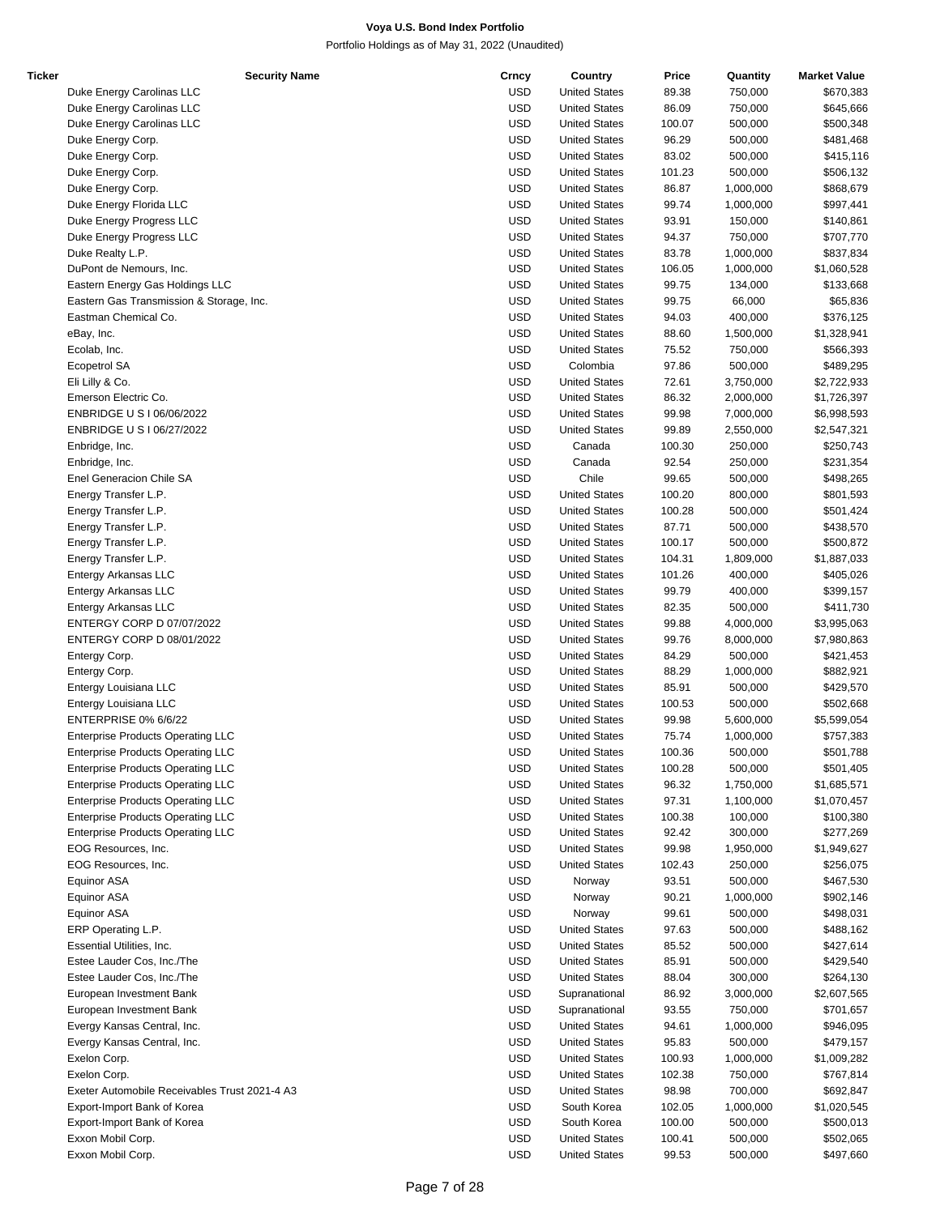| Ticker | <b>Security Name</b>                          | Crncy      | Country              | Price  | Quantity  | <b>Market Value</b> |
|--------|-----------------------------------------------|------------|----------------------|--------|-----------|---------------------|
|        | Duke Energy Carolinas LLC                     | <b>USD</b> | <b>United States</b> | 89.38  | 750,000   | \$670,383           |
|        | Duke Energy Carolinas LLC                     | <b>USD</b> | <b>United States</b> | 86.09  | 750,000   | \$645,666           |
|        | Duke Energy Carolinas LLC                     | <b>USD</b> | <b>United States</b> | 100.07 | 500,000   | \$500,348           |
|        | Duke Energy Corp.                             | <b>USD</b> | <b>United States</b> | 96.29  | 500,000   | \$481,468           |
|        | Duke Energy Corp.                             | <b>USD</b> | <b>United States</b> | 83.02  | 500,000   | \$415,116           |
|        | Duke Energy Corp.                             | <b>USD</b> | <b>United States</b> | 101.23 | 500,000   | \$506,132           |
|        | Duke Energy Corp.                             | <b>USD</b> | <b>United States</b> | 86.87  | 1,000,000 | \$868,679           |
|        | Duke Energy Florida LLC                       | <b>USD</b> | <b>United States</b> | 99.74  | 1,000,000 | \$997,441           |
|        | Duke Energy Progress LLC                      | <b>USD</b> | <b>United States</b> | 93.91  | 150,000   | \$140,861           |
|        | Duke Energy Progress LLC                      | <b>USD</b> | <b>United States</b> | 94.37  | 750,000   | \$707,770           |
|        |                                               |            |                      |        |           |                     |
|        | Duke Realty L.P.                              | <b>USD</b> | <b>United States</b> | 83.78  | 1,000,000 | \$837,834           |
|        | DuPont de Nemours, Inc.                       | <b>USD</b> | <b>United States</b> | 106.05 | 1,000,000 | \$1,060,528         |
|        | Eastern Energy Gas Holdings LLC               | <b>USD</b> | <b>United States</b> | 99.75  | 134,000   | \$133,668           |
|        | Eastern Gas Transmission & Storage, Inc.      | <b>USD</b> | <b>United States</b> | 99.75  | 66,000    | \$65,836            |
|        | Eastman Chemical Co.                          | <b>USD</b> | <b>United States</b> | 94.03  | 400,000   | \$376,125           |
|        | eBay, Inc.                                    | <b>USD</b> | <b>United States</b> | 88.60  | 1,500,000 | \$1,328,941         |
|        | Ecolab, Inc.                                  | <b>USD</b> | <b>United States</b> | 75.52  | 750,000   | \$566,393           |
|        | <b>Ecopetrol SA</b>                           | <b>USD</b> | Colombia             | 97.86  | 500,000   | \$489,295           |
|        | Eli Lilly & Co.                               | <b>USD</b> | <b>United States</b> | 72.61  | 3,750,000 | \$2,722,933         |
|        | Emerson Electric Co.                          | <b>USD</b> | <b>United States</b> | 86.32  | 2,000,000 | \$1,726,397         |
|        | ENBRIDGE U S I 06/06/2022                     | <b>USD</b> | <b>United States</b> | 99.98  | 7,000,000 | \$6,998,593         |
|        | ENBRIDGE U S I 06/27/2022                     | <b>USD</b> | <b>United States</b> | 99.89  | 2,550,000 | \$2,547,321         |
|        | Enbridge, Inc.                                | <b>USD</b> | Canada               | 100.30 | 250,000   | \$250,743           |
|        | Enbridge, Inc.                                | <b>USD</b> | Canada               | 92.54  | 250,000   | \$231,354           |
|        | Enel Generacion Chile SA                      | <b>USD</b> | Chile                | 99.65  | 500,000   | \$498,265           |
|        |                                               |            |                      |        |           |                     |
|        | Energy Transfer L.P.                          | <b>USD</b> | <b>United States</b> | 100.20 | 800,000   | \$801,593           |
|        | Energy Transfer L.P.                          | <b>USD</b> | <b>United States</b> | 100.28 | 500,000   | \$501,424           |
|        | Energy Transfer L.P.                          | <b>USD</b> | <b>United States</b> | 87.71  | 500,000   | \$438,570           |
|        | Energy Transfer L.P.                          | <b>USD</b> | <b>United States</b> | 100.17 | 500,000   | \$500,872           |
|        | Energy Transfer L.P.                          | <b>USD</b> | <b>United States</b> | 104.31 | 1,809,000 | \$1,887,033         |
|        | Entergy Arkansas LLC                          | <b>USD</b> | <b>United States</b> | 101.26 | 400,000   | \$405,026           |
|        | Entergy Arkansas LLC                          | <b>USD</b> | <b>United States</b> | 99.79  | 400,000   | \$399,157           |
|        | Entergy Arkansas LLC                          | <b>USD</b> | <b>United States</b> | 82.35  | 500,000   | \$411,730           |
|        | ENTERGY CORP D 07/07/2022                     | <b>USD</b> | <b>United States</b> | 99.88  | 4,000,000 | \$3,995,063         |
|        | ENTERGY CORP D 08/01/2022                     | <b>USD</b> | <b>United States</b> | 99.76  | 8,000,000 | \$7,980,863         |
|        | Entergy Corp.                                 | <b>USD</b> | <b>United States</b> | 84.29  | 500,000   | \$421,453           |
|        | Entergy Corp.                                 | <b>USD</b> | <b>United States</b> | 88.29  | 1,000,000 | \$882,921           |
|        | Entergy Louisiana LLC                         | <b>USD</b> | <b>United States</b> | 85.91  | 500,000   | \$429,570           |
|        | Entergy Louisiana LLC                         | <b>USD</b> | <b>United States</b> | 100.53 | 500,000   | \$502,668           |
|        | ENTERPRISE 0% 6/6/22                          | <b>USD</b> | <b>United States</b> | 99.98  | 5,600,000 | \$5,599,054         |
|        | <b>Enterprise Products Operating LLC</b>      | <b>USD</b> | <b>United States</b> | 75.74  | 1,000,000 | \$757,383           |
|        |                                               | <b>USD</b> |                      |        |           |                     |
|        | <b>Enterprise Products Operating LLC</b>      |            | <b>United States</b> | 100.36 | 500,000   | \$501,788           |
|        | <b>Enterprise Products Operating LLC</b>      | <b>USD</b> | <b>United States</b> | 100.28 | 500,000   | \$501,405           |
|        | <b>Enterprise Products Operating LLC</b>      | <b>USD</b> | <b>United States</b> | 96.32  | 1,750,000 | \$1,685,571         |
|        | <b>Enterprise Products Operating LLC</b>      | <b>USD</b> | <b>United States</b> | 97.31  | 1,100,000 | \$1,070,457         |
|        | <b>Enterprise Products Operating LLC</b>      | <b>USD</b> | <b>United States</b> | 100.38 | 100,000   | \$100,380           |
|        | <b>Enterprise Products Operating LLC</b>      | <b>USD</b> | <b>United States</b> | 92.42  | 300,000   | \$277,269           |
|        | EOG Resources, Inc.                           | <b>USD</b> | <b>United States</b> | 99.98  | 1,950,000 | \$1,949,627         |
|        | EOG Resources, Inc.                           | <b>USD</b> | <b>United States</b> | 102.43 | 250,000   | \$256,075           |
|        | Equinor ASA                                   | <b>USD</b> | Norway               | 93.51  | 500,000   | \$467,530           |
|        | Equinor ASA                                   | <b>USD</b> | Norway               | 90.21  | 1,000,000 | \$902,146           |
|        | <b>Equinor ASA</b>                            | <b>USD</b> | Norway               | 99.61  | 500,000   | \$498,031           |
|        | ERP Operating L.P.                            | <b>USD</b> | <b>United States</b> | 97.63  | 500,000   | \$488,162           |
|        | Essential Utilities, Inc.                     | <b>USD</b> | <b>United States</b> | 85.52  | 500,000   | \$427,614           |
|        | Estee Lauder Cos, Inc./The                    | <b>USD</b> | <b>United States</b> | 85.91  | 500,000   | \$429,540           |
|        |                                               | <b>USD</b> | <b>United States</b> |        |           |                     |
|        | Estee Lauder Cos, Inc./The                    |            |                      | 88.04  | 300,000   | \$264,130           |
|        | European Investment Bank                      | <b>USD</b> | Supranational        | 86.92  | 3,000,000 | \$2,607,565         |
|        | European Investment Bank                      | <b>USD</b> | Supranational        | 93.55  | 750,000   | \$701,657           |
|        | Evergy Kansas Central, Inc.                   | <b>USD</b> | <b>United States</b> | 94.61  | 1,000,000 | \$946,095           |
|        | Evergy Kansas Central, Inc.                   | <b>USD</b> | <b>United States</b> | 95.83  | 500,000   | \$479,157           |
|        | Exelon Corp.                                  | <b>USD</b> | <b>United States</b> | 100.93 | 1,000,000 | \$1,009,282         |
|        | Exelon Corp.                                  | <b>USD</b> | <b>United States</b> | 102.38 | 750,000   | \$767,814           |
|        | Exeter Automobile Receivables Trust 2021-4 A3 | <b>USD</b> | <b>United States</b> | 98.98  | 700,000   | \$692,847           |
|        | Export-Import Bank of Korea                   | <b>USD</b> | South Korea          | 102.05 | 1,000,000 | \$1,020,545         |
|        | Export-Import Bank of Korea                   | <b>USD</b> | South Korea          | 100.00 | 500,000   | \$500,013           |
|        | Exxon Mobil Corp.                             | <b>USD</b> | <b>United States</b> | 100.41 | 500,000   | \$502,065           |
|        | Exxon Mobil Corp.                             | <b>USD</b> | <b>United States</b> | 99.53  | 500,000   | \$497,660           |
|        |                                               |            |                      |        |           |                     |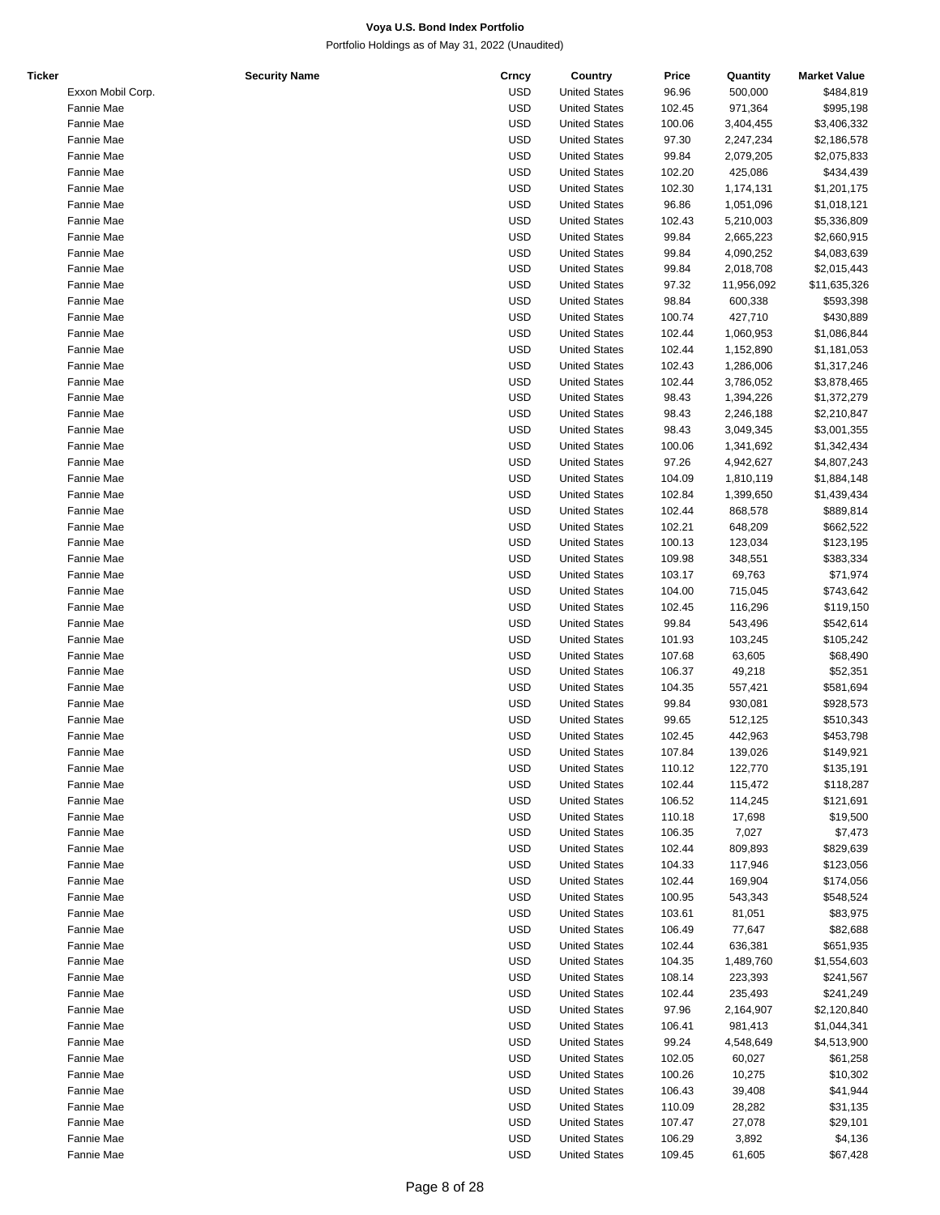| Ticker | <b>Security Name</b> | Crncy      | Country              | Price  | Quantity   | <b>Market Value</b> |
|--------|----------------------|------------|----------------------|--------|------------|---------------------|
|        | Exxon Mobil Corp.    | USD        | <b>United States</b> | 96.96  | 500,000    | \$484,819           |
|        | Fannie Mae           | <b>USD</b> | <b>United States</b> | 102.45 | 971,364    | \$995,198           |
|        | Fannie Mae           | <b>USD</b> | <b>United States</b> | 100.06 | 3,404,455  | \$3,406,332         |
|        | Fannie Mae           | <b>USD</b> | <b>United States</b> | 97.30  | 2,247,234  | \$2,186,578         |
|        | Fannie Mae           | <b>USD</b> | <b>United States</b> | 99.84  | 2,079,205  | \$2,075,833         |
|        | Fannie Mae           | <b>USD</b> | <b>United States</b> | 102.20 | 425,086    | \$434,439           |
|        | Fannie Mae           | <b>USD</b> | <b>United States</b> | 102.30 |            | \$1,201,175         |
|        |                      |            |                      |        | 1,174,131  |                     |
|        | Fannie Mae           | <b>USD</b> | <b>United States</b> | 96.86  | 1,051,096  | \$1,018,121         |
|        | Fannie Mae           | <b>USD</b> | <b>United States</b> | 102.43 | 5,210,003  | \$5,336,809         |
|        | Fannie Mae           | <b>USD</b> | <b>United States</b> | 99.84  | 2,665,223  | \$2,660,915         |
|        | Fannie Mae           | <b>USD</b> | <b>United States</b> | 99.84  | 4,090,252  | \$4,083,639         |
|        | Fannie Mae           | <b>USD</b> | <b>United States</b> | 99.84  | 2,018,708  | \$2,015,443         |
|        | Fannie Mae           | <b>USD</b> | <b>United States</b> | 97.32  | 11,956,092 | \$11,635,326        |
|        | Fannie Mae           | <b>USD</b> | <b>United States</b> | 98.84  | 600,338    | \$593,398           |
|        | Fannie Mae           | <b>USD</b> | <b>United States</b> | 100.74 | 427,710    | \$430,889           |
|        | Fannie Mae           | <b>USD</b> | <b>United States</b> | 102.44 | 1,060,953  | \$1,086,844         |
|        | Fannie Mae           | <b>USD</b> | <b>United States</b> | 102.44 | 1,152,890  | \$1,181,053         |
|        | Fannie Mae           | <b>USD</b> | <b>United States</b> | 102.43 | 1,286,006  | \$1,317,246         |
|        | Fannie Mae           | <b>USD</b> | <b>United States</b> | 102.44 | 3,786,052  | \$3,878,465         |
|        | Fannie Mae           | <b>USD</b> | <b>United States</b> | 98.43  | 1,394,226  | \$1,372,279         |
|        |                      |            |                      |        |            |                     |
|        | Fannie Mae           | <b>USD</b> | <b>United States</b> | 98.43  | 2,246,188  | \$2,210,847         |
|        | Fannie Mae           | <b>USD</b> | <b>United States</b> | 98.43  | 3,049,345  | \$3,001,355         |
|        | Fannie Mae           | <b>USD</b> | <b>United States</b> | 100.06 | 1,341,692  | \$1,342,434         |
|        | Fannie Mae           | <b>USD</b> | <b>United States</b> | 97.26  | 4,942,627  | \$4,807,243         |
|        | Fannie Mae           | <b>USD</b> | <b>United States</b> | 104.09 | 1,810,119  | \$1,884,148         |
|        | Fannie Mae           | <b>USD</b> | <b>United States</b> | 102.84 | 1,399,650  | \$1,439,434         |
|        | Fannie Mae           | <b>USD</b> | <b>United States</b> | 102.44 | 868,578    | \$889,814           |
|        | Fannie Mae           | <b>USD</b> | <b>United States</b> | 102.21 | 648,209    | \$662,522           |
|        | Fannie Mae           | <b>USD</b> | <b>United States</b> | 100.13 | 123,034    | \$123,195           |
|        | Fannie Mae           | <b>USD</b> | <b>United States</b> | 109.98 | 348,551    | \$383,334           |
|        | Fannie Mae           | <b>USD</b> | <b>United States</b> | 103.17 | 69,763     | \$71,974            |
|        | Fannie Mae           | <b>USD</b> | <b>United States</b> | 104.00 | 715,045    | \$743,642           |
|        |                      | <b>USD</b> |                      |        |            |                     |
|        | Fannie Mae           |            | <b>United States</b> | 102.45 | 116,296    | \$119,150           |
|        | Fannie Mae           | <b>USD</b> | <b>United States</b> | 99.84  | 543,496    | \$542,614           |
|        | Fannie Mae           | <b>USD</b> | <b>United States</b> | 101.93 | 103,245    | \$105,242           |
|        | Fannie Mae           | <b>USD</b> | <b>United States</b> | 107.68 | 63,605     | \$68,490            |
|        | Fannie Mae           | <b>USD</b> | <b>United States</b> | 106.37 | 49,218     | \$52,351            |
|        | Fannie Mae           | <b>USD</b> | <b>United States</b> | 104.35 | 557,421    | \$581,694           |
|        | Fannie Mae           | <b>USD</b> | <b>United States</b> | 99.84  | 930,081    | \$928,573           |
|        | Fannie Mae           | <b>USD</b> | <b>United States</b> | 99.65  | 512,125    | \$510,343           |
|        | Fannie Mae           | <b>USD</b> | <b>United States</b> | 102.45 | 442,963    | \$453,798           |
|        | Fannie Mae           | <b>USD</b> | <b>United States</b> | 107.84 | 139,026    | \$149,921           |
|        | Fannie Mae           | USD        | <b>United States</b> | 110.12 | 122,770    | \$135,191           |
|        | Fannie Mae           | USD        | <b>United States</b> | 102.44 | 115,472    | \$118,287           |
|        |                      | USD        |                      |        |            | \$121,691           |
|        | Fannie Mae           |            | <b>United States</b> | 106.52 | 114,245    |                     |
|        | Fannie Mae           | <b>USD</b> | <b>United States</b> | 110.18 | 17,698     | \$19,500            |
|        | Fannie Mae           | USD        | <b>United States</b> | 106.35 | 7,027      | \$7,473             |
|        | Fannie Mae           | USD        | <b>United States</b> | 102.44 | 809,893    | \$829,639           |
|        | Fannie Mae           | <b>USD</b> | <b>United States</b> | 104.33 | 117,946    | \$123,056           |
|        | Fannie Mae           | <b>USD</b> | <b>United States</b> | 102.44 | 169,904    | \$174,056           |
|        | Fannie Mae           | <b>USD</b> | <b>United States</b> | 100.95 | 543,343    | \$548,524           |
|        | Fannie Mae           | USD        | <b>United States</b> | 103.61 | 81,051     | \$83,975            |
|        | Fannie Mae           | USD        | <b>United States</b> | 106.49 | 77,647     | \$82,688            |
|        | Fannie Mae           | USD        | <b>United States</b> | 102.44 | 636,381    | \$651,935           |
|        | Fannie Mae           | USD        | <b>United States</b> | 104.35 | 1,489,760  | \$1,554,603         |
|        | Fannie Mae           | USD        | <b>United States</b> | 108.14 | 223,393    | \$241,567           |
|        |                      | <b>USD</b> |                      |        |            |                     |
|        | Fannie Mae           |            | <b>United States</b> | 102.44 | 235,493    | \$241,249           |
|        | Fannie Mae           | <b>USD</b> | <b>United States</b> | 97.96  | 2,164,907  | \$2,120,840         |
|        | Fannie Mae           | <b>USD</b> | <b>United States</b> | 106.41 | 981,413    | \$1,044,341         |
|        | Fannie Mae           | USD        | <b>United States</b> | 99.24  | 4,548,649  | \$4,513,900         |
|        | Fannie Mae           | USD        | <b>United States</b> | 102.05 | 60,027     | \$61,258            |
|        | Fannie Mae           | USD        | <b>United States</b> | 100.26 | 10,275     | \$10,302            |
|        | Fannie Mae           | USD        | <b>United States</b> | 106.43 | 39,408     | \$41,944            |
|        | Fannie Mae           | USD        | <b>United States</b> | 110.09 | 28,282     | \$31,135            |
|        | Fannie Mae           | <b>USD</b> | <b>United States</b> | 107.47 | 27,078     | \$29,101            |
|        | Fannie Mae           | <b>USD</b> | <b>United States</b> | 106.29 | 3,892      | \$4,136             |
|        | Fannie Mae           | <b>USD</b> | <b>United States</b> | 109.45 | 61,605     | \$67,428            |
|        |                      |            |                      |        |            |                     |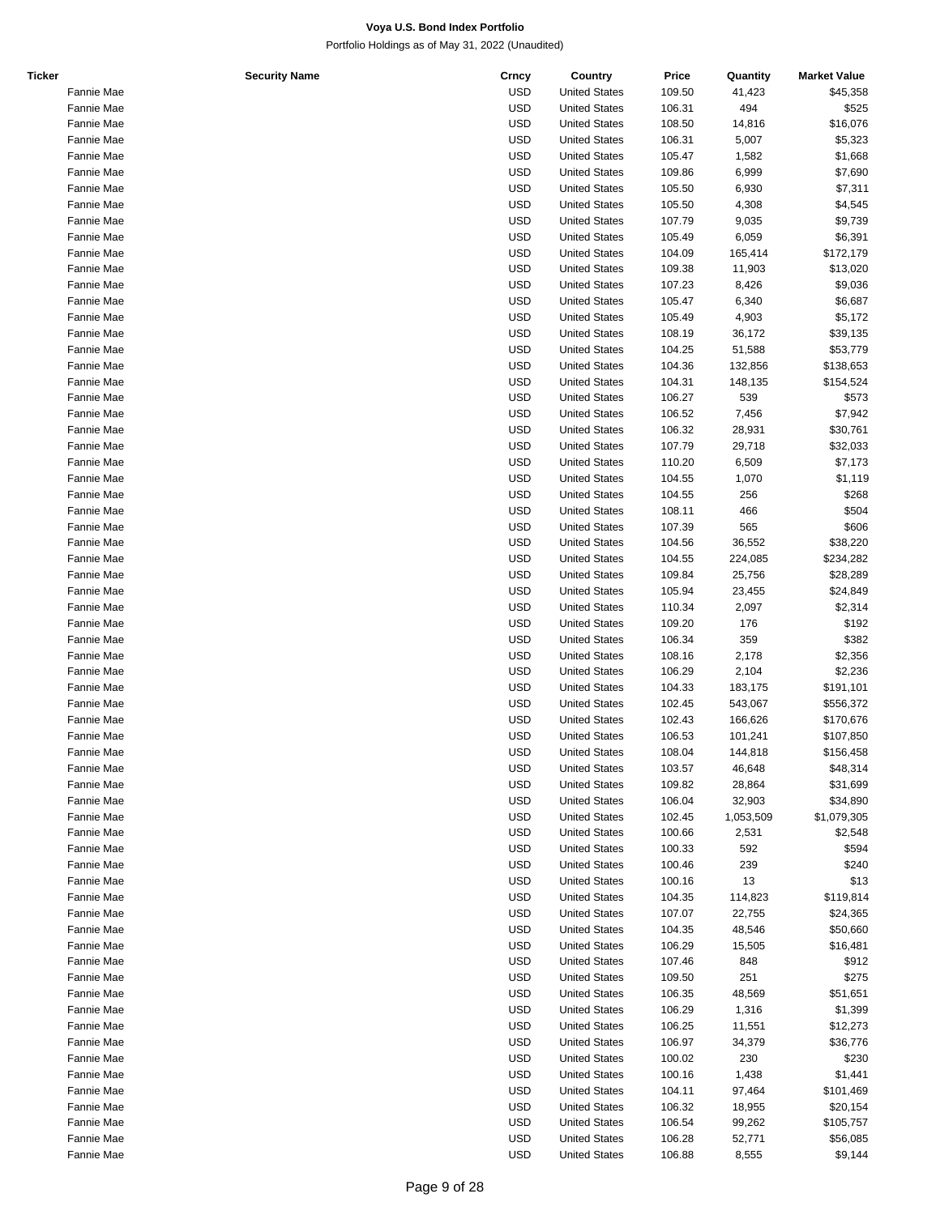| Ticker | <b>Security Name</b> | Crncy      | Country              | Price  | Quantity  | <b>Market Value</b> |
|--------|----------------------|------------|----------------------|--------|-----------|---------------------|
|        | Fannie Mae           | <b>USD</b> | <b>United States</b> | 109.50 | 41,423    | \$45,358            |
|        | Fannie Mae           | <b>USD</b> | <b>United States</b> | 106.31 | 494       | \$525               |
|        | Fannie Mae           | <b>USD</b> | <b>United States</b> | 108.50 | 14,816    | \$16,076            |
|        | Fannie Mae           | <b>USD</b> | <b>United States</b> | 106.31 | 5,007     | \$5,323             |
|        | Fannie Mae           | <b>USD</b> | <b>United States</b> | 105.47 | 1,582     | \$1,668             |
|        | Fannie Mae           | <b>USD</b> | <b>United States</b> | 109.86 | 6,999     | \$7,690             |
|        | Fannie Mae           | <b>USD</b> | <b>United States</b> | 105.50 | 6,930     | \$7,311             |
|        | Fannie Mae           | <b>USD</b> | <b>United States</b> | 105.50 | 4,308     | \$4,545             |
|        | Fannie Mae           | <b>USD</b> | <b>United States</b> | 107.79 | 9,035     | \$9,739             |
|        |                      |            |                      |        |           |                     |
|        | Fannie Mae           | <b>USD</b> | <b>United States</b> | 105.49 | 6,059     | \$6,391             |
|        | Fannie Mae           | <b>USD</b> | <b>United States</b> | 104.09 | 165,414   | \$172,179           |
|        | Fannie Mae           | <b>USD</b> | <b>United States</b> | 109.38 | 11,903    | \$13,020            |
|        | Fannie Mae           | <b>USD</b> | <b>United States</b> | 107.23 | 8,426     | \$9,036             |
|        | Fannie Mae           | <b>USD</b> | <b>United States</b> | 105.47 | 6,340     | \$6,687             |
|        | Fannie Mae           | <b>USD</b> | <b>United States</b> | 105.49 | 4,903     | \$5,172             |
|        | Fannie Mae           | <b>USD</b> | <b>United States</b> | 108.19 | 36,172    | \$39,135            |
|        | Fannie Mae           | <b>USD</b> | <b>United States</b> | 104.25 | 51,588    | \$53,779            |
|        | Fannie Mae           | <b>USD</b> | <b>United States</b> | 104.36 | 132,856   | \$138,653           |
|        | Fannie Mae           | <b>USD</b> | <b>United States</b> | 104.31 | 148,135   | \$154,524           |
|        | Fannie Mae           | <b>USD</b> | <b>United States</b> | 106.27 | 539       | \$573               |
|        | Fannie Mae           | <b>USD</b> | <b>United States</b> | 106.52 | 7,456     | \$7,942             |
|        | Fannie Mae           | <b>USD</b> | <b>United States</b> | 106.32 | 28,931    | \$30,761            |
|        | Fannie Mae           | <b>USD</b> | <b>United States</b> | 107.79 | 29,718    | \$32,033            |
|        | Fannie Mae           | <b>USD</b> | <b>United States</b> | 110.20 | 6,509     | \$7,173             |
|        | Fannie Mae           | <b>USD</b> | <b>United States</b> | 104.55 | 1,070     | \$1,119             |
|        |                      |            |                      |        |           |                     |
|        | Fannie Mae           | <b>USD</b> | <b>United States</b> | 104.55 | 256       | \$268               |
|        | Fannie Mae           | <b>USD</b> | <b>United States</b> | 108.11 | 466       | \$504               |
|        | Fannie Mae           | <b>USD</b> | <b>United States</b> | 107.39 | 565       | \$606               |
|        | Fannie Mae           | <b>USD</b> | <b>United States</b> | 104.56 | 36,552    | \$38,220            |
|        | Fannie Mae           | <b>USD</b> | <b>United States</b> | 104.55 | 224,085   | \$234,282           |
|        | Fannie Mae           | <b>USD</b> | <b>United States</b> | 109.84 | 25,756    | \$28,289            |
|        | Fannie Mae           | <b>USD</b> | <b>United States</b> | 105.94 | 23,455    | \$24,849            |
|        | Fannie Mae           | <b>USD</b> | <b>United States</b> | 110.34 | 2,097     | \$2,314             |
|        | Fannie Mae           | <b>USD</b> | <b>United States</b> | 109.20 | 176       | \$192               |
|        | Fannie Mae           | <b>USD</b> | <b>United States</b> | 106.34 | 359       | \$382               |
|        | Fannie Mae           | <b>USD</b> | <b>United States</b> | 108.16 | 2,178     | \$2,356             |
|        | Fannie Mae           | <b>USD</b> | <b>United States</b> | 106.29 | 2,104     | \$2,236             |
|        | Fannie Mae           | <b>USD</b> | <b>United States</b> | 104.33 | 183,175   | \$191,101           |
|        | Fannie Mae           | <b>USD</b> | <b>United States</b> | 102.45 | 543,067   | \$556,372           |
|        | Fannie Mae           | <b>USD</b> | <b>United States</b> | 102.43 | 166,626   | \$170,676           |
|        | Fannie Mae           | <b>USD</b> | <b>United States</b> | 106.53 | 101,241   | \$107,850           |
|        | <b>Fannie Mae</b>    | <b>USD</b> | <b>United States</b> | 108.04 |           |                     |
|        |                      |            |                      |        | 144,818   | \$156,458           |
|        | Fannie Mae           | <b>USD</b> | <b>United States</b> | 103.57 | 46,648    | \$48,314            |
|        | Fannie Mae           | <b>USD</b> | <b>United States</b> | 109.82 | 28,864    | \$31,699            |
|        | Fannie Mae           | <b>USD</b> | <b>United States</b> | 106.04 | 32,903    | \$34,890            |
|        | Fannie Mae           | <b>USD</b> | <b>United States</b> | 102.45 | 1,053,509 | \$1,079,305         |
|        | Fannie Mae           | <b>USD</b> | <b>United States</b> | 100.66 | 2,531     | \$2,548             |
|        | Fannie Mae           | <b>USD</b> | <b>United States</b> | 100.33 | 592       | \$594               |
|        | Fannie Mae           | <b>USD</b> | <b>United States</b> | 100.46 | 239       | \$240               |
|        | Fannie Mae           | <b>USD</b> | <b>United States</b> | 100.16 | 13        | \$13                |
|        | Fannie Mae           | <b>USD</b> | <b>United States</b> | 104.35 | 114,823   | \$119,814           |
|        | Fannie Mae           | <b>USD</b> | <b>United States</b> | 107.07 | 22,755    | \$24,365            |
|        | Fannie Mae           | <b>USD</b> | <b>United States</b> | 104.35 | 48,546    | \$50,660            |
|        | Fannie Mae           | <b>USD</b> | <b>United States</b> | 106.29 | 15,505    | \$16,481            |
|        | Fannie Mae           | <b>USD</b> | <b>United States</b> | 107.46 | 848       | \$912               |
|        | Fannie Mae           | <b>USD</b> | <b>United States</b> | 109.50 | 251       | \$275               |
|        |                      | <b>USD</b> | <b>United States</b> | 106.35 |           |                     |
|        | Fannie Mae           |            |                      |        | 48,569    | \$51,651            |
|        | Fannie Mae           | <b>USD</b> | <b>United States</b> | 106.29 | 1,316     | \$1,399             |
|        | Fannie Mae           | <b>USD</b> | <b>United States</b> | 106.25 | 11,551    | \$12,273            |
|        | Fannie Mae           | <b>USD</b> | <b>United States</b> | 106.97 | 34,379    | \$36,776            |
|        | Fannie Mae           | <b>USD</b> | <b>United States</b> | 100.02 | 230       | \$230               |
|        | Fannie Mae           | <b>USD</b> | <b>United States</b> | 100.16 | 1,438     | \$1,441             |
|        | Fannie Mae           | <b>USD</b> | <b>United States</b> | 104.11 | 97,464    | \$101,469           |
|        | Fannie Mae           | <b>USD</b> | <b>United States</b> | 106.32 | 18,955    | \$20,154            |
|        | Fannie Mae           | <b>USD</b> | <b>United States</b> | 106.54 | 99,262    | \$105,757           |
|        | Fannie Mae           | <b>USD</b> | <b>United States</b> | 106.28 | 52,771    | \$56,085            |
|        | Fannie Mae           | <b>USD</b> | <b>United States</b> | 106.88 | 8,555     | \$9,144             |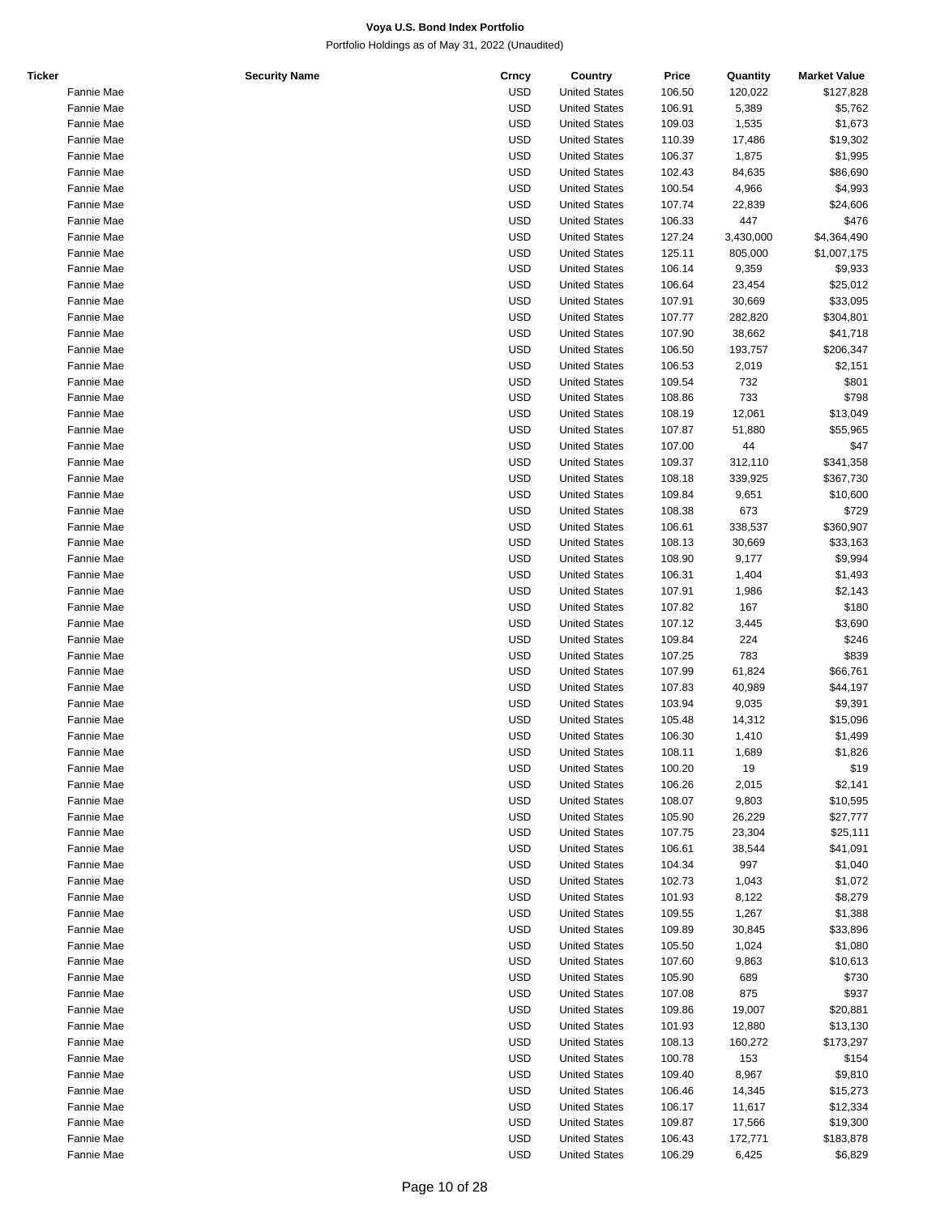| Ticker | <b>Security Name</b> | Crncy      | Country              | Price  | Quantity  | <b>Market Value</b> |
|--------|----------------------|------------|----------------------|--------|-----------|---------------------|
|        | Fannie Mae           | <b>USD</b> | <b>United States</b> | 106.50 | 120,022   | \$127,828           |
|        | Fannie Mae           | <b>USD</b> | <b>United States</b> | 106.91 | 5,389     | \$5,762             |
|        | Fannie Mae           | <b>USD</b> | <b>United States</b> | 109.03 | 1,535     | \$1,673             |
|        | Fannie Mae           | <b>USD</b> | <b>United States</b> | 110.39 | 17,486    | \$19,302            |
|        | Fannie Mae           | <b>USD</b> | <b>United States</b> | 106.37 | 1,875     | \$1,995             |
|        | Fannie Mae           | <b>USD</b> | <b>United States</b> | 102.43 | 84,635    | \$86,690            |
|        | Fannie Mae           | <b>USD</b> | <b>United States</b> | 100.54 | 4,966     | \$4,993             |
|        | Fannie Mae           | <b>USD</b> | <b>United States</b> | 107.74 | 22,839    | \$24,606            |
|        | Fannie Mae           | <b>USD</b> | <b>United States</b> | 106.33 | 447       | \$476               |
|        |                      | <b>USD</b> | <b>United States</b> |        |           |                     |
|        | Fannie Mae           |            |                      | 127.24 | 3,430,000 | \$4,364,490         |
|        | Fannie Mae           | <b>USD</b> | <b>United States</b> | 125.11 | 805,000   | \$1,007,175         |
|        | Fannie Mae           | <b>USD</b> | <b>United States</b> | 106.14 | 9,359     | \$9,933             |
|        | Fannie Mae           | <b>USD</b> | <b>United States</b> | 106.64 | 23,454    | \$25,012            |
|        | Fannie Mae           | <b>USD</b> | <b>United States</b> | 107.91 | 30,669    | \$33,095            |
|        | Fannie Mae           | <b>USD</b> | <b>United States</b> | 107.77 | 282,820   | \$304,801           |
|        | Fannie Mae           | <b>USD</b> | <b>United States</b> | 107.90 | 38,662    | \$41,718            |
|        | Fannie Mae           | <b>USD</b> | <b>United States</b> | 106.50 | 193,757   | \$206,347           |
|        | Fannie Mae           | <b>USD</b> | <b>United States</b> | 106.53 | 2,019     | \$2,151             |
|        | Fannie Mae           | <b>USD</b> | <b>United States</b> | 109.54 | 732       | \$801               |
|        | Fannie Mae           | <b>USD</b> | <b>United States</b> | 108.86 | 733       | \$798               |
|        | Fannie Mae           | <b>USD</b> | <b>United States</b> | 108.19 | 12,061    | \$13,049            |
|        | Fannie Mae           | <b>USD</b> | <b>United States</b> | 107.87 | 51,880    | \$55,965            |
|        | Fannie Mae           | <b>USD</b> | <b>United States</b> | 107.00 | 44        | \$47                |
|        | Fannie Mae           | <b>USD</b> | <b>United States</b> | 109.37 | 312,110   | \$341,358           |
|        | Fannie Mae           | <b>USD</b> | <b>United States</b> |        |           |                     |
|        | Fannie Mae           |            |                      | 108.18 | 339,925   | \$367,730           |
|        |                      | <b>USD</b> | <b>United States</b> | 109.84 | 9,651     | \$10,600            |
|        | Fannie Mae           | <b>USD</b> | <b>United States</b> | 108.38 | 673       | \$729               |
|        | Fannie Mae           | <b>USD</b> | <b>United States</b> | 106.61 | 338,537   | \$360,907           |
|        | Fannie Mae           | <b>USD</b> | <b>United States</b> | 108.13 | 30,669    | \$33,163            |
|        | Fannie Mae           | <b>USD</b> | <b>United States</b> | 108.90 | 9,177     | \$9,994             |
|        | Fannie Mae           | <b>USD</b> | <b>United States</b> | 106.31 | 1,404     | \$1,493             |
|        | Fannie Mae           | <b>USD</b> | <b>United States</b> | 107.91 | 1,986     | \$2,143             |
|        | Fannie Mae           | <b>USD</b> | <b>United States</b> | 107.82 | 167       | \$180               |
|        | Fannie Mae           | <b>USD</b> | <b>United States</b> | 107.12 | 3,445     | \$3,690             |
|        | Fannie Mae           | <b>USD</b> | <b>United States</b> | 109.84 | 224       | \$246               |
|        | Fannie Mae           | <b>USD</b> | <b>United States</b> | 107.25 | 783       | \$839               |
|        | Fannie Mae           | <b>USD</b> | <b>United States</b> | 107.99 | 61,824    | \$66,761            |
|        | Fannie Mae           | <b>USD</b> | <b>United States</b> | 107.83 | 40,989    | \$44,197            |
|        | Fannie Mae           | <b>USD</b> | <b>United States</b> | 103.94 | 9,035     | \$9,391             |
|        | Fannie Mae           | <b>USD</b> | <b>United States</b> | 105.48 | 14,312    | \$15,096            |
|        | Fannie Mae           | <b>USD</b> | <b>United States</b> | 106.30 | 1,410     | \$1,499             |
|        | Fannie Mae           | <b>USD</b> | <b>United States</b> | 108.11 | 1,689     | \$1,826             |
|        |                      |            |                      |        | 19        | \$19                |
|        | Fannie Mae           | <b>USD</b> | <b>United States</b> | 100.20 |           |                     |
|        | Fannie Mae           | <b>USD</b> | <b>United States</b> | 106.26 | 2,015     | \$2,141             |
|        | Fannie Mae           | <b>USD</b> | <b>United States</b> | 108.07 | 9,803     | \$10,595            |
|        | Fannie Mae           | <b>USD</b> | <b>United States</b> | 105.90 | 26,229    | \$27,777            |
|        | Fannie Mae           | <b>USD</b> | <b>United States</b> | 107.75 | 23,304    | \$25,111            |
|        | Fannie Mae           | <b>USD</b> | <b>United States</b> | 106.61 | 38,544    | \$41,091            |
|        | Fannie Mae           | <b>USD</b> | <b>United States</b> | 104.34 | 997       | \$1,040             |
|        | Fannie Mae           | <b>USD</b> | <b>United States</b> | 102.73 | 1,043     | \$1,072             |
|        | Fannie Mae           | <b>USD</b> | <b>United States</b> | 101.93 | 8,122     | \$8,279             |
|        | Fannie Mae           | <b>USD</b> | <b>United States</b> | 109.55 | 1,267     | \$1,388             |
|        | Fannie Mae           | <b>USD</b> | <b>United States</b> | 109.89 | 30,845    | \$33,896            |
|        | Fannie Mae           | <b>USD</b> | <b>United States</b> | 105.50 | 1,024     | \$1,080             |
|        | Fannie Mae           | <b>USD</b> | <b>United States</b> | 107.60 | 9,863     | \$10,613            |
|        | Fannie Mae           | <b>USD</b> | <b>United States</b> | 105.90 | 689       | \$730               |
|        | Fannie Mae           | <b>USD</b> | <b>United States</b> | 107.08 | 875       | \$937               |
|        |                      | <b>USD</b> | <b>United States</b> |        |           |                     |
|        | Fannie Mae           |            |                      | 109.86 | 19,007    | \$20,881            |
|        | Fannie Mae           | <b>USD</b> | <b>United States</b> | 101.93 | 12,880    | \$13,130            |
|        | Fannie Mae           | <b>USD</b> | <b>United States</b> | 108.13 | 160,272   | \$173,297           |
|        | Fannie Mae           | <b>USD</b> | <b>United States</b> | 100.78 | 153       | \$154               |
|        | Fannie Mae           | <b>USD</b> | <b>United States</b> | 109.40 | 8,967     | \$9,810             |
|        | Fannie Mae           | <b>USD</b> | <b>United States</b> | 106.46 | 14,345    | \$15,273            |
|        | Fannie Mae           | <b>USD</b> | <b>United States</b> | 106.17 | 11,617    | \$12,334            |
|        | Fannie Mae           | <b>USD</b> | <b>United States</b> | 109.87 | 17,566    | \$19,300            |
|        | Fannie Mae           | <b>USD</b> | <b>United States</b> | 106.43 | 172,771   | \$183,878           |
|        | Fannie Mae           | <b>USD</b> | <b>United States</b> | 106.29 | 6,425     | \$6,829             |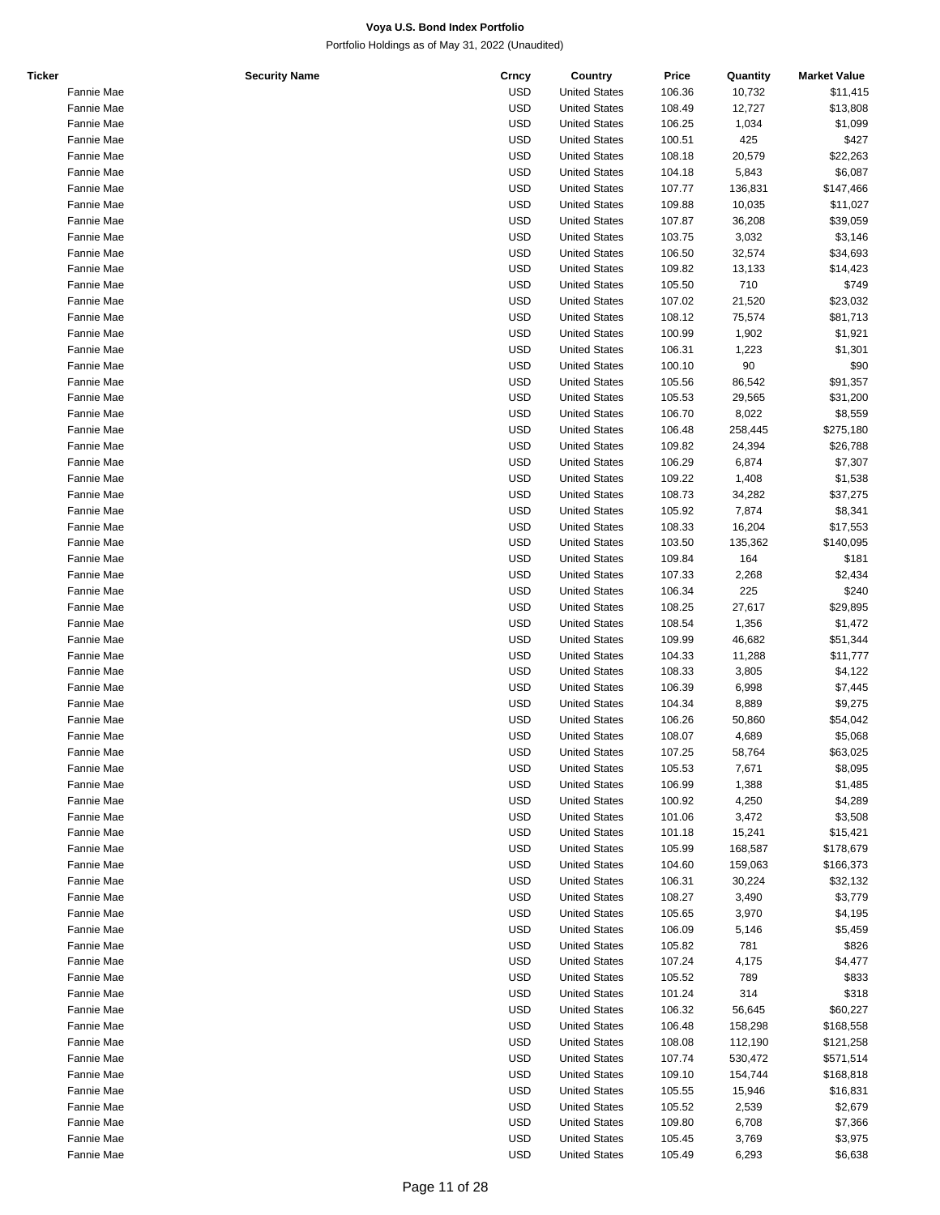| <b>Ticker</b> | <b>Security Name</b> | Crncy      | Country              | Price  | Quantity | <b>Market Value</b> |
|---------------|----------------------|------------|----------------------|--------|----------|---------------------|
|               | Fannie Mae           | <b>USD</b> | <b>United States</b> | 106.36 | 10,732   | \$11,415            |
|               | Fannie Mae           | <b>USD</b> | <b>United States</b> | 108.49 | 12,727   | \$13,808            |
|               | Fannie Mae           | <b>USD</b> | <b>United States</b> | 106.25 | 1,034    | \$1,099             |
|               | Fannie Mae           | <b>USD</b> | <b>United States</b> | 100.51 | 425      | \$427               |
|               | Fannie Mae           | <b>USD</b> | <b>United States</b> | 108.18 | 20,579   | \$22,263            |
|               | Fannie Mae           | <b>USD</b> | <b>United States</b> | 104.18 | 5,843    | \$6,087             |
|               | Fannie Mae           | <b>USD</b> | <b>United States</b> | 107.77 | 136,831  | \$147,466           |
|               | Fannie Mae           | <b>USD</b> | <b>United States</b> | 109.88 | 10,035   | \$11,027            |
|               | Fannie Mae           | <b>USD</b> | <b>United States</b> | 107.87 | 36,208   | \$39,059            |
|               | Fannie Mae           | <b>USD</b> | <b>United States</b> | 103.75 | 3,032    | \$3,146             |
|               | Fannie Mae           | <b>USD</b> | <b>United States</b> | 106.50 | 32,574   | \$34,693            |
|               | Fannie Mae           | <b>USD</b> | <b>United States</b> | 109.82 | 13,133   | \$14,423            |
|               | Fannie Mae           | <b>USD</b> | <b>United States</b> | 105.50 | 710      | \$749               |
|               | Fannie Mae           | <b>USD</b> | <b>United States</b> | 107.02 | 21,520   | \$23,032            |
|               | Fannie Mae           | <b>USD</b> | <b>United States</b> | 108.12 | 75,574   | \$81,713            |
|               | Fannie Mae           | <b>USD</b> | <b>United States</b> | 100.99 | 1,902    | \$1,921             |
|               | Fannie Mae           | <b>USD</b> | <b>United States</b> | 106.31 | 1,223    | \$1,301             |
|               | Fannie Mae           | <b>USD</b> | <b>United States</b> | 100.10 | 90       | \$90                |
|               | Fannie Mae           | <b>USD</b> | <b>United States</b> | 105.56 | 86,542   | \$91,357            |
|               | Fannie Mae           | <b>USD</b> | <b>United States</b> | 105.53 | 29,565   | \$31,200            |
|               | Fannie Mae           | <b>USD</b> | <b>United States</b> | 106.70 | 8,022    | \$8,559             |
|               | Fannie Mae           | <b>USD</b> | <b>United States</b> | 106.48 | 258,445  | \$275,180           |
|               | Fannie Mae           | <b>USD</b> | <b>United States</b> | 109.82 | 24,394   | \$26,788            |
|               | Fannie Mae           | <b>USD</b> | <b>United States</b> | 106.29 | 6,874    | \$7,307             |
|               | Fannie Mae           | <b>USD</b> | <b>United States</b> | 109.22 | 1,408    | \$1,538             |
|               | Fannie Mae           | <b>USD</b> | <b>United States</b> | 108.73 | 34,282   | \$37,275            |
|               | Fannie Mae           | <b>USD</b> | <b>United States</b> | 105.92 | 7,874    | \$8,341             |
|               | Fannie Mae           | <b>USD</b> | <b>United States</b> | 108.33 | 16,204   | \$17,553            |
|               | Fannie Mae           | <b>USD</b> | <b>United States</b> | 103.50 | 135,362  | \$140,095           |
|               | Fannie Mae           | <b>USD</b> | <b>United States</b> | 109.84 | 164      | \$181               |
|               | Fannie Mae           | <b>USD</b> | <b>United States</b> | 107.33 | 2,268    | \$2,434             |
|               | Fannie Mae           | <b>USD</b> | <b>United States</b> | 106.34 | 225      | \$240               |
|               | Fannie Mae           | <b>USD</b> | <b>United States</b> | 108.25 | 27,617   | \$29,895            |
|               | Fannie Mae           | <b>USD</b> | <b>United States</b> | 108.54 | 1,356    | \$1,472             |
|               | Fannie Mae           | <b>USD</b> | <b>United States</b> | 109.99 | 46,682   | \$51,344            |
|               | Fannie Mae           | <b>USD</b> | <b>United States</b> | 104.33 | 11,288   | \$11,777            |
|               | Fannie Mae           | <b>USD</b> | <b>United States</b> | 108.33 | 3,805    | \$4,122             |
|               | Fannie Mae           | <b>USD</b> | <b>United States</b> | 106.39 | 6,998    | \$7,445             |
|               | Fannie Mae           | <b>USD</b> | <b>United States</b> | 104.34 | 8,889    | \$9,275             |
|               | Fannie Mae           | <b>USD</b> | <b>United States</b> | 106.26 | 50,860   | \$54,042            |
|               | Fannie Mae           | <b>USD</b> | <b>United States</b> | 108.07 | 4,689    | \$5,068             |
|               | Fannie Mae           | <b>USD</b> | <b>United States</b> | 107.25 | 58,764   | \$63,025            |
|               | Fannie Mae           | <b>USD</b> | <b>United States</b> | 105.53 | 7,671    | \$8,095             |
|               | Fannie Mae           | <b>USD</b> | <b>United States</b> | 106.99 | 1,388    | \$1,485             |
|               | Fannie Mae           | <b>USD</b> | <b>United States</b> | 100.92 | 4,250    | \$4,289             |
|               | Fannie Mae           | <b>USD</b> | <b>United States</b> | 101.06 | 3,472    | \$3,508             |
|               | Fannie Mae           | <b>USD</b> | <b>United States</b> | 101.18 | 15,241   | \$15,421            |
|               | Fannie Mae           | <b>USD</b> | <b>United States</b> | 105.99 | 168,587  | \$178,679           |
|               | Fannie Mae           | <b>USD</b> | <b>United States</b> | 104.60 | 159,063  | \$166,373           |
|               | Fannie Mae           | <b>USD</b> | <b>United States</b> | 106.31 | 30,224   | \$32,132            |
|               | Fannie Mae           | <b>USD</b> | <b>United States</b> | 108.27 | 3,490    | \$3,779             |
|               | Fannie Mae           | <b>USD</b> | <b>United States</b> | 105.65 | 3,970    | \$4,195             |
|               | Fannie Mae           | <b>USD</b> | <b>United States</b> | 106.09 | 5,146    | \$5,459             |
|               | Fannie Mae           | <b>USD</b> | <b>United States</b> | 105.82 | 781      | \$826               |
|               | Fannie Mae           | <b>USD</b> | <b>United States</b> | 107.24 | 4,175    | \$4,477             |
|               | Fannie Mae           | <b>USD</b> | <b>United States</b> | 105.52 | 789      | \$833               |
|               | Fannie Mae           | <b>USD</b> | <b>United States</b> | 101.24 | 314      | \$318               |
|               | Fannie Mae           | <b>USD</b> | <b>United States</b> | 106.32 | 56,645   | \$60,227            |
|               | Fannie Mae           | <b>USD</b> | <b>United States</b> | 106.48 | 158,298  | \$168,558           |
|               | Fannie Mae           | <b>USD</b> | <b>United States</b> | 108.08 | 112,190  | \$121,258           |
|               | Fannie Mae           | <b>USD</b> | <b>United States</b> | 107.74 | 530,472  | \$571,514           |
|               | Fannie Mae           | <b>USD</b> | <b>United States</b> | 109.10 | 154,744  | \$168,818           |
|               | Fannie Mae           | <b>USD</b> | <b>United States</b> | 105.55 | 15,946   | \$16,831            |
|               | Fannie Mae           | <b>USD</b> | <b>United States</b> | 105.52 | 2,539    | \$2,679             |
|               | Fannie Mae           | <b>USD</b> | <b>United States</b> | 109.80 | 6,708    | \$7,366             |
|               | Fannie Mae           | <b>USD</b> | <b>United States</b> | 105.45 | 3,769    | \$3,975             |
|               | Fannie Mae           | <b>USD</b> | <b>United States</b> | 105.49 | 6,293    | \$6,638             |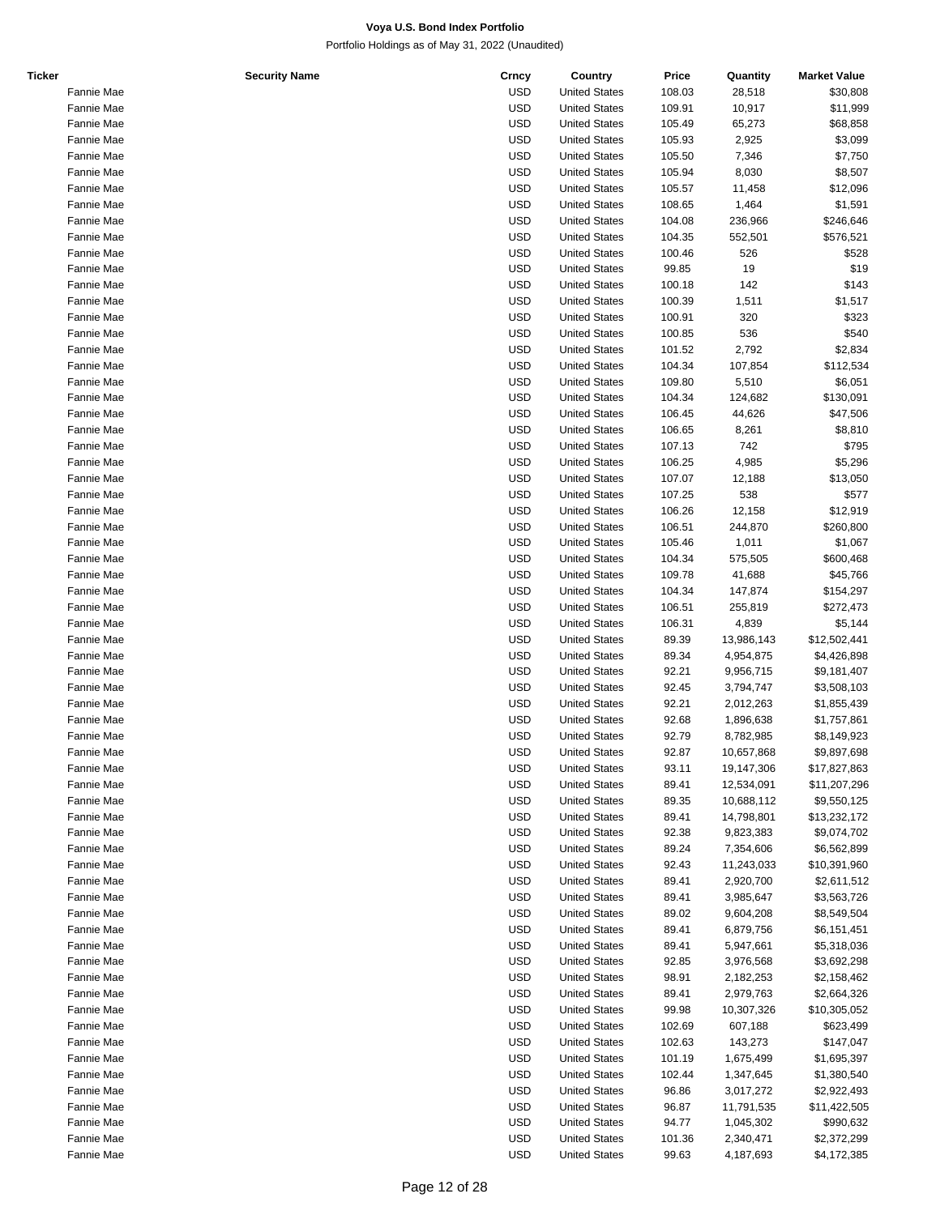| Ticker |            | <b>Security Name</b> | Crncy      | Country              | Price  | Quantity   | <b>Market Value</b> |
|--------|------------|----------------------|------------|----------------------|--------|------------|---------------------|
|        | Fannie Mae |                      | <b>USD</b> | <b>United States</b> | 108.03 | 28,518     | \$30,808            |
|        | Fannie Mae |                      | <b>USD</b> | <b>United States</b> | 109.91 | 10,917     | \$11,999            |
|        | Fannie Mae |                      | <b>USD</b> | <b>United States</b> | 105.49 | 65,273     | \$68,858            |
|        | Fannie Mae |                      | <b>USD</b> | <b>United States</b> | 105.93 | 2,925      | \$3,099             |
|        | Fannie Mae |                      | <b>USD</b> | <b>United States</b> | 105.50 | 7,346      | \$7,750             |
|        | Fannie Mae |                      | <b>USD</b> | <b>United States</b> | 105.94 | 8,030      | \$8,507             |
|        | Fannie Mae |                      | <b>USD</b> | <b>United States</b> | 105.57 | 11,458     | \$12,096            |
|        | Fannie Mae |                      | <b>USD</b> | <b>United States</b> | 108.65 |            |                     |
|        |            |                      |            |                      |        | 1,464      | \$1,591             |
|        | Fannie Mae |                      | <b>USD</b> | <b>United States</b> | 104.08 | 236,966    | \$246,646           |
|        | Fannie Mae |                      | <b>USD</b> | <b>United States</b> | 104.35 | 552,501    | \$576,521           |
|        | Fannie Mae |                      | <b>USD</b> | <b>United States</b> | 100.46 | 526        | \$528               |
|        | Fannie Mae |                      | <b>USD</b> | <b>United States</b> | 99.85  | 19         | \$19                |
|        | Fannie Mae |                      | <b>USD</b> | <b>United States</b> | 100.18 | 142        | \$143               |
|        | Fannie Mae |                      | <b>USD</b> | <b>United States</b> | 100.39 | 1,511      | \$1,517             |
|        | Fannie Mae |                      | <b>USD</b> | <b>United States</b> | 100.91 | 320        | \$323               |
|        | Fannie Mae |                      | <b>USD</b> | <b>United States</b> | 100.85 | 536        | \$540               |
|        | Fannie Mae |                      | <b>USD</b> | <b>United States</b> | 101.52 | 2,792      | \$2,834             |
|        | Fannie Mae |                      | <b>USD</b> | <b>United States</b> | 104.34 | 107,854    | \$112,534           |
|        | Fannie Mae |                      | <b>USD</b> | <b>United States</b> | 109.80 | 5,510      | \$6,051             |
|        | Fannie Mae |                      | <b>USD</b> | <b>United States</b> | 104.34 | 124,682    | \$130,091           |
|        | Fannie Mae |                      | <b>USD</b> | <b>United States</b> | 106.45 | 44,626     | \$47,506            |
|        | Fannie Mae |                      | <b>USD</b> | <b>United States</b> | 106.65 | 8,261      | \$8,810             |
|        |            |                      |            |                      |        |            |                     |
|        | Fannie Mae |                      | <b>USD</b> | <b>United States</b> | 107.13 | 742        | \$795               |
|        | Fannie Mae |                      | <b>USD</b> | <b>United States</b> | 106.25 | 4,985      | \$5,296             |
|        | Fannie Mae |                      | <b>USD</b> | <b>United States</b> | 107.07 | 12,188     | \$13,050            |
|        | Fannie Mae |                      | <b>USD</b> | <b>United States</b> | 107.25 | 538        | \$577               |
|        | Fannie Mae |                      | <b>USD</b> | <b>United States</b> | 106.26 | 12,158     | \$12,919            |
|        | Fannie Mae |                      | <b>USD</b> | <b>United States</b> | 106.51 | 244,870    | \$260,800           |
|        | Fannie Mae |                      | <b>USD</b> | <b>United States</b> | 105.46 | 1,011      | \$1,067             |
|        | Fannie Mae |                      | <b>USD</b> | <b>United States</b> | 104.34 | 575,505    | \$600,468           |
|        | Fannie Mae |                      | <b>USD</b> | <b>United States</b> | 109.78 | 41,688     | \$45,766            |
|        | Fannie Mae |                      | <b>USD</b> | <b>United States</b> | 104.34 | 147,874    | \$154,297           |
|        | Fannie Mae |                      | <b>USD</b> | <b>United States</b> | 106.51 | 255,819    | \$272,473           |
|        | Fannie Mae |                      | <b>USD</b> | <b>United States</b> | 106.31 | 4,839      | \$5,144             |
|        | Fannie Mae |                      | <b>USD</b> | <b>United States</b> | 89.39  | 13,986,143 | \$12,502,441        |
|        |            |                      |            |                      |        |            |                     |
|        | Fannie Mae |                      | <b>USD</b> | <b>United States</b> | 89.34  | 4,954,875  | \$4,426,898         |
|        | Fannie Mae |                      | <b>USD</b> | <b>United States</b> | 92.21  | 9,956,715  | \$9,181,407         |
|        | Fannie Mae |                      | <b>USD</b> | <b>United States</b> | 92.45  | 3,794,747  | \$3,508,103         |
|        | Fannie Mae |                      | <b>USD</b> | <b>United States</b> | 92.21  | 2,012,263  | \$1,855,439         |
|        | Fannie Mae |                      | <b>USD</b> | <b>United States</b> | 92.68  | 1,896,638  | \$1,757,861         |
|        | Fannie Mae |                      | <b>USD</b> | <b>United States</b> | 92.79  | 8,782,985  | \$8,149,923         |
|        | Fannie Mae |                      | <b>USD</b> | <b>United States</b> | 92.87  | 10,657,868 | \$9,897,698         |
|        | Fannie Mae |                      | <b>USD</b> | <b>United States</b> | 93.11  | 19,147,306 | \$17,827,863        |
|        | Fannie Mae |                      | <b>USD</b> | <b>United States</b> | 89.41  | 12,534,091 | \$11,207,296        |
|        | Fannie Mae |                      | <b>USD</b> | <b>United States</b> | 89.35  | 10,688,112 | \$9,550,125         |
|        | Fannie Mae |                      | <b>USD</b> | <b>United States</b> | 89.41  | 14,798,801 | \$13,232,172        |
|        | Fannie Mae |                      | <b>USD</b> | <b>United States</b> | 92.38  | 9,823,383  | \$9,074,702         |
|        |            |                      | <b>USD</b> | <b>United States</b> | 89.24  |            |                     |
|        | Fannie Mae |                      |            |                      |        | 7,354,606  | \$6,562,899         |
|        | Fannie Mae |                      | <b>USD</b> | <b>United States</b> | 92.43  | 11,243,033 | \$10,391,960        |
|        | Fannie Mae |                      | <b>USD</b> | <b>United States</b> | 89.41  | 2,920,700  | \$2,611,512         |
|        | Fannie Mae |                      | <b>USD</b> | <b>United States</b> | 89.41  | 3,985,647  | \$3,563,726         |
|        | Fannie Mae |                      | <b>USD</b> | <b>United States</b> | 89.02  | 9,604,208  | \$8,549,504         |
|        | Fannie Mae |                      | <b>USD</b> | <b>United States</b> | 89.41  | 6,879,756  | \$6,151,451         |
|        | Fannie Mae |                      | <b>USD</b> | <b>United States</b> | 89.41  | 5,947,661  | \$5,318,036         |
|        | Fannie Mae |                      | <b>USD</b> | <b>United States</b> | 92.85  | 3,976,568  | \$3,692,298         |
|        | Fannie Mae |                      | <b>USD</b> | <b>United States</b> | 98.91  | 2,182,253  | \$2,158,462         |
|        | Fannie Mae |                      | <b>USD</b> | <b>United States</b> | 89.41  | 2,979,763  | \$2,664,326         |
|        | Fannie Mae |                      | <b>USD</b> | <b>United States</b> | 99.98  | 10,307,326 | \$10,305,052        |
|        | Fannie Mae |                      | <b>USD</b> | <b>United States</b> | 102.69 | 607,188    | \$623,499           |
|        |            |                      |            |                      |        |            |                     |
|        | Fannie Mae |                      | <b>USD</b> | <b>United States</b> | 102.63 | 143,273    | \$147,047           |
|        | Fannie Mae |                      | <b>USD</b> | <b>United States</b> | 101.19 | 1,675,499  | \$1,695,397         |
|        | Fannie Mae |                      | <b>USD</b> | <b>United States</b> | 102.44 | 1,347,645  | \$1,380,540         |
|        | Fannie Mae |                      | <b>USD</b> | <b>United States</b> | 96.86  | 3,017,272  | \$2,922,493         |
|        | Fannie Mae |                      | <b>USD</b> | <b>United States</b> | 96.87  | 11,791,535 | \$11,422,505        |
|        | Fannie Mae |                      | <b>USD</b> | <b>United States</b> | 94.77  | 1,045,302  | \$990,632           |
|        | Fannie Mae |                      | <b>USD</b> | <b>United States</b> | 101.36 | 2,340,471  | \$2,372,299         |
|        | Fannie Mae |                      | <b>USD</b> | <b>United States</b> | 99.63  | 4,187,693  | \$4,172,385         |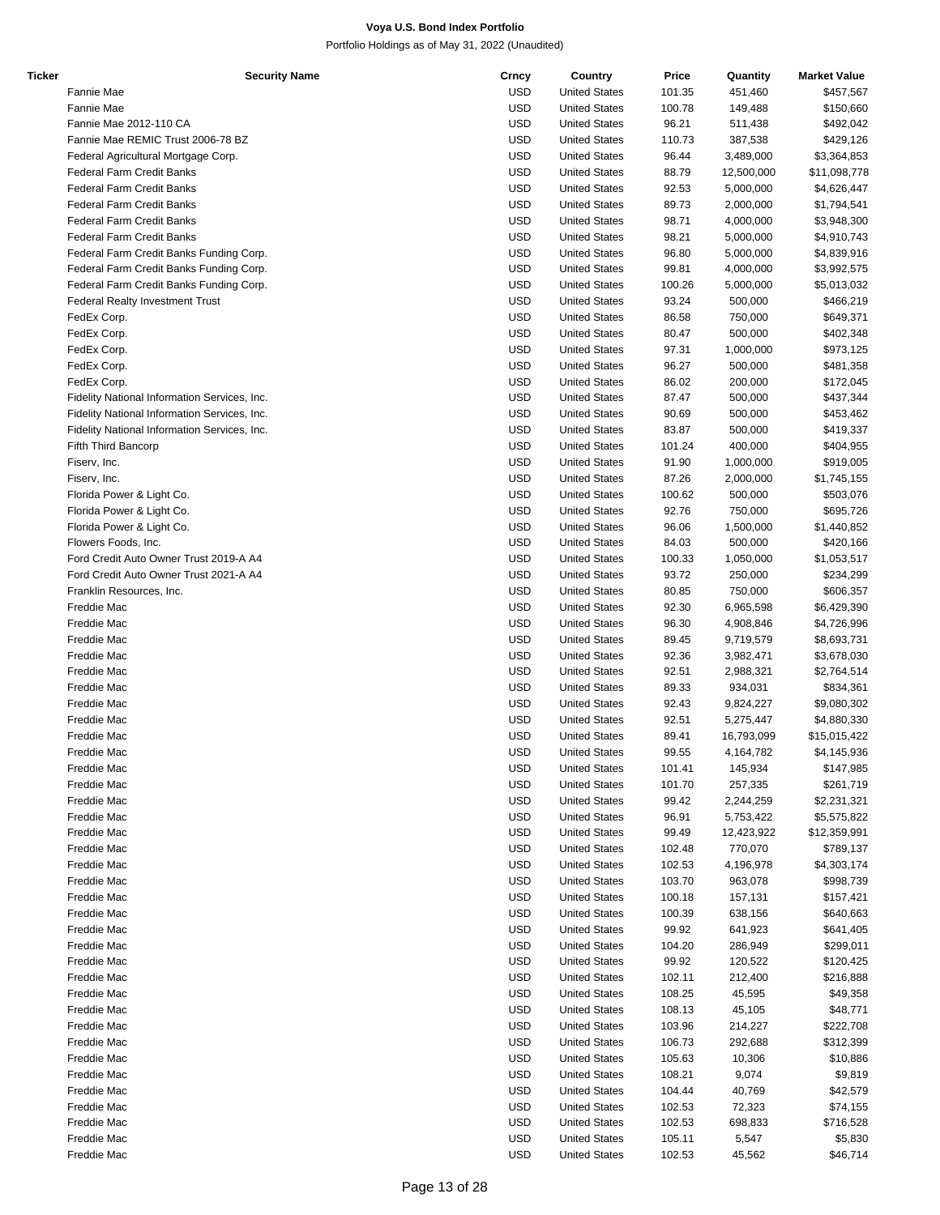| Ticker | <b>Security Name</b>                         | Crncy      | Country              | Price  | Quantity   | <b>Market Value</b> |
|--------|----------------------------------------------|------------|----------------------|--------|------------|---------------------|
|        | Fannie Mae                                   | <b>USD</b> | <b>United States</b> | 101.35 | 451,460    | \$457,567           |
|        | Fannie Mae                                   | <b>USD</b> | <b>United States</b> | 100.78 | 149,488    | \$150,660           |
|        | Fannie Mae 2012-110 CA                       | <b>USD</b> | <b>United States</b> | 96.21  | 511,438    | \$492,042           |
|        | Fannie Mae REMIC Trust 2006-78 BZ            | <b>USD</b> | <b>United States</b> | 110.73 | 387,538    | \$429,126           |
|        | Federal Agricultural Mortgage Corp.          | <b>USD</b> | <b>United States</b> | 96.44  | 3,489,000  | \$3,364,853         |
|        | Federal Farm Credit Banks                    | <b>USD</b> | <b>United States</b> | 88.79  | 12,500,000 | \$11,098,778        |
|        | Federal Farm Credit Banks                    | <b>USD</b> | <b>United States</b> | 92.53  | 5,000,000  | \$4,626,447         |
|        | <b>Federal Farm Credit Banks</b>             | <b>USD</b> | <b>United States</b> | 89.73  | 2,000,000  | \$1,794,541         |
|        |                                              |            |                      |        |            |                     |
|        | <b>Federal Farm Credit Banks</b>             | <b>USD</b> | <b>United States</b> | 98.71  | 4,000,000  | \$3,948,300         |
|        | <b>Federal Farm Credit Banks</b>             | <b>USD</b> | <b>United States</b> | 98.21  | 5,000,000  | \$4,910,743         |
|        | Federal Farm Credit Banks Funding Corp.      | <b>USD</b> | <b>United States</b> | 96.80  | 5,000,000  | \$4,839,916         |
|        | Federal Farm Credit Banks Funding Corp.      | <b>USD</b> | <b>United States</b> | 99.81  | 4,000,000  | \$3,992,575         |
|        | Federal Farm Credit Banks Funding Corp.      | <b>USD</b> | <b>United States</b> | 100.26 | 5,000,000  | \$5,013,032         |
|        | <b>Federal Realty Investment Trust</b>       | <b>USD</b> | <b>United States</b> | 93.24  | 500,000    | \$466,219           |
|        | FedEx Corp.                                  | <b>USD</b> | <b>United States</b> | 86.58  | 750,000    | \$649,371           |
|        | FedEx Corp.                                  | <b>USD</b> | <b>United States</b> | 80.47  | 500,000    | \$402,348           |
|        | FedEx Corp.                                  | <b>USD</b> | <b>United States</b> | 97.31  | 1,000,000  | \$973,125           |
|        | FedEx Corp.                                  | <b>USD</b> | <b>United States</b> | 96.27  | 500,000    | \$481,358           |
|        | FedEx Corp.                                  | <b>USD</b> | <b>United States</b> | 86.02  | 200,000    | \$172,045           |
|        | Fidelity National Information Services, Inc. | <b>USD</b> | <b>United States</b> | 87.47  | 500,000    | \$437,344           |
|        | Fidelity National Information Services, Inc. | <b>USD</b> | <b>United States</b> | 90.69  | 500,000    | \$453,462           |
|        | Fidelity National Information Services, Inc. | <b>USD</b> | <b>United States</b> | 83.87  | 500,000    |                     |
|        |                                              |            |                      |        |            | \$419,337           |
|        | Fifth Third Bancorp                          | <b>USD</b> | <b>United States</b> | 101.24 | 400,000    | \$404,955           |
|        | Fiserv, Inc.                                 | <b>USD</b> | <b>United States</b> | 91.90  | 1,000,000  | \$919,005           |
|        | Fiserv, Inc.                                 | <b>USD</b> | <b>United States</b> | 87.26  | 2,000,000  | \$1,745,155         |
|        | Florida Power & Light Co.                    | <b>USD</b> | <b>United States</b> | 100.62 | 500,000    | \$503,076           |
|        | Florida Power & Light Co.                    | <b>USD</b> | <b>United States</b> | 92.76  | 750,000    | \$695,726           |
|        | Florida Power & Light Co.                    | <b>USD</b> | <b>United States</b> | 96.06  | 1,500,000  | \$1,440,852         |
|        | Flowers Foods, Inc.                          | <b>USD</b> | <b>United States</b> | 84.03  | 500,000    | \$420,166           |
|        | Ford Credit Auto Owner Trust 2019-A A4       | <b>USD</b> | <b>United States</b> | 100.33 | 1,050,000  | \$1,053,517         |
|        | Ford Credit Auto Owner Trust 2021-A A4       | <b>USD</b> | <b>United States</b> | 93.72  | 250,000    | \$234,299           |
|        | Franklin Resources, Inc.                     | <b>USD</b> | <b>United States</b> | 80.85  | 750,000    | \$606,357           |
|        | Freddie Mac                                  | <b>USD</b> | <b>United States</b> | 92.30  | 6,965,598  | \$6,429,390         |
|        | Freddie Mac                                  | <b>USD</b> | <b>United States</b> | 96.30  | 4,908,846  | \$4,726,996         |
|        | Freddie Mac                                  | <b>USD</b> | <b>United States</b> | 89.45  | 9,719,579  | \$8,693,731         |
|        | Freddie Mac                                  | <b>USD</b> |                      |        |            |                     |
|        |                                              |            | <b>United States</b> | 92.36  | 3,982,471  | \$3,678,030         |
|        | Freddie Mac                                  | <b>USD</b> | <b>United States</b> | 92.51  | 2,988,321  | \$2,764,514         |
|        | Freddie Mac                                  | <b>USD</b> | <b>United States</b> | 89.33  | 934,031    | \$834,361           |
|        | Freddie Mac                                  | <b>USD</b> | <b>United States</b> | 92.43  | 9,824,227  | \$9,080,302         |
|        | Freddie Mac                                  | <b>USD</b> | <b>United States</b> | 92.51  | 5,275,447  | \$4,880,330         |
|        | Freddie Mac                                  | <b>USD</b> | <b>United States</b> | 89.41  | 16,793,099 | \$15,015,422        |
|        | Freddie Mac                                  | <b>USD</b> | <b>United States</b> | 99.55  | 4.164.782  | \$4,145,936         |
|        | Freddie Mac                                  | <b>USD</b> | <b>United States</b> | 101.41 | 145,934    | \$147,985           |
|        | Freddie Mac                                  | <b>USD</b> | <b>United States</b> | 101.70 | 257,335    | \$261,719           |
|        | Freddie Mac                                  | <b>USD</b> | <b>United States</b> | 99.42  | 2,244,259  | \$2,231,321         |
|        | Freddie Mac                                  | <b>USD</b> | <b>United States</b> | 96.91  | 5,753,422  | \$5,575,822         |
|        | Freddie Mac                                  | <b>USD</b> | <b>United States</b> | 99.49  | 12,423,922 | \$12,359,991        |
|        | Freddie Mac                                  | <b>USD</b> | <b>United States</b> | 102.48 | 770,070    | \$789,137           |
|        |                                              | <b>USD</b> | <b>United States</b> |        |            |                     |
|        | Freddie Mac                                  |            |                      | 102.53 | 4,196,978  | \$4,303,174         |
|        | Freddie Mac                                  | <b>USD</b> | <b>United States</b> | 103.70 | 963,078    | \$998,739           |
|        | Freddie Mac                                  | <b>USD</b> | <b>United States</b> | 100.18 | 157,131    | \$157,421           |
|        | Freddie Mac                                  | <b>USD</b> | <b>United States</b> | 100.39 | 638,156    | \$640,663           |
|        | Freddie Mac                                  | <b>USD</b> | <b>United States</b> | 99.92  | 641,923    | \$641,405           |
|        | Freddie Mac                                  | <b>USD</b> | <b>United States</b> | 104.20 | 286,949    | \$299,011           |
|        | Freddie Mac                                  | <b>USD</b> | <b>United States</b> | 99.92  | 120,522    | \$120,425           |
|        | Freddie Mac                                  | <b>USD</b> | <b>United States</b> | 102.11 | 212,400    | \$216,888           |
|        | Freddie Mac                                  | <b>USD</b> | <b>United States</b> | 108.25 | 45,595     | \$49,358            |
|        | Freddie Mac                                  | <b>USD</b> | <b>United States</b> | 108.13 | 45,105     | \$48,771            |
|        | Freddie Mac                                  | <b>USD</b> | <b>United States</b> | 103.96 | 214,227    | \$222,708           |
|        | Freddie Mac                                  | <b>USD</b> | <b>United States</b> | 106.73 | 292,688    | \$312,399           |
|        | Freddie Mac                                  | <b>USD</b> | <b>United States</b> | 105.63 | 10,306     | \$10,886            |
|        | Freddie Mac                                  | <b>USD</b> |                      |        |            |                     |
|        |                                              |            | <b>United States</b> | 108.21 | 9,074      | \$9,819             |
|        | Freddie Mac                                  | <b>USD</b> | <b>United States</b> | 104.44 | 40,769     | \$42,579            |
|        | Freddie Mac                                  | <b>USD</b> | <b>United States</b> | 102.53 | 72,323     | \$74,155            |
|        | Freddie Mac                                  | <b>USD</b> | <b>United States</b> | 102.53 | 698,833    | \$716,528           |
|        | Freddie Mac                                  | <b>USD</b> | <b>United States</b> | 105.11 | 5,547      | \$5,830             |
|        | Freddie Mac                                  | <b>USD</b> | <b>United States</b> | 102.53 | 45,562     | \$46,714            |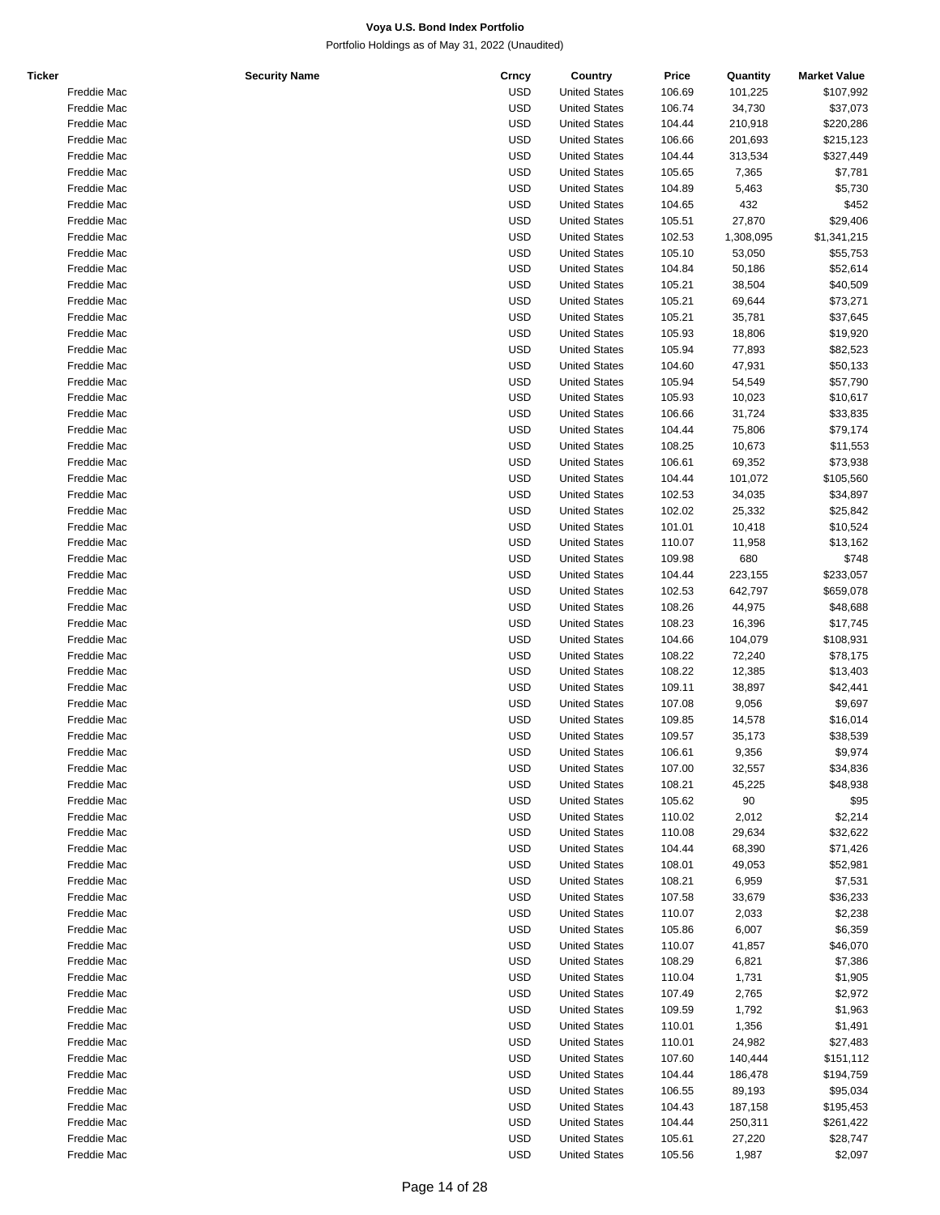| Ticker | <b>Security Name</b> | Crncy      | Country              | Price  | Quantity  | <b>Market Value</b> |
|--------|----------------------|------------|----------------------|--------|-----------|---------------------|
|        | Freddie Mac          | <b>USD</b> | <b>United States</b> | 106.69 | 101,225   | \$107,992           |
|        | Freddie Mac          | <b>USD</b> | <b>United States</b> | 106.74 | 34,730    | \$37,073            |
|        | Freddie Mac          | <b>USD</b> | <b>United States</b> | 104.44 | 210,918   | \$220,286           |
|        | Freddie Mac          | <b>USD</b> | <b>United States</b> | 106.66 | 201,693   | \$215,123           |
|        |                      |            |                      |        |           |                     |
|        | Freddie Mac          | <b>USD</b> | <b>United States</b> | 104.44 | 313,534   | \$327,449           |
|        | Freddie Mac          | <b>USD</b> | <b>United States</b> | 105.65 | 7,365     | \$7,781             |
|        | Freddie Mac          | <b>USD</b> | <b>United States</b> | 104.89 | 5,463     | \$5,730             |
|        | Freddie Mac          | <b>USD</b> | <b>United States</b> | 104.65 | 432       | \$452               |
|        | Freddie Mac          | <b>USD</b> | <b>United States</b> | 105.51 | 27,870    | \$29,406            |
|        | Freddie Mac          | <b>USD</b> | <b>United States</b> | 102.53 | 1,308,095 | \$1,341,215         |
|        | Freddie Mac          | <b>USD</b> | <b>United States</b> | 105.10 | 53,050    | \$55,753            |
|        | Freddie Mac          | <b>USD</b> | <b>United States</b> | 104.84 | 50,186    | \$52,614            |
|        | Freddie Mac          | <b>USD</b> | <b>United States</b> | 105.21 | 38,504    | \$40,509            |
|        | Freddie Mac          | <b>USD</b> | <b>United States</b> | 105.21 | 69,644    | \$73,271            |
|        |                      |            |                      |        |           |                     |
|        | Freddie Mac          | <b>USD</b> | <b>United States</b> | 105.21 | 35,781    | \$37,645            |
|        | Freddie Mac          | <b>USD</b> | <b>United States</b> | 105.93 | 18,806    | \$19,920            |
|        | Freddie Mac          | <b>USD</b> | <b>United States</b> | 105.94 | 77,893    | \$82,523            |
|        | Freddie Mac          | <b>USD</b> | <b>United States</b> | 104.60 | 47,931    | \$50,133            |
|        | Freddie Mac          | <b>USD</b> | <b>United States</b> | 105.94 | 54,549    | \$57,790            |
|        | Freddie Mac          | <b>USD</b> | <b>United States</b> | 105.93 | 10,023    | \$10,617            |
|        | Freddie Mac          | <b>USD</b> | <b>United States</b> | 106.66 | 31,724    | \$33,835            |
|        | Freddie Mac          | <b>USD</b> | <b>United States</b> | 104.44 | 75,806    | \$79,174            |
|        | Freddie Mac          | <b>USD</b> | <b>United States</b> | 108.25 | 10,673    | \$11,553            |
|        | Freddie Mac          | <b>USD</b> | <b>United States</b> | 106.61 | 69,352    | \$73,938            |
|        |                      |            |                      |        |           | \$105,560           |
|        | Freddie Mac          | <b>USD</b> | <b>United States</b> | 104.44 | 101,072   |                     |
|        | Freddie Mac          | <b>USD</b> | <b>United States</b> | 102.53 | 34,035    | \$34,897            |
|        | Freddie Mac          | <b>USD</b> | <b>United States</b> | 102.02 | 25,332    | \$25,842            |
|        | Freddie Mac          | <b>USD</b> | <b>United States</b> | 101.01 | 10,418    | \$10,524            |
|        | Freddie Mac          | <b>USD</b> | <b>United States</b> | 110.07 | 11,958    | \$13,162            |
|        | Freddie Mac          | <b>USD</b> | <b>United States</b> | 109.98 | 680       | \$748               |
|        | Freddie Mac          | <b>USD</b> | <b>United States</b> | 104.44 | 223,155   | \$233,057           |
|        | Freddie Mac          | <b>USD</b> | <b>United States</b> | 102.53 | 642,797   | \$659,078           |
|        | Freddie Mac          | <b>USD</b> | <b>United States</b> | 108.26 | 44,975    | \$48,688            |
|        | Freddie Mac          | <b>USD</b> | <b>United States</b> | 108.23 | 16,396    | \$17,745            |
|        | Freddie Mac          | <b>USD</b> | <b>United States</b> | 104.66 | 104,079   | \$108,931           |
|        |                      |            |                      |        |           |                     |
|        | Freddie Mac          | <b>USD</b> | <b>United States</b> | 108.22 | 72,240    | \$78,175            |
|        | Freddie Mac          | <b>USD</b> | <b>United States</b> | 108.22 | 12,385    | \$13,403            |
|        | Freddie Mac          | <b>USD</b> | <b>United States</b> | 109.11 | 38,897    | \$42,441            |
|        | Freddie Mac          | <b>USD</b> | <b>United States</b> | 107.08 | 9,056     | \$9,697             |
|        | Freddie Mac          | <b>USD</b> | <b>United States</b> | 109.85 | 14,578    | \$16,014            |
|        | Freddie Mac          | <b>USD</b> | <b>United States</b> | 109.57 | 35,173    | \$38,539            |
|        | Freddie Mac          | <b>USD</b> | <b>United States</b> | 106.61 | 9,356     | \$9,974             |
|        | Freddie Mac          | <b>USD</b> | <b>United States</b> | 107.00 | 32,557    | \$34,836            |
|        | Freddie Mac          | <b>USD</b> | <b>United States</b> | 108.21 | 45,225    | \$48,938            |
|        | Freddie Mac          | <b>USD</b> | <b>United States</b> | 105.62 | 90        | \$95                |
|        | Freddie Mac          | <b>USD</b> | <b>United States</b> | 110.02 | 2,012     | \$2,214             |
|        | Freddie Mac          | <b>USD</b> | <b>United States</b> | 110.08 | 29,634    | \$32,622            |
|        | Freddie Mac          | <b>USD</b> | <b>United States</b> |        |           |                     |
|        |                      |            |                      | 104.44 | 68,390    | \$71,426            |
|        | Freddie Mac          | <b>USD</b> | <b>United States</b> | 108.01 | 49,053    | \$52,981            |
|        | Freddie Mac          | <b>USD</b> | <b>United States</b> | 108.21 | 6,959     | \$7,531             |
|        | Freddie Mac          | <b>USD</b> | <b>United States</b> | 107.58 | 33,679    | \$36,233            |
|        | Freddie Mac          | <b>USD</b> | <b>United States</b> | 110.07 | 2,033     | \$2,238             |
|        | Freddie Mac          | <b>USD</b> | <b>United States</b> | 105.86 | 6,007     | \$6,359             |
|        | Freddie Mac          | <b>USD</b> | <b>United States</b> | 110.07 | 41,857    | \$46,070            |
|        | Freddie Mac          | <b>USD</b> | <b>United States</b> | 108.29 | 6,821     | \$7,386             |
|        | Freddie Mac          | <b>USD</b> | <b>United States</b> | 110.04 | 1,731     | \$1,905             |
|        | Freddie Mac          | <b>USD</b> | <b>United States</b> | 107.49 | 2,765     | \$2,972             |
|        | Freddie Mac          | <b>USD</b> | <b>United States</b> | 109.59 | 1,792     | \$1,963             |
|        | Freddie Mac          | <b>USD</b> | <b>United States</b> | 110.01 | 1,356     | \$1,491             |
|        |                      |            |                      |        |           |                     |
|        | Freddie Mac          | <b>USD</b> | <b>United States</b> | 110.01 | 24,982    | \$27,483            |
|        | Freddie Mac          | <b>USD</b> | <b>United States</b> | 107.60 | 140,444   | \$151,112           |
|        | Freddie Mac          | <b>USD</b> | <b>United States</b> | 104.44 | 186,478   | \$194,759           |
|        | Freddie Mac          | <b>USD</b> | <b>United States</b> | 106.55 | 89,193    | \$95,034            |
|        | Freddie Mac          | <b>USD</b> | <b>United States</b> | 104.43 | 187,158   | \$195,453           |
|        | Freddie Mac          | <b>USD</b> | <b>United States</b> | 104.44 | 250,311   | \$261,422           |
|        | Freddie Mac          | <b>USD</b> | <b>United States</b> | 105.61 | 27,220    | \$28,747            |
|        | Freddie Mac          | <b>USD</b> | <b>United States</b> | 105.56 | 1,987     | \$2,097             |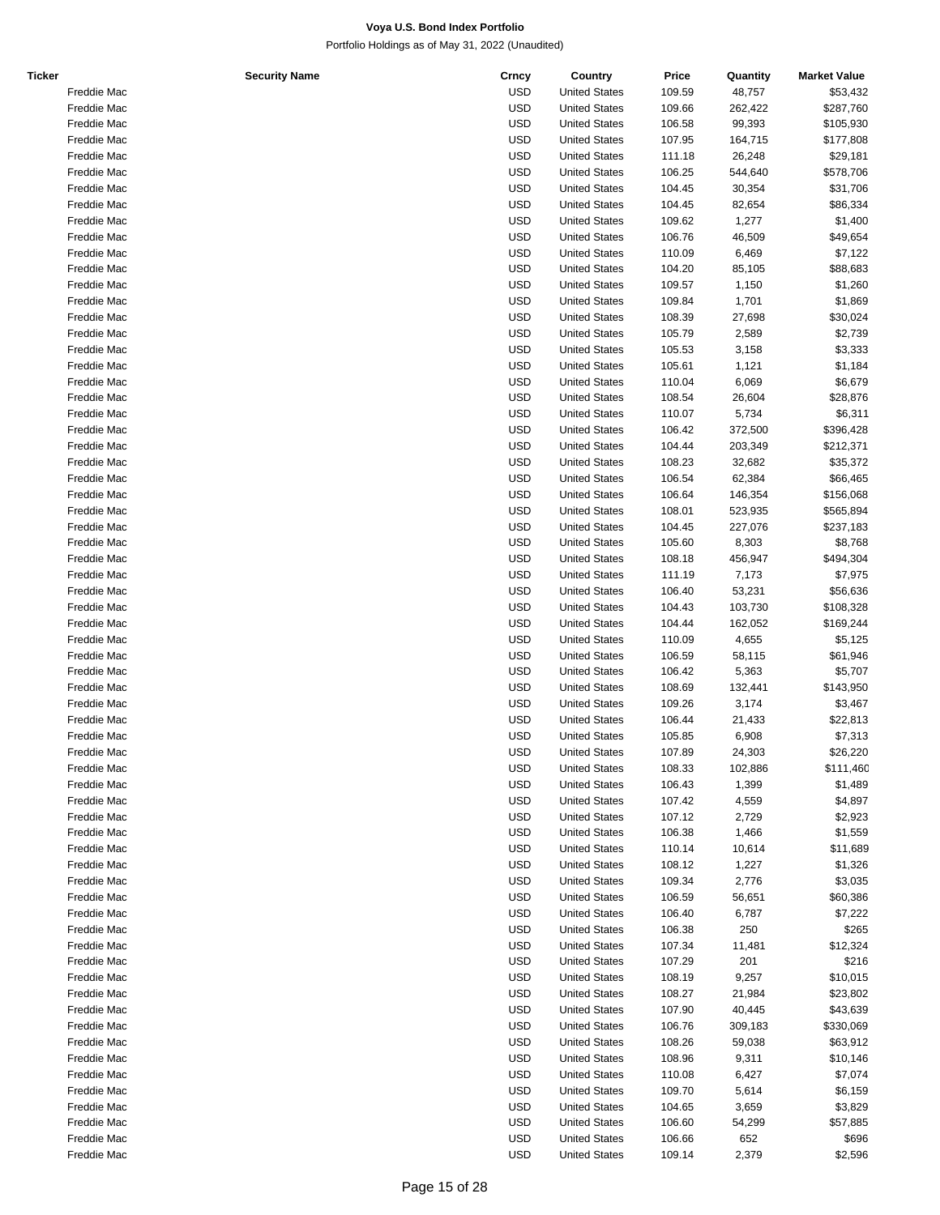| Ticker |             | <b>Security Name</b> | Crncy      | Country              | Price  | Quantity | <b>Market Value</b> |
|--------|-------------|----------------------|------------|----------------------|--------|----------|---------------------|
|        | Freddie Mac |                      | USD        | <b>United States</b> | 109.59 | 48,757   | \$53,432            |
|        | Freddie Mac |                      | USD        | <b>United States</b> | 109.66 | 262,422  | \$287,760           |
|        | Freddie Mac |                      | <b>USD</b> | <b>United States</b> | 106.58 | 99,393   | \$105,930           |
|        | Freddie Mac |                      | USD        | <b>United States</b> | 107.95 | 164,715  | \$177,808           |
|        |             |                      |            |                      |        |          |                     |
|        | Freddie Mac |                      | USD        | <b>United States</b> | 111.18 | 26,248   | \$29,181            |
|        | Freddie Mac |                      | USD        | <b>United States</b> | 106.25 | 544,640  | \$578,706           |
|        | Freddie Mac |                      | USD        | <b>United States</b> | 104.45 | 30,354   | \$31,706            |
|        | Freddie Mac |                      | USD        | <b>United States</b> | 104.45 | 82,654   | \$86,334            |
|        | Freddie Mac |                      | USD        | <b>United States</b> | 109.62 | 1,277    | \$1,400             |
|        | Freddie Mac |                      | USD        | <b>United States</b> | 106.76 | 46,509   | \$49,654            |
|        | Freddie Mac |                      | USD        | <b>United States</b> | 110.09 | 6,469    | \$7,122             |
|        | Freddie Mac |                      | USD        | <b>United States</b> | 104.20 | 85,105   | \$88,683            |
|        |             |                      |            |                      |        |          |                     |
|        | Freddie Mac |                      | USD        | <b>United States</b> | 109.57 | 1,150    | \$1,260             |
|        | Freddie Mac |                      | USD        | <b>United States</b> | 109.84 | 1,701    | \$1,869             |
|        | Freddie Mac |                      | USD        | <b>United States</b> | 108.39 | 27,698   | \$30,024            |
|        | Freddie Mac |                      | USD        | <b>United States</b> | 105.79 | 2,589    | \$2,739             |
|        | Freddie Mac |                      | USD        | <b>United States</b> | 105.53 | 3,158    | \$3,333             |
|        | Freddie Mac |                      | USD        | <b>United States</b> | 105.61 | 1,121    | \$1,184             |
|        | Freddie Mac |                      | USD        | <b>United States</b> | 110.04 | 6,069    | \$6,679             |
|        | Freddie Mac |                      | USD        | <b>United States</b> | 108.54 | 26,604   | \$28,876            |
|        | Freddie Mac |                      | USD        | <b>United States</b> |        |          |                     |
|        |             |                      |            |                      | 110.07 | 5,734    | \$6,311             |
|        | Freddie Mac |                      | USD        | <b>United States</b> | 106.42 | 372,500  | \$396,428           |
|        | Freddie Mac |                      | USD        | <b>United States</b> | 104.44 | 203,349  | \$212,371           |
|        | Freddie Mac |                      | USD        | <b>United States</b> | 108.23 | 32,682   | \$35,372            |
|        | Freddie Mac |                      | USD        | <b>United States</b> | 106.54 | 62,384   | \$66,465            |
|        | Freddie Mac |                      | USD        | <b>United States</b> | 106.64 | 146,354  | \$156,068           |
|        | Freddie Mac |                      | USD        | <b>United States</b> | 108.01 | 523,935  | \$565,894           |
|        | Freddie Mac |                      | USD        | <b>United States</b> | 104.45 | 227,076  | \$237,183           |
|        |             |                      |            |                      |        |          |                     |
|        | Freddie Mac |                      | USD        | <b>United States</b> | 105.60 | 8,303    | \$8,768             |
|        | Freddie Mac |                      | USD        | <b>United States</b> | 108.18 | 456,947  | \$494,304           |
|        | Freddie Mac |                      | USD        | <b>United States</b> | 111.19 | 7,173    | \$7,975             |
|        | Freddie Mac |                      | USD        | <b>United States</b> | 106.40 | 53,231   | \$56,636            |
|        | Freddie Mac |                      | USD        | <b>United States</b> | 104.43 | 103,730  | \$108,328           |
|        | Freddie Mac |                      | USD        | <b>United States</b> | 104.44 | 162,052  | \$169,244           |
|        | Freddie Mac |                      | USD        | <b>United States</b> | 110.09 | 4,655    | \$5,125             |
|        | Freddie Mac |                      | USD        | <b>United States</b> | 106.59 | 58,115   | \$61,946            |
|        | Freddie Mac |                      | USD        | <b>United States</b> |        |          |                     |
|        |             |                      |            |                      | 106.42 | 5,363    | \$5,707             |
|        | Freddie Mac |                      | USD        | <b>United States</b> | 108.69 | 132,441  | \$143,950           |
|        | Freddie Mac |                      | USD        | <b>United States</b> | 109.26 | 3,174    | \$3,467             |
|        | Freddie Mac |                      | USD        | <b>United States</b> | 106.44 | 21,433   | \$22,813            |
|        | Freddie Mac |                      | USD        | <b>United States</b> | 105.85 | 6,908    | \$7,313             |
|        | Freddie Mac |                      | <b>USD</b> | <b>United States</b> | 107.89 | 24,303   | \$26,220            |
|        | Freddie Mac |                      | USD        | <b>United States</b> | 108.33 | 102,886  | \$111,460           |
|        | Freddie Mac |                      | USD        | <b>United States</b> | 106.43 | 1,399    | \$1,489             |
|        | Freddie Mac |                      | USD        | <b>United States</b> | 107.42 | 4,559    | \$4,897             |
|        |             |                      |            |                      |        |          |                     |
|        | Freddie Mac |                      | <b>USD</b> | <b>United States</b> | 107.12 | 2,729    | \$2,923             |
|        | Freddie Mac |                      | USD        | <b>United States</b> | 106.38 | 1,466    | \$1,559             |
|        | Freddie Mac |                      | <b>USD</b> | <b>United States</b> | 110.14 | 10,614   | \$11,689            |
|        | Freddie Mac |                      | USD        | <b>United States</b> | 108.12 | 1,227    | \$1,326             |
|        | Freddie Mac |                      | <b>USD</b> | <b>United States</b> | 109.34 | 2,776    | \$3,035             |
|        | Freddie Mac |                      | <b>USD</b> | <b>United States</b> | 106.59 | 56,651   | \$60,386            |
|        | Freddie Mac |                      | USD        | <b>United States</b> | 106.40 | 6,787    | \$7,222             |
|        | Freddie Mac |                      | USD        | <b>United States</b> | 106.38 | 250      | \$265               |
|        |             |                      |            |                      |        |          |                     |
|        | Freddie Mac |                      | USD        | <b>United States</b> | 107.34 | 11,481   | \$12,324            |
|        | Freddie Mac |                      | USD        | <b>United States</b> | 107.29 | 201      | \$216               |
|        | Freddie Mac |                      | USD        | <b>United States</b> | 108.19 | 9,257    | \$10,015            |
|        | Freddie Mac |                      | USD        | <b>United States</b> | 108.27 | 21,984   | \$23,802            |
|        | Freddie Mac |                      | <b>USD</b> | <b>United States</b> | 107.90 | 40,445   | \$43,639            |
|        | Freddie Mac |                      | <b>USD</b> | <b>United States</b> | 106.76 | 309,183  | \$330,069           |
|        | Freddie Mac |                      | USD        | <b>United States</b> | 108.26 | 59,038   | \$63,912            |
|        | Freddie Mac |                      | USD        | <b>United States</b> | 108.96 | 9,311    | \$10,146            |
|        |             |                      |            |                      |        |          |                     |
|        | Freddie Mac |                      | USD        | <b>United States</b> | 110.08 | 6,427    | \$7,074             |
|        | Freddie Mac |                      | USD        | <b>United States</b> | 109.70 | 5,614    | \$6,159             |
|        | Freddie Mac |                      | USD        | <b>United States</b> | 104.65 | 3,659    | \$3,829             |
|        | Freddie Mac |                      | USD        | <b>United States</b> | 106.60 | 54,299   | \$57,885            |
|        | Freddie Mac |                      | <b>USD</b> | <b>United States</b> | 106.66 | 652      | \$696               |
|        | Freddie Mac |                      | <b>USD</b> | <b>United States</b> | 109.14 | 2,379    | \$2,596             |
|        |             |                      |            |                      |        |          |                     |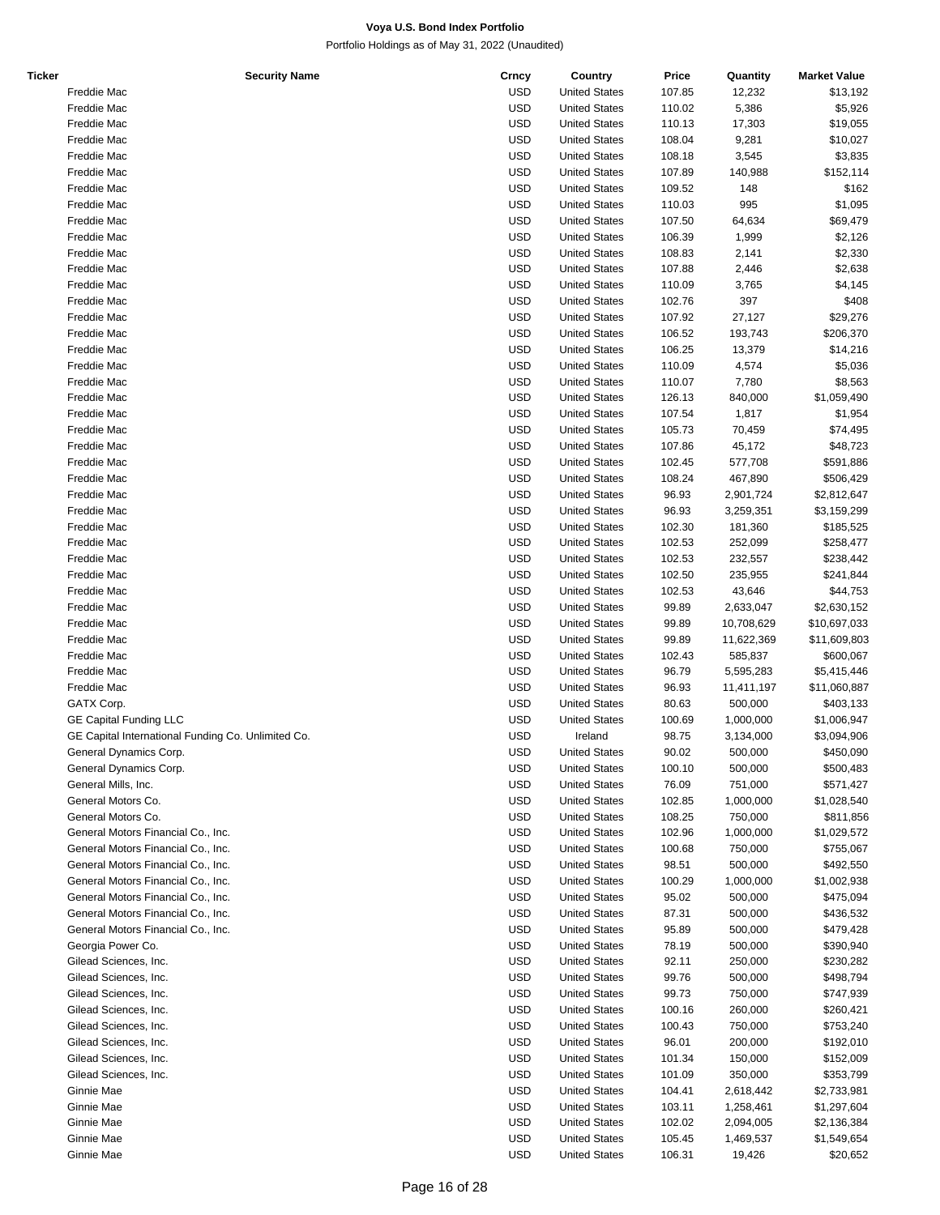| Ticker | <b>Security Name</b>                               | Crncy      | Country              | Price  | Quantity   | <b>Market Value</b> |
|--------|----------------------------------------------------|------------|----------------------|--------|------------|---------------------|
|        | Freddie Mac                                        | <b>USD</b> | <b>United States</b> | 107.85 | 12,232     | \$13,192            |
|        | Freddie Mac                                        | <b>USD</b> | <b>United States</b> | 110.02 | 5,386      | \$5,926             |
|        | Freddie Mac                                        | <b>USD</b> | <b>United States</b> | 110.13 | 17,303     | \$19,055            |
|        | Freddie Mac                                        | <b>USD</b> | <b>United States</b> | 108.04 | 9,281      | \$10,027            |
|        |                                                    |            |                      |        |            |                     |
|        | Freddie Mac                                        | <b>USD</b> | <b>United States</b> | 108.18 | 3,545      | \$3,835             |
|        | Freddie Mac                                        | <b>USD</b> | <b>United States</b> | 107.89 | 140,988    | \$152,114           |
|        | Freddie Mac                                        | <b>USD</b> | <b>United States</b> | 109.52 | 148        | \$162               |
|        | Freddie Mac                                        | <b>USD</b> | <b>United States</b> | 110.03 | 995        | \$1,095             |
|        | Freddie Mac                                        | <b>USD</b> | <b>United States</b> | 107.50 | 64,634     | \$69,479            |
|        | Freddie Mac                                        | <b>USD</b> | <b>United States</b> | 106.39 | 1,999      | \$2,126             |
|        |                                                    | <b>USD</b> |                      |        |            |                     |
|        | Freddie Mac                                        |            | <b>United States</b> | 108.83 | 2,141      | \$2,330             |
|        | Freddie Mac                                        | <b>USD</b> | <b>United States</b> | 107.88 | 2,446      | \$2,638             |
|        | Freddie Mac                                        | <b>USD</b> | <b>United States</b> | 110.09 | 3,765      | \$4,145             |
|        | Freddie Mac                                        | <b>USD</b> | <b>United States</b> | 102.76 | 397        | \$408               |
|        | Freddie Mac                                        | <b>USD</b> | <b>United States</b> | 107.92 | 27,127     | \$29,276            |
|        | Freddie Mac                                        | <b>USD</b> | <b>United States</b> | 106.52 | 193,743    | \$206,370           |
|        | Freddie Mac                                        | <b>USD</b> | <b>United States</b> | 106.25 | 13,379     | \$14,216            |
|        |                                                    |            |                      |        |            |                     |
|        | Freddie Mac                                        | <b>USD</b> | <b>United States</b> | 110.09 | 4,574      | \$5,036             |
|        | Freddie Mac                                        | <b>USD</b> | <b>United States</b> | 110.07 | 7,780      | \$8,563             |
|        | Freddie Mac                                        | <b>USD</b> | <b>United States</b> | 126.13 | 840,000    | \$1,059,490         |
|        | Freddie Mac                                        | <b>USD</b> | <b>United States</b> | 107.54 | 1,817      | \$1,954             |
|        | Freddie Mac                                        | <b>USD</b> | <b>United States</b> | 105.73 | 70,459     | \$74,495            |
|        | Freddie Mac                                        | <b>USD</b> | <b>United States</b> | 107.86 | 45,172     | \$48,723            |
|        |                                                    |            |                      |        |            |                     |
|        | Freddie Mac                                        | <b>USD</b> | <b>United States</b> | 102.45 | 577,708    | \$591,886           |
|        | Freddie Mac                                        | <b>USD</b> | <b>United States</b> | 108.24 | 467,890    | \$506,429           |
|        | Freddie Mac                                        | <b>USD</b> | <b>United States</b> | 96.93  | 2,901,724  | \$2,812,647         |
|        | Freddie Mac                                        | <b>USD</b> | <b>United States</b> | 96.93  | 3,259,351  | \$3,159,299         |
|        | Freddie Mac                                        | <b>USD</b> | <b>United States</b> | 102.30 | 181,360    | \$185,525           |
|        | Freddie Mac                                        | <b>USD</b> | <b>United States</b> | 102.53 | 252,099    | \$258,477           |
|        |                                                    |            |                      |        |            |                     |
|        | Freddie Mac                                        | <b>USD</b> | <b>United States</b> | 102.53 | 232,557    | \$238,442           |
|        | Freddie Mac                                        | <b>USD</b> | <b>United States</b> | 102.50 | 235,955    | \$241,844           |
|        | Freddie Mac                                        | <b>USD</b> | <b>United States</b> | 102.53 | 43,646     | \$44,753            |
|        | Freddie Mac                                        | <b>USD</b> | <b>United States</b> | 99.89  | 2,633,047  | \$2,630,152         |
|        | Freddie Mac                                        | <b>USD</b> | <b>United States</b> | 99.89  | 10,708,629 | \$10,697,033        |
|        | Freddie Mac                                        | <b>USD</b> | <b>United States</b> | 99.89  | 11,622,369 | \$11,609,803        |
|        | Freddie Mac                                        | <b>USD</b> | <b>United States</b> | 102.43 | 585,837    | \$600,067           |
|        |                                                    |            |                      |        |            |                     |
|        | Freddie Mac                                        | <b>USD</b> | <b>United States</b> | 96.79  | 5,595,283  | \$5,415,446         |
|        | Freddie Mac                                        | <b>USD</b> | <b>United States</b> | 96.93  | 11,411,197 | \$11,060,887        |
|        | GATX Corp.                                         | <b>USD</b> | <b>United States</b> | 80.63  | 500,000    | \$403,133           |
|        | <b>GE Capital Funding LLC</b>                      | <b>USD</b> | <b>United States</b> | 100.69 | 1,000,000  | \$1,006,947         |
|        | GE Capital International Funding Co. Unlimited Co. | <b>USD</b> | Ireland              | 98.75  | 3,134,000  | \$3,094,906         |
|        | General Dynamics Corp.                             | <b>USD</b> | <b>United States</b> | 90.02  | 500,000    | \$450,090           |
|        |                                                    |            |                      |        |            |                     |
|        | General Dynamics Corp.                             | <b>USD</b> | <b>United States</b> | 100.10 | 500,000    | \$500,483           |
|        | General Mills, Inc.                                | <b>USD</b> | <b>United States</b> | 76.09  | 751,000    | \$571,427           |
|        | General Motors Co.                                 | USD        | <b>United States</b> | 102.85 | 1,000,000  | \$1,028,540         |
|        | General Motors Co.                                 | <b>USD</b> | <b>United States</b> | 108.25 | 750,000    | \$811,856           |
|        | General Motors Financial Co., Inc.                 | <b>USD</b> | <b>United States</b> | 102.96 | 1,000,000  | \$1,029,572         |
|        | General Motors Financial Co., Inc.                 | <b>USD</b> | <b>United States</b> | 100.68 | 750,000    | \$755,067           |
|        |                                                    |            |                      |        |            |                     |
|        | General Motors Financial Co., Inc.                 | USD        | <b>United States</b> | 98.51  | 500,000    | \$492,550           |
|        | General Motors Financial Co., Inc.                 | <b>USD</b> | <b>United States</b> | 100.29 | 1,000,000  | \$1,002,938         |
|        | General Motors Financial Co., Inc.                 | <b>USD</b> | <b>United States</b> | 95.02  | 500,000    | \$475,094           |
|        | General Motors Financial Co., Inc.                 | <b>USD</b> | <b>United States</b> | 87.31  | 500,000    | \$436,532           |
|        | General Motors Financial Co., Inc.                 | USD        | <b>United States</b> | 95.89  | 500,000    | \$479,428           |
|        | Georgia Power Co.                                  | <b>USD</b> | <b>United States</b> | 78.19  | 500,000    | \$390,940           |
|        |                                                    |            |                      |        |            |                     |
|        | Gilead Sciences, Inc.                              | <b>USD</b> | <b>United States</b> | 92.11  | 250,000    | \$230,282           |
|        | Gilead Sciences, Inc.                              | <b>USD</b> | <b>United States</b> | 99.76  | 500,000    | \$498,794           |
|        | Gilead Sciences, Inc.                              | <b>USD</b> | <b>United States</b> | 99.73  | 750,000    | \$747,939           |
|        | Gilead Sciences, Inc.                              | <b>USD</b> | <b>United States</b> | 100.16 | 260,000    | \$260,421           |
|        | Gilead Sciences, Inc.                              | <b>USD</b> | <b>United States</b> | 100.43 | 750,000    | \$753,240           |
|        | Gilead Sciences, Inc.                              | <b>USD</b> | <b>United States</b> | 96.01  | 200,000    | \$192,010           |
|        |                                                    |            |                      |        |            |                     |
|        | Gilead Sciences, Inc.                              | USD        | <b>United States</b> | 101.34 | 150,000    | \$152,009           |
|        | Gilead Sciences, Inc.                              | <b>USD</b> | <b>United States</b> | 101.09 | 350,000    | \$353,799           |
|        | Ginnie Mae                                         | <b>USD</b> | <b>United States</b> | 104.41 | 2,618,442  | \$2,733,981         |
|        | Ginnie Mae                                         | <b>USD</b> | <b>United States</b> | 103.11 | 1,258,461  | \$1,297,604         |
|        | Ginnie Mae                                         | <b>USD</b> | <b>United States</b> | 102.02 | 2,094,005  | \$2,136,384         |
|        | Ginnie Mae                                         | <b>USD</b> | <b>United States</b> | 105.45 | 1,469,537  | \$1,549,654         |
|        |                                                    |            |                      |        |            |                     |
|        | Ginnie Mae                                         | <b>USD</b> | <b>United States</b> | 106.31 | 19,426     | \$20,652            |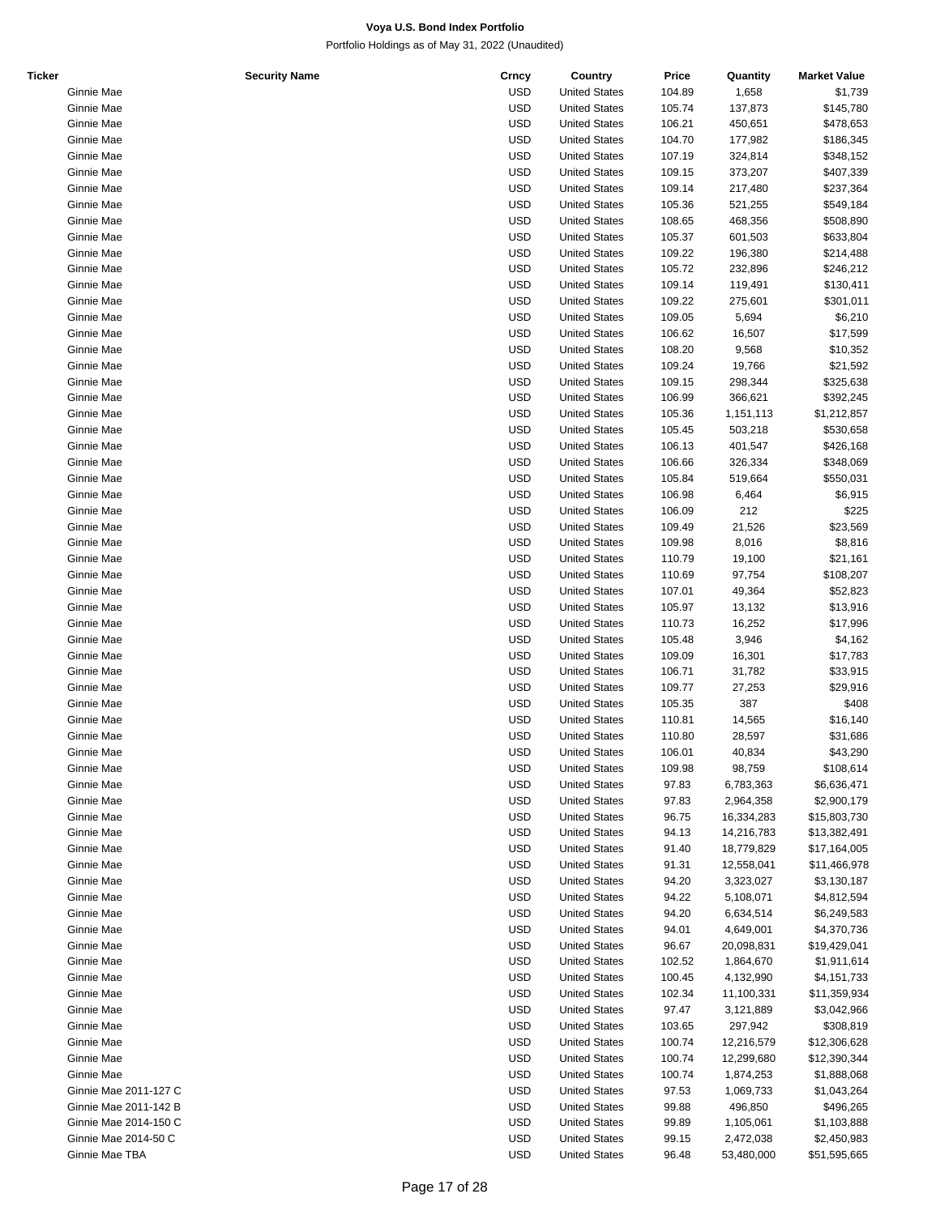| <b>Ticker</b> |                       | <b>Security Name</b> | Crncy      | Country              | Price  | Quantity   | <b>Market Value</b> |
|---------------|-----------------------|----------------------|------------|----------------------|--------|------------|---------------------|
|               | Ginnie Mae            |                      | <b>USD</b> | <b>United States</b> | 104.89 | 1,658      | \$1,739             |
|               | Ginnie Mae            |                      | <b>USD</b> | <b>United States</b> | 105.74 | 137,873    | \$145,780           |
|               | Ginnie Mae            |                      | <b>USD</b> | <b>United States</b> | 106.21 | 450,651    | \$478,653           |
|               | Ginnie Mae            |                      | <b>USD</b> | <b>United States</b> | 104.70 | 177,982    | \$186,345           |
|               | Ginnie Mae            |                      | <b>USD</b> | <b>United States</b> | 107.19 | 324,814    | \$348,152           |
|               | Ginnie Mae            |                      | <b>USD</b> | <b>United States</b> | 109.15 | 373,207    | \$407,339           |
|               | Ginnie Mae            |                      | <b>USD</b> | <b>United States</b> | 109.14 | 217,480    | \$237,364           |
|               | Ginnie Mae            |                      | <b>USD</b> | <b>United States</b> | 105.36 | 521,255    | \$549,184           |
|               |                       |                      |            |                      |        |            |                     |
|               | Ginnie Mae            |                      | <b>USD</b> | <b>United States</b> | 108.65 | 468,356    | \$508,890           |
|               | Ginnie Mae            |                      | <b>USD</b> | <b>United States</b> | 105.37 | 601,503    | \$633,804           |
|               | Ginnie Mae            |                      | <b>USD</b> | <b>United States</b> | 109.22 | 196,380    | \$214,488           |
|               | Ginnie Mae            |                      | <b>USD</b> | <b>United States</b> | 105.72 | 232,896    | \$246,212           |
|               | Ginnie Mae            |                      | <b>USD</b> | <b>United States</b> | 109.14 | 119,491    | \$130,411           |
|               | Ginnie Mae            |                      | <b>USD</b> | <b>United States</b> | 109.22 | 275,601    | \$301,011           |
|               | Ginnie Mae            |                      | <b>USD</b> | <b>United States</b> | 109.05 | 5,694      | \$6,210             |
|               | Ginnie Mae            |                      | <b>USD</b> | <b>United States</b> | 106.62 | 16,507     | \$17,599            |
|               | Ginnie Mae            |                      | <b>USD</b> | <b>United States</b> | 108.20 | 9,568      | \$10,352            |
|               | Ginnie Mae            |                      | <b>USD</b> | <b>United States</b> | 109.24 | 19,766     | \$21,592            |
|               | Ginnie Mae            |                      | <b>USD</b> | <b>United States</b> | 109.15 | 298,344    | \$325,638           |
|               | Ginnie Mae            |                      | <b>USD</b> | <b>United States</b> | 106.99 | 366,621    | \$392,245           |
|               | Ginnie Mae            |                      | <b>USD</b> | <b>United States</b> | 105.36 | 1,151,113  | \$1,212,857         |
|               | Ginnie Mae            |                      | <b>USD</b> | <b>United States</b> | 105.45 | 503,218    | \$530,658           |
|               | Ginnie Mae            |                      | <b>USD</b> | <b>United States</b> | 106.13 | 401,547    | \$426,168           |
|               |                       |                      | <b>USD</b> | <b>United States</b> |        |            |                     |
|               | Ginnie Mae            |                      |            |                      | 106.66 | 326,334    | \$348,069           |
|               | Ginnie Mae            |                      | <b>USD</b> | <b>United States</b> | 105.84 | 519,664    | \$550,031           |
|               | Ginnie Mae            |                      | <b>USD</b> | <b>United States</b> | 106.98 | 6,464      | \$6,915             |
|               | Ginnie Mae            |                      | <b>USD</b> | <b>United States</b> | 106.09 | 212        | \$225               |
|               | Ginnie Mae            |                      | <b>USD</b> | <b>United States</b> | 109.49 | 21,526     | \$23,569            |
|               | Ginnie Mae            |                      | <b>USD</b> | <b>United States</b> | 109.98 | 8,016      | \$8,816             |
|               | Ginnie Mae            |                      | <b>USD</b> | <b>United States</b> | 110.79 | 19,100     | \$21,161            |
|               | Ginnie Mae            |                      | <b>USD</b> | <b>United States</b> | 110.69 | 97,754     | \$108,207           |
|               | Ginnie Mae            |                      | <b>USD</b> | <b>United States</b> | 107.01 | 49,364     | \$52,823            |
|               | Ginnie Mae            |                      | <b>USD</b> | <b>United States</b> | 105.97 | 13,132     | \$13,916            |
|               | Ginnie Mae            |                      | <b>USD</b> | <b>United States</b> | 110.73 | 16,252     | \$17,996            |
|               | Ginnie Mae            |                      | <b>USD</b> | <b>United States</b> | 105.48 | 3,946      | \$4,162             |
|               | Ginnie Mae            |                      | <b>USD</b> | <b>United States</b> | 109.09 | 16,301     | \$17,783            |
|               | Ginnie Mae            |                      | <b>USD</b> | <b>United States</b> | 106.71 | 31,782     | \$33,915            |
|               | Ginnie Mae            |                      | <b>USD</b> | <b>United States</b> | 109.77 | 27,253     | \$29,916            |
|               | Ginnie Mae            |                      | <b>USD</b> | <b>United States</b> | 105.35 | 387        | \$408               |
|               | Ginnie Mae            |                      | <b>USD</b> | <b>United States</b> | 110.81 |            |                     |
|               |                       |                      |            | <b>United States</b> |        | 14,565     | \$16,140            |
|               | Ginnie Mae            |                      | <b>USD</b> |                      | 110.80 | 28,597     | \$31,686            |
|               | Ginnie Mae            |                      | <b>USD</b> | <b>United States</b> | 106.01 | 40,834     | \$43,290            |
|               | Ginnie Mae            |                      | USD        | <b>United States</b> | 109.98 | 98,759     | \$108,614           |
|               | Ginnie Mae            |                      | <b>USD</b> | <b>United States</b> | 97.83  | 6,783,363  | \$6,636,471         |
|               | Ginnie Mae            |                      | <b>USD</b> | <b>United States</b> | 97.83  | 2,964,358  | \$2,900,179         |
|               | Ginnie Mae            |                      | <b>USD</b> | <b>United States</b> | 96.75  | 16,334,283 | \$15,803,730        |
|               | Ginnie Mae            |                      | <b>USD</b> | <b>United States</b> | 94.13  | 14,216,783 | \$13,382,491        |
|               | Ginnie Mae            |                      | <b>USD</b> | <b>United States</b> | 91.40  | 18,779,829 | \$17,164,005        |
|               | Ginnie Mae            |                      | <b>USD</b> | <b>United States</b> | 91.31  | 12,558,041 | \$11,466,978        |
|               | Ginnie Mae            |                      | <b>USD</b> | <b>United States</b> | 94.20  | 3,323,027  | \$3,130,187         |
|               | Ginnie Mae            |                      | <b>USD</b> | <b>United States</b> | 94.22  | 5,108,071  | \$4,812,594         |
|               | Ginnie Mae            |                      | <b>USD</b> | <b>United States</b> | 94.20  | 6,634,514  | \$6,249,583         |
|               | Ginnie Mae            |                      | <b>USD</b> | <b>United States</b> | 94.01  | 4,649,001  | \$4,370,736         |
|               | Ginnie Mae            |                      | USD        | <b>United States</b> | 96.67  | 20,098,831 | \$19,429,041        |
|               | Ginnie Mae            |                      | <b>USD</b> | <b>United States</b> | 102.52 | 1,864,670  | \$1,911,614         |
|               | Ginnie Mae            |                      | <b>USD</b> | <b>United States</b> | 100.45 | 4,132,990  | \$4,151,733         |
|               | Ginnie Mae            |                      | <b>USD</b> | <b>United States</b> | 102.34 | 11,100,331 | \$11,359,934        |
|               |                       |                      | <b>USD</b> |                      |        |            |                     |
|               | Ginnie Mae            |                      |            | <b>United States</b> | 97.47  | 3,121,889  | \$3,042,966         |
|               | Ginnie Mae            |                      | <b>USD</b> | <b>United States</b> | 103.65 | 297,942    | \$308,819           |
|               | Ginnie Mae            |                      | <b>USD</b> | <b>United States</b> | 100.74 | 12,216,579 | \$12,306,628        |
|               | Ginnie Mae            |                      | <b>USD</b> | <b>United States</b> | 100.74 | 12,299,680 | \$12,390,344        |
|               | Ginnie Mae            |                      | USD        | <b>United States</b> | 100.74 | 1,874,253  | \$1,888,068         |
|               | Ginnie Mae 2011-127 C |                      | <b>USD</b> | <b>United States</b> | 97.53  | 1,069,733  | \$1,043,264         |
|               | Ginnie Mae 2011-142 B |                      | <b>USD</b> | <b>United States</b> | 99.88  | 496,850    | \$496,265           |
|               | Ginnie Mae 2014-150 C |                      | <b>USD</b> | <b>United States</b> | 99.89  | 1,105,061  | \$1,103,888         |
|               | Ginnie Mae 2014-50 C  |                      | <b>USD</b> | <b>United States</b> | 99.15  | 2,472,038  | \$2,450,983         |
|               | Ginnie Mae TBA        |                      | <b>USD</b> | <b>United States</b> | 96.48  | 53,480,000 | \$51,595,665        |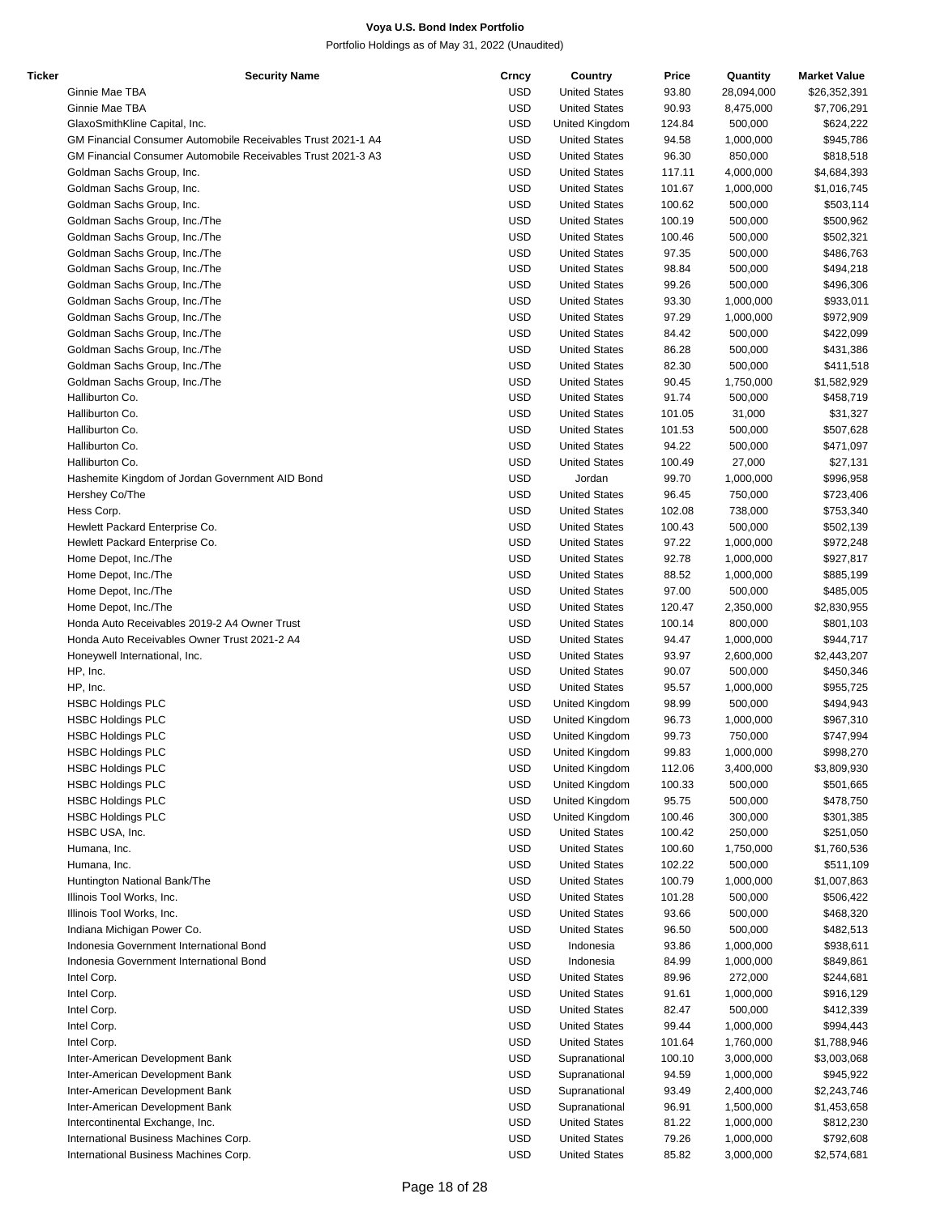| Ticker | <b>Security Name</b>                                         | Crncy      | Country              | Price  | Quantity   | <b>Market Value</b> |
|--------|--------------------------------------------------------------|------------|----------------------|--------|------------|---------------------|
|        | Ginnie Mae TBA                                               | <b>USD</b> | <b>United States</b> | 93.80  | 28,094,000 | \$26,352,391        |
|        | Ginnie Mae TBA                                               | <b>USD</b> | <b>United States</b> | 90.93  | 8,475,000  | \$7,706,291         |
|        | GlaxoSmithKline Capital, Inc.                                | <b>USD</b> | United Kingdom       | 124.84 | 500,000    | \$624,222           |
|        | GM Financial Consumer Automobile Receivables Trust 2021-1 A4 | <b>USD</b> | <b>United States</b> | 94.58  | 1,000,000  | \$945,786           |
|        | GM Financial Consumer Automobile Receivables Trust 2021-3 A3 | <b>USD</b> | <b>United States</b> | 96.30  | 850,000    | \$818,518           |
|        | Goldman Sachs Group, Inc.                                    | <b>USD</b> | <b>United States</b> | 117.11 | 4,000,000  | \$4,684,393         |
|        | Goldman Sachs Group, Inc.                                    | <b>USD</b> | <b>United States</b> | 101.67 | 1,000,000  | \$1,016,745         |
|        |                                                              |            | <b>United States</b> |        |            |                     |
|        | Goldman Sachs Group, Inc.                                    | <b>USD</b> |                      | 100.62 | 500,000    | \$503,114           |
|        | Goldman Sachs Group, Inc./The                                | <b>USD</b> | <b>United States</b> | 100.19 | 500,000    | \$500,962           |
|        | Goldman Sachs Group, Inc./The                                | <b>USD</b> | <b>United States</b> | 100.46 | 500,000    | \$502,321           |
|        | Goldman Sachs Group, Inc./The                                | <b>USD</b> | <b>United States</b> | 97.35  | 500,000    | \$486,763           |
|        | Goldman Sachs Group, Inc./The                                | <b>USD</b> | <b>United States</b> | 98.84  | 500,000    | \$494,218           |
|        | Goldman Sachs Group, Inc./The                                | <b>USD</b> | <b>United States</b> | 99.26  | 500,000    | \$496,306           |
|        | Goldman Sachs Group, Inc./The                                | <b>USD</b> | <b>United States</b> | 93.30  | 1,000,000  | \$933,011           |
|        | Goldman Sachs Group, Inc./The                                | <b>USD</b> | <b>United States</b> | 97.29  | 1,000,000  | \$972,909           |
|        | Goldman Sachs Group, Inc./The                                | <b>USD</b> | <b>United States</b> | 84.42  | 500,000    | \$422,099           |
|        | Goldman Sachs Group, Inc./The                                | <b>USD</b> | <b>United States</b> | 86.28  | 500,000    | \$431,386           |
|        | Goldman Sachs Group, Inc./The                                | <b>USD</b> | <b>United States</b> | 82.30  | 500,000    | \$411,518           |
|        | Goldman Sachs Group, Inc./The                                | <b>USD</b> | <b>United States</b> | 90.45  | 1,750,000  | \$1,582,929         |
|        | Halliburton Co.                                              | <b>USD</b> | <b>United States</b> | 91.74  | 500,000    | \$458,719           |
|        | Halliburton Co.                                              | <b>USD</b> |                      |        |            |                     |
|        |                                                              |            | <b>United States</b> | 101.05 | 31,000     | \$31,327            |
|        | Halliburton Co.                                              | <b>USD</b> | <b>United States</b> | 101.53 | 500,000    | \$507,628           |
|        | Halliburton Co.                                              | <b>USD</b> | <b>United States</b> | 94.22  | 500,000    | \$471,097           |
|        | Halliburton Co.                                              | <b>USD</b> | <b>United States</b> | 100.49 | 27,000     | \$27,131            |
|        | Hashemite Kingdom of Jordan Government AID Bond              | <b>USD</b> | Jordan               | 99.70  | 1,000,000  | \$996,958           |
|        | Hershey Co/The                                               | <b>USD</b> | <b>United States</b> | 96.45  | 750,000    | \$723,406           |
|        | Hess Corp.                                                   | <b>USD</b> | <b>United States</b> | 102.08 | 738,000    | \$753,340           |
|        | Hewlett Packard Enterprise Co.                               | <b>USD</b> | <b>United States</b> | 100.43 | 500,000    | \$502,139           |
|        | Hewlett Packard Enterprise Co.                               | <b>USD</b> | <b>United States</b> | 97.22  | 1,000,000  | \$972,248           |
|        | Home Depot, Inc./The                                         | <b>USD</b> | <b>United States</b> | 92.78  | 1,000,000  | \$927,817           |
|        | Home Depot, Inc./The                                         | <b>USD</b> | <b>United States</b> | 88.52  | 1,000,000  | \$885,199           |
|        |                                                              |            |                      |        |            |                     |
|        | Home Depot, Inc./The                                         | <b>USD</b> | <b>United States</b> | 97.00  | 500,000    | \$485,005           |
|        | Home Depot, Inc./The                                         | <b>USD</b> | <b>United States</b> | 120.47 | 2,350,000  | \$2,830,955         |
|        | Honda Auto Receivables 2019-2 A4 Owner Trust                 | <b>USD</b> | <b>United States</b> | 100.14 | 800,000    | \$801,103           |
|        | Honda Auto Receivables Owner Trust 2021-2 A4                 | <b>USD</b> | <b>United States</b> | 94.47  | 1,000,000  | \$944,717           |
|        | Honeywell International, Inc.                                | <b>USD</b> | <b>United States</b> | 93.97  | 2,600,000  | \$2,443,207         |
|        | HP, Inc.                                                     | <b>USD</b> | <b>United States</b> | 90.07  | 500,000    | \$450,346           |
|        | HP, Inc.                                                     | <b>USD</b> | <b>United States</b> | 95.57  | 1,000,000  | \$955,725           |
|        | <b>HSBC Holdings PLC</b>                                     | <b>USD</b> | United Kingdom       | 98.99  | 500,000    | \$494,943           |
|        | <b>HSBC Holdings PLC</b>                                     | <b>USD</b> | United Kingdom       | 96.73  | 1,000,000  | \$967,310           |
|        | <b>HSBC Holdings PLC</b>                                     | <b>USD</b> | United Kingdom       | 99.73  | 750,000    | \$747,994           |
|        | <b>HSBC Holdings PLC</b>                                     | USD        | United Kingdom       | 99.83  | 1,000,000  | \$998,270           |
|        | <b>HSBC Holdings PLC</b>                                     | <b>USD</b> | United Kingdom       | 112.06 | 3,400,000  | \$3,809,930         |
|        | <b>HSBC Holdings PLC</b>                                     | <b>USD</b> | United Kingdom       | 100.33 | 500,000    | \$501,665           |
|        |                                                              |            |                      |        |            |                     |
|        | <b>HSBC Holdings PLC</b>                                     | <b>USD</b> | United Kingdom       | 95.75  | 500,000    | \$478,750           |
|        | <b>HSBC Holdings PLC</b>                                     | <b>USD</b> | United Kingdom       | 100.46 | 300,000    | \$301,385           |
|        | HSBC USA, Inc.                                               | <b>USD</b> | <b>United States</b> | 100.42 | 250,000    | \$251,050           |
|        | Humana, Inc.                                                 | <b>USD</b> | <b>United States</b> | 100.60 | 1,750,000  | \$1,760,536         |
|        | Humana, Inc.                                                 | <b>USD</b> | <b>United States</b> | 102.22 | 500,000    | \$511,109           |
|        | Huntington National Bank/The                                 | <b>USD</b> | <b>United States</b> | 100.79 | 1,000,000  | \$1,007,863         |
|        | Illinois Tool Works, Inc.                                    | <b>USD</b> | <b>United States</b> | 101.28 | 500,000    | \$506,422           |
|        | Illinois Tool Works, Inc.                                    | <b>USD</b> | <b>United States</b> | 93.66  | 500,000    | \$468,320           |
|        | Indiana Michigan Power Co.                                   | <b>USD</b> | <b>United States</b> | 96.50  | 500,000    | \$482,513           |
|        | Indonesia Government International Bond                      | <b>USD</b> | Indonesia            | 93.86  | 1,000,000  | \$938,611           |
|        | Indonesia Government International Bond                      | <b>USD</b> | Indonesia            | 84.99  | 1,000,000  | \$849,861           |
|        |                                                              | <b>USD</b> |                      |        |            |                     |
|        | Intel Corp.                                                  |            | <b>United States</b> | 89.96  | 272,000    | \$244,681           |
|        | Intel Corp.                                                  | <b>USD</b> | <b>United States</b> | 91.61  | 1,000,000  | \$916,129           |
|        | Intel Corp.                                                  | <b>USD</b> | <b>United States</b> | 82.47  | 500,000    | \$412,339           |
|        | Intel Corp.                                                  | <b>USD</b> | <b>United States</b> | 99.44  | 1,000,000  | \$994,443           |
|        | Intel Corp.                                                  | <b>USD</b> | <b>United States</b> | 101.64 | 1,760,000  | \$1,788,946         |
|        | Inter-American Development Bank                              | <b>USD</b> | Supranational        | 100.10 | 3,000,000  | \$3,003,068         |
|        | Inter-American Development Bank                              | <b>USD</b> | Supranational        | 94.59  | 1,000,000  | \$945,922           |
|        | Inter-American Development Bank                              | <b>USD</b> | Supranational        | 93.49  | 2,400,000  | \$2,243,746         |
|        | Inter-American Development Bank                              | <b>USD</b> | Supranational        | 96.91  | 1,500,000  | \$1,453,658         |
|        | Intercontinental Exchange, Inc.                              | <b>USD</b> | <b>United States</b> | 81.22  | 1,000,000  | \$812,230           |
|        | International Business Machines Corp.                        | <b>USD</b> | <b>United States</b> | 79.26  | 1,000,000  | \$792,608           |
|        |                                                              |            |                      |        |            |                     |
|        | International Business Machines Corp.                        | <b>USD</b> | <b>United States</b> | 85.82  | 3,000,000  | \$2,574,681         |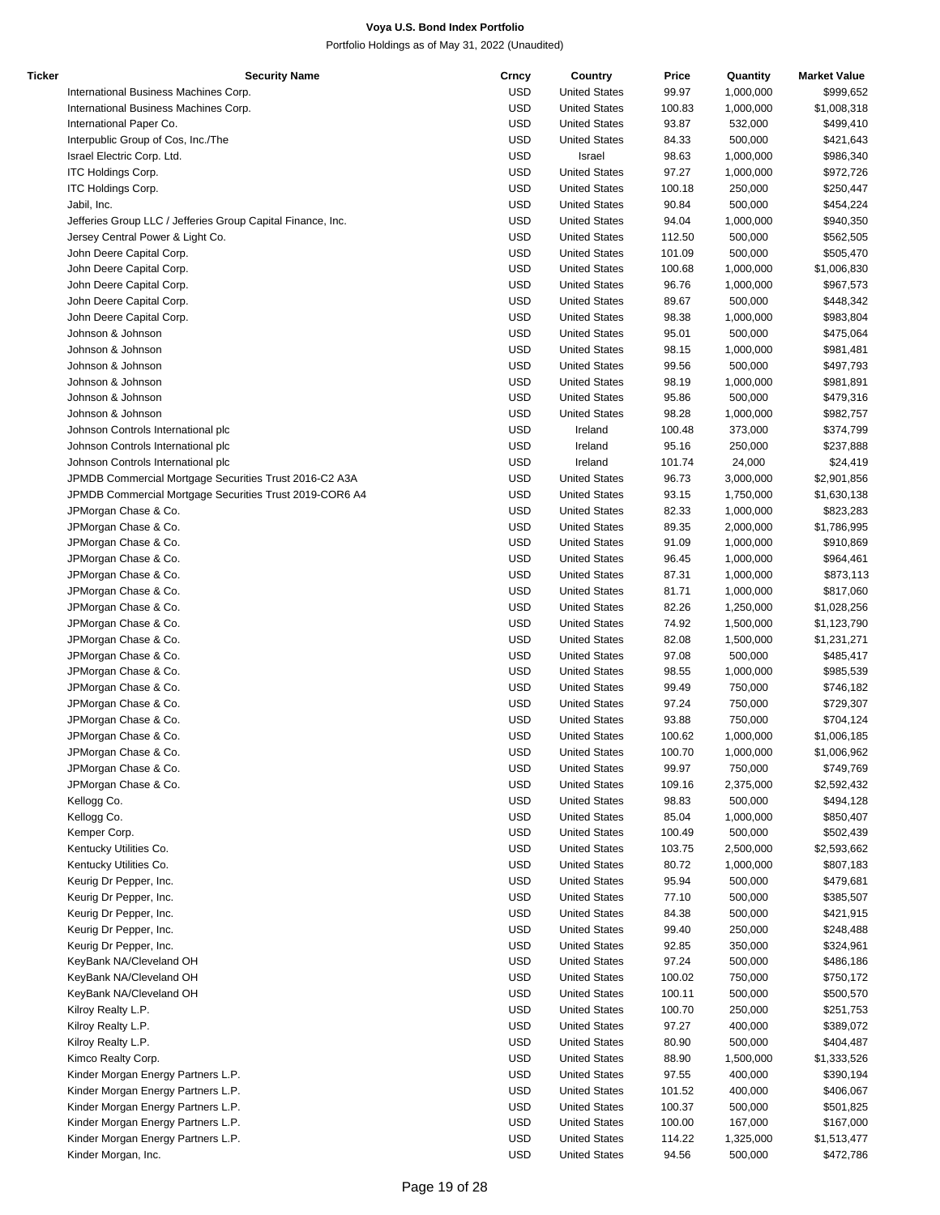| Ticker | <b>Security Name</b>                                        | Crncy      | Country              | Price  | Quantity  | <b>Market Value</b> |
|--------|-------------------------------------------------------------|------------|----------------------|--------|-----------|---------------------|
|        | International Business Machines Corp.                       | <b>USD</b> | <b>United States</b> | 99.97  | 1,000,000 | \$999,652           |
|        | International Business Machines Corp.                       | <b>USD</b> | <b>United States</b> | 100.83 | 1,000,000 | \$1,008,318         |
|        | International Paper Co.                                     | <b>USD</b> | <b>United States</b> | 93.87  | 532,000   | \$499,410           |
|        | Interpublic Group of Cos, Inc./The                          | <b>USD</b> | <b>United States</b> | 84.33  | 500,000   | \$421,643           |
|        | Israel Electric Corp. Ltd.                                  | <b>USD</b> | Israel               | 98.63  | 1,000,000 | \$986,340           |
|        |                                                             |            |                      |        |           |                     |
|        | <b>ITC Holdings Corp.</b>                                   | <b>USD</b> | <b>United States</b> | 97.27  | 1,000,000 | \$972,726           |
|        | ITC Holdings Corp.                                          | <b>USD</b> | <b>United States</b> | 100.18 | 250,000   | \$250,447           |
|        | Jabil, Inc.                                                 | <b>USD</b> | <b>United States</b> | 90.84  | 500,000   | \$454,224           |
|        | Jefferies Group LLC / Jefferies Group Capital Finance, Inc. | <b>USD</b> | <b>United States</b> | 94.04  | 1,000,000 | \$940,350           |
|        | Jersey Central Power & Light Co.                            | <b>USD</b> | <b>United States</b> | 112.50 | 500,000   | \$562,505           |
|        | John Deere Capital Corp.                                    | <b>USD</b> | <b>United States</b> | 101.09 | 500,000   | \$505,470           |
|        | John Deere Capital Corp.                                    | <b>USD</b> | <b>United States</b> | 100.68 | 1,000,000 | \$1,006,830         |
|        | John Deere Capital Corp.                                    | <b>USD</b> | <b>United States</b> | 96.76  | 1,000,000 | \$967,573           |
|        |                                                             | <b>USD</b> | <b>United States</b> | 89.67  | 500,000   | \$448,342           |
|        | John Deere Capital Corp.                                    |            |                      |        |           |                     |
|        | John Deere Capital Corp.                                    | <b>USD</b> | <b>United States</b> | 98.38  | 1,000,000 | \$983,804           |
|        | Johnson & Johnson                                           | <b>USD</b> | <b>United States</b> | 95.01  | 500,000   | \$475,064           |
|        | Johnson & Johnson                                           | <b>USD</b> | <b>United States</b> | 98.15  | 1,000,000 | \$981,481           |
|        | Johnson & Johnson                                           | <b>USD</b> | <b>United States</b> | 99.56  | 500,000   | \$497,793           |
|        | Johnson & Johnson                                           | <b>USD</b> | <b>United States</b> | 98.19  | 1,000,000 | \$981,891           |
|        | Johnson & Johnson                                           | <b>USD</b> | <b>United States</b> | 95.86  | 500,000   | \$479,316           |
|        | Johnson & Johnson                                           | <b>USD</b> | <b>United States</b> | 98.28  | 1,000,000 | \$982,757           |
|        | Johnson Controls International plc                          | <b>USD</b> | Ireland              | 100.48 | 373,000   | \$374,799           |
|        |                                                             |            |                      |        |           |                     |
|        | Johnson Controls International plc                          | <b>USD</b> | Ireland              | 95.16  | 250,000   | \$237,888           |
|        | Johnson Controls International plc                          | <b>USD</b> | Ireland              | 101.74 | 24,000    | \$24,419            |
|        | JPMDB Commercial Mortgage Securities Trust 2016-C2 A3A      | <b>USD</b> | <b>United States</b> | 96.73  | 3,000,000 | \$2,901,856         |
|        | JPMDB Commercial Mortgage Securities Trust 2019-COR6 A4     | <b>USD</b> | <b>United States</b> | 93.15  | 1,750,000 | \$1,630,138         |
|        | JPMorgan Chase & Co.                                        | <b>USD</b> | <b>United States</b> | 82.33  | 1,000,000 | \$823,283           |
|        | JPMorgan Chase & Co.                                        | <b>USD</b> | <b>United States</b> | 89.35  | 2,000,000 | \$1,786,995         |
|        | JPMorgan Chase & Co.                                        | <b>USD</b> | <b>United States</b> | 91.09  | 1,000,000 | \$910,869           |
|        | JPMorgan Chase & Co.                                        | <b>USD</b> | <b>United States</b> | 96.45  | 1,000,000 | \$964,461           |
|        |                                                             |            |                      |        |           |                     |
|        | JPMorgan Chase & Co.                                        | <b>USD</b> | <b>United States</b> | 87.31  | 1,000,000 | \$873,113           |
|        | JPMorgan Chase & Co.                                        | <b>USD</b> | <b>United States</b> | 81.71  | 1,000,000 | \$817,060           |
|        | JPMorgan Chase & Co.                                        | <b>USD</b> | <b>United States</b> | 82.26  | 1,250,000 | \$1,028,256         |
|        | JPMorgan Chase & Co.                                        | <b>USD</b> | <b>United States</b> | 74.92  | 1,500,000 | \$1,123,790         |
|        | JPMorgan Chase & Co.                                        | <b>USD</b> | <b>United States</b> | 82.08  | 1,500,000 | \$1,231,271         |
|        | JPMorgan Chase & Co.                                        | <b>USD</b> | <b>United States</b> | 97.08  | 500,000   | \$485,417           |
|        | JPMorgan Chase & Co.                                        | <b>USD</b> | <b>United States</b> | 98.55  | 1,000,000 | \$985,539           |
|        | JPMorgan Chase & Co.                                        | <b>USD</b> | <b>United States</b> | 99.49  | 750,000   | \$746,182           |
|        | JPMorgan Chase & Co.                                        | <b>USD</b> | <b>United States</b> | 97.24  | 750,000   | \$729,307           |
|        |                                                             |            |                      |        |           |                     |
|        | JPMorgan Chase & Co.                                        | <b>USD</b> | <b>United States</b> | 93.88  | 750,000   | \$704,124           |
|        | JPMorgan Chase & Co.                                        | <b>USD</b> | <b>United States</b> | 100.62 | 1,000,000 | \$1,006,185         |
|        | JPMorgan Chase & Co.                                        | <b>USD</b> | <b>United States</b> | 100.70 | 1.000.000 | \$1,006,962         |
|        | JPMorgan Chase & Co.                                        | <b>USD</b> | <b>United States</b> | 99.97  | 750,000   | \$749,769           |
|        | JPMorgan Chase & Co.                                        | <b>USD</b> | <b>United States</b> | 109.16 | 2,375,000 | \$2,592,432         |
|        | Kellogg Co.                                                 | <b>USD</b> | <b>United States</b> | 98.83  | 500,000   | \$494,128           |
|        | Kellogg Co.                                                 | <b>USD</b> | <b>United States</b> | 85.04  | 1,000,000 | \$850,407           |
|        | Kemper Corp.                                                | <b>USD</b> | <b>United States</b> | 100.49 | 500,000   | \$502,439           |
|        | Kentucky Utilities Co.                                      | <b>USD</b> |                      |        |           |                     |
|        |                                                             |            | <b>United States</b> | 103.75 | 2,500,000 | \$2,593,662         |
|        | Kentucky Utilities Co.                                      | <b>USD</b> | <b>United States</b> | 80.72  | 1,000,000 | \$807,183           |
|        | Keurig Dr Pepper, Inc.                                      | <b>USD</b> | <b>United States</b> | 95.94  | 500,000   | \$479,681           |
|        | Keurig Dr Pepper, Inc.                                      | <b>USD</b> | <b>United States</b> | 77.10  | 500,000   | \$385,507           |
|        | Keurig Dr Pepper, Inc.                                      | <b>USD</b> | <b>United States</b> | 84.38  | 500,000   | \$421,915           |
|        | Keurig Dr Pepper, Inc.                                      | <b>USD</b> | <b>United States</b> | 99.40  | 250,000   | \$248,488           |
|        | Keurig Dr Pepper, Inc.                                      | <b>USD</b> | <b>United States</b> | 92.85  | 350,000   | \$324,961           |
|        | KeyBank NA/Cleveland OH                                     | <b>USD</b> | <b>United States</b> | 97.24  | 500,000   | \$486,186           |
|        | KeyBank NA/Cleveland OH                                     | <b>USD</b> | <b>United States</b> |        |           |                     |
|        |                                                             |            |                      | 100.02 | 750,000   | \$750,172           |
|        | KeyBank NA/Cleveland OH                                     | <b>USD</b> | <b>United States</b> | 100.11 | 500,000   | \$500,570           |
|        | Kilroy Realty L.P.                                          | <b>USD</b> | <b>United States</b> | 100.70 | 250,000   | \$251,753           |
|        | Kilroy Realty L.P.                                          | <b>USD</b> | <b>United States</b> | 97.27  | 400,000   | \$389,072           |
|        | Kilroy Realty L.P.                                          | <b>USD</b> | <b>United States</b> | 80.90  | 500,000   | \$404,487           |
|        | Kimco Realty Corp.                                          | <b>USD</b> | <b>United States</b> | 88.90  | 1,500,000 | \$1,333,526         |
|        | Kinder Morgan Energy Partners L.P.                          | <b>USD</b> | <b>United States</b> | 97.55  | 400,000   | \$390,194           |
|        | Kinder Morgan Energy Partners L.P.                          | <b>USD</b> | <b>United States</b> | 101.52 | 400,000   | \$406,067           |
|        | Kinder Morgan Energy Partners L.P.                          | <b>USD</b> | <b>United States</b> | 100.37 | 500,000   | \$501,825           |
|        |                                                             |            |                      |        |           |                     |
|        | Kinder Morgan Energy Partners L.P.                          | <b>USD</b> | <b>United States</b> | 100.00 | 167,000   | \$167,000           |
|        | Kinder Morgan Energy Partners L.P.                          | <b>USD</b> | <b>United States</b> | 114.22 | 1,325,000 | \$1,513,477         |
|        | Kinder Morgan, Inc.                                         | <b>USD</b> | <b>United States</b> | 94.56  | 500,000   | \$472,786           |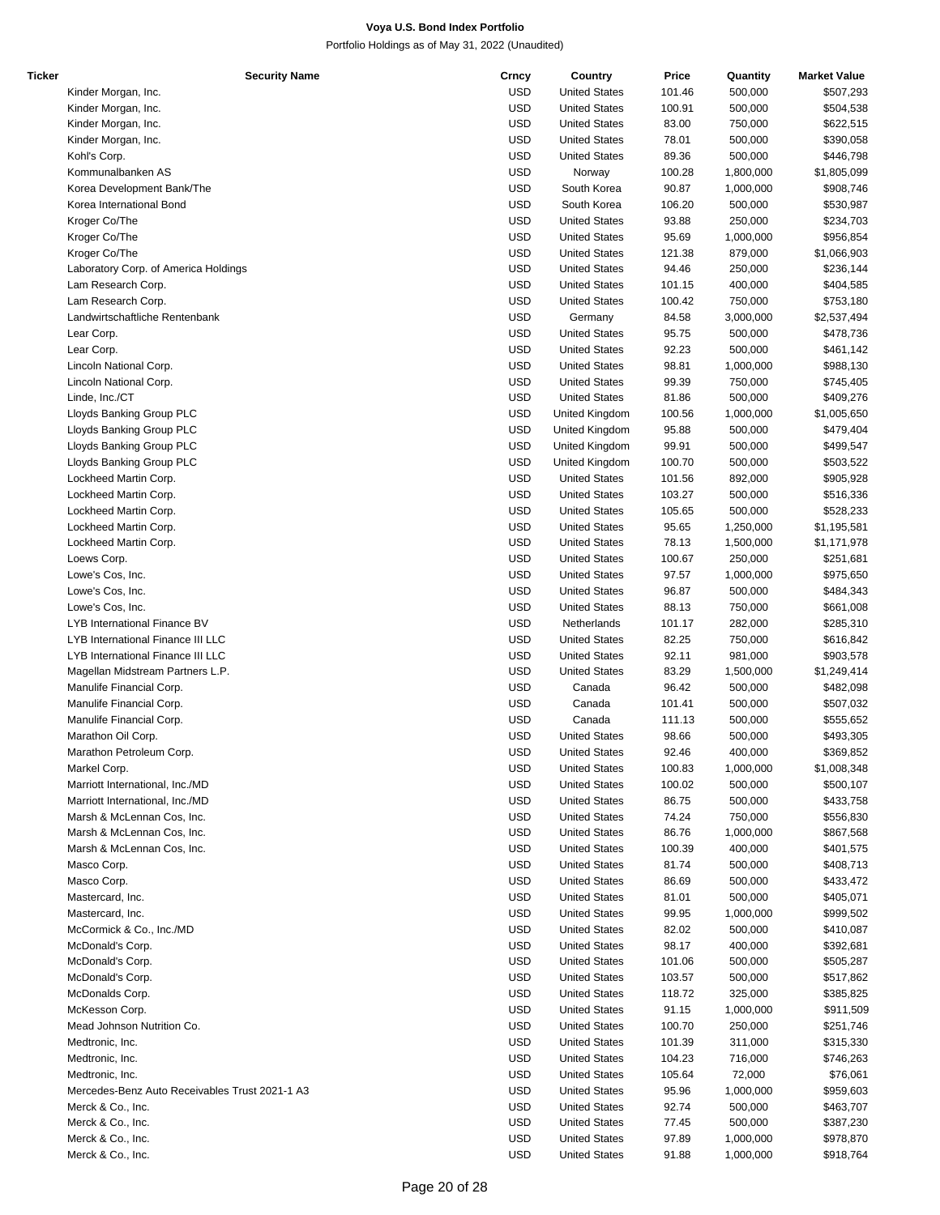| Ticker | <b>Security Name</b>                           | Crncy      | Country              | Price  | Quantity  | <b>Market Value</b> |
|--------|------------------------------------------------|------------|----------------------|--------|-----------|---------------------|
|        | Kinder Morgan, Inc.                            | <b>USD</b> | <b>United States</b> | 101.46 | 500,000   | \$507,293           |
|        | Kinder Morgan, Inc.                            | <b>USD</b> | <b>United States</b> | 100.91 | 500,000   | \$504,538           |
|        | Kinder Morgan, Inc.                            | <b>USD</b> | <b>United States</b> | 83.00  | 750,000   | \$622,515           |
|        | Kinder Morgan, Inc.                            | <b>USD</b> | <b>United States</b> | 78.01  | 500,000   | \$390,058           |
|        | Kohl's Corp.                                   | <b>USD</b> | <b>United States</b> | 89.36  | 500,000   | \$446,798           |
|        | Kommunalbanken AS                              | <b>USD</b> | Norway               | 100.28 | 1,800,000 | \$1,805,099         |
|        |                                                | <b>USD</b> | South Korea          | 90.87  |           | \$908,746           |
|        | Korea Development Bank/The                     |            |                      |        | 1,000,000 |                     |
|        | Korea International Bond                       | <b>USD</b> | South Korea          | 106.20 | 500,000   | \$530,987           |
|        | Kroger Co/The                                  | <b>USD</b> | <b>United States</b> | 93.88  | 250,000   | \$234,703           |
|        | Kroger Co/The                                  | <b>USD</b> | <b>United States</b> | 95.69  | 1,000,000 | \$956,854           |
|        | Kroger Co/The                                  | <b>USD</b> | <b>United States</b> | 121.38 | 879,000   | \$1,066,903         |
|        | Laboratory Corp. of America Holdings           | <b>USD</b> | <b>United States</b> | 94.46  | 250,000   | \$236,144           |
|        | Lam Research Corp.                             | <b>USD</b> | <b>United States</b> | 101.15 | 400,000   | \$404,585           |
|        | Lam Research Corp.                             | <b>USD</b> | <b>United States</b> | 100.42 | 750,000   | \$753,180           |
|        | Landwirtschaftliche Rentenbank                 | <b>USD</b> | Germany              | 84.58  | 3,000,000 | \$2,537,494         |
|        | Lear Corp.                                     | <b>USD</b> | <b>United States</b> | 95.75  | 500,000   | \$478,736           |
|        | Lear Corp.                                     | <b>USD</b> | <b>United States</b> | 92.23  | 500,000   | \$461,142           |
|        | Lincoln National Corp.                         | <b>USD</b> | <b>United States</b> | 98.81  | 1,000,000 | \$988,130           |
|        | Lincoln National Corp.                         | <b>USD</b> | <b>United States</b> | 99.39  | 750,000   | \$745,405           |
|        |                                                |            |                      |        |           |                     |
|        | Linde, Inc./CT                                 | <b>USD</b> | <b>United States</b> | 81.86  | 500,000   | \$409,276           |
|        | Lloyds Banking Group PLC                       | <b>USD</b> | United Kingdom       | 100.56 | 1,000,000 | \$1,005,650         |
|        | Lloyds Banking Group PLC                       | <b>USD</b> | United Kingdom       | 95.88  | 500,000   | \$479,404           |
|        | Lloyds Banking Group PLC                       | <b>USD</b> | United Kingdom       | 99.91  | 500,000   | \$499,547           |
|        | Lloyds Banking Group PLC                       | <b>USD</b> | United Kingdom       | 100.70 | 500,000   | \$503,522           |
|        | Lockheed Martin Corp.                          | <b>USD</b> | <b>United States</b> | 101.56 | 892,000   | \$905,928           |
|        | Lockheed Martin Corp.                          | <b>USD</b> | <b>United States</b> | 103.27 | 500,000   | \$516,336           |
|        | Lockheed Martin Corp.                          | <b>USD</b> | <b>United States</b> | 105.65 | 500,000   | \$528,233           |
|        | Lockheed Martin Corp.                          | <b>USD</b> | <b>United States</b> | 95.65  | 1,250,000 | \$1,195,581         |
|        | Lockheed Martin Corp.                          | <b>USD</b> | <b>United States</b> | 78.13  | 1,500,000 | \$1,171,978         |
|        | Loews Corp.                                    | <b>USD</b> | <b>United States</b> | 100.67 | 250,000   | \$251,681           |
|        | Lowe's Cos, Inc.                               | <b>USD</b> | <b>United States</b> | 97.57  |           | \$975,650           |
|        |                                                |            |                      |        | 1,000,000 |                     |
|        | Lowe's Cos, Inc.                               | <b>USD</b> | <b>United States</b> | 96.87  | 500,000   | \$484,343           |
|        | Lowe's Cos, Inc.                               | <b>USD</b> | <b>United States</b> | 88.13  | 750,000   | \$661,008           |
|        | LYB International Finance BV                   | <b>USD</b> | Netherlands          | 101.17 | 282,000   | \$285,310           |
|        | LYB International Finance III LLC              | <b>USD</b> | <b>United States</b> | 82.25  | 750,000   | \$616,842           |
|        | LYB International Finance III LLC              | <b>USD</b> | <b>United States</b> | 92.11  | 981,000   | \$903,578           |
|        | Magellan Midstream Partners L.P.               | <b>USD</b> | <b>United States</b> | 83.29  | 1,500,000 | \$1,249,414         |
|        | Manulife Financial Corp.                       | <b>USD</b> | Canada               | 96.42  | 500,000   | \$482,098           |
|        | Manulife Financial Corp.                       | <b>USD</b> | Canada               | 101.41 | 500,000   | \$507,032           |
|        | Manulife Financial Corp.                       | <b>USD</b> | Canada               | 111.13 | 500,000   | \$555,652           |
|        | Marathon Oil Corp.                             | <b>USD</b> | <b>United States</b> | 98.66  | 500,000   | \$493,305           |
|        | Marathon Petroleum Corp.                       | <b>USD</b> | <b>United States</b> | 92.46  | 400,000   | \$369,852           |
|        | Markel Corp.                                   | <b>USD</b> | <b>United States</b> | 100.83 | 1,000,000 | \$1,008,348         |
|        |                                                |            |                      |        |           |                     |
|        | Marriott International, Inc./MD                | <b>USD</b> | <b>United States</b> | 100.02 | 500,000   | \$500,107           |
|        | Marriott International, Inc./MD                | USD        | <b>United States</b> | 86.75  | 500,000   | \$433,758           |
|        | Marsh & McLennan Cos, Inc.                     | <b>USD</b> | <b>United States</b> | 74.24  | 750,000   | \$556,830           |
|        | Marsh & McLennan Cos, Inc.                     | <b>USD</b> | <b>United States</b> | 86.76  | 1,000,000 | \$867,568           |
|        | Marsh & McLennan Cos, Inc.                     | <b>USD</b> | <b>United States</b> | 100.39 | 400,000   | \$401,575           |
|        | Masco Corp.                                    | USD        | <b>United States</b> | 81.74  | 500,000   | \$408,713           |
|        | Masco Corp.                                    | <b>USD</b> | <b>United States</b> | 86.69  | 500,000   | \$433,472           |
|        | Mastercard, Inc.                               | <b>USD</b> | <b>United States</b> | 81.01  | 500,000   | \$405,071           |
|        | Mastercard, Inc.                               | <b>USD</b> | <b>United States</b> | 99.95  | 1,000,000 | \$999,502           |
|        | McCormick & Co., Inc./MD                       | USD        | <b>United States</b> | 82.02  | 500,000   | \$410,087           |
|        | McDonald's Corp.                               | <b>USD</b> | <b>United States</b> | 98.17  | 400,000   | \$392,681           |
|        | McDonald's Corp.                               | <b>USD</b> |                      |        |           |                     |
|        |                                                |            | <b>United States</b> | 101.06 | 500,000   | \$505,287           |
|        | McDonald's Corp.                               | <b>USD</b> | <b>United States</b> | 103.57 | 500,000   | \$517,862           |
|        | McDonalds Corp.                                | USD        | <b>United States</b> | 118.72 | 325,000   | \$385,825           |
|        | McKesson Corp.                                 | <b>USD</b> | <b>United States</b> | 91.15  | 1,000,000 | \$911,509           |
|        | Mead Johnson Nutrition Co.                     | <b>USD</b> | <b>United States</b> | 100.70 | 250,000   | \$251,746           |
|        | Medtronic, Inc.                                | USD        | <b>United States</b> | 101.39 | 311,000   | \$315,330           |
|        | Medtronic, Inc.                                | USD        | <b>United States</b> | 104.23 | 716,000   | \$746,263           |
|        | Medtronic, Inc.                                | USD        | <b>United States</b> | 105.64 | 72,000    | \$76,061            |
|        | Mercedes-Benz Auto Receivables Trust 2021-1 A3 | <b>USD</b> | <b>United States</b> | 95.96  | 1,000,000 | \$959,603           |
|        | Merck & Co., Inc.                              | <b>USD</b> | <b>United States</b> | 92.74  | 500,000   | \$463,707           |
|        | Merck & Co., Inc.                              | USD        | <b>United States</b> | 77.45  |           |                     |
|        |                                                |            |                      |        | 500,000   | \$387,230           |
|        | Merck & Co., Inc.                              | <b>USD</b> | <b>United States</b> | 97.89  | 1,000,000 | \$978,870           |
|        | Merck & Co., Inc.                              | <b>USD</b> | <b>United States</b> | 91.88  | 1,000,000 | \$918,764           |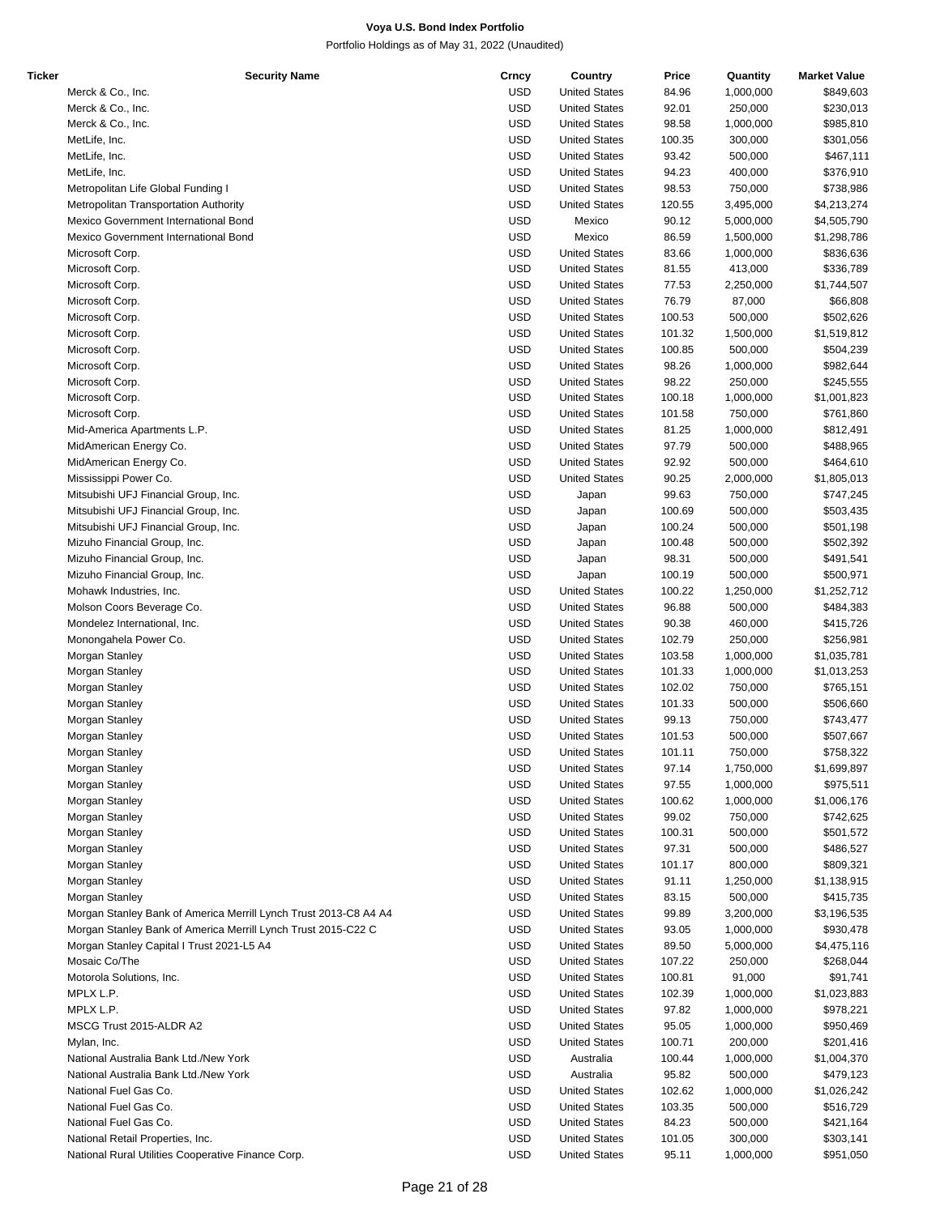| Ticker | <b>Security Name</b>                                             | Crncy      | Country              | Price  | Quantity  | <b>Market Value</b> |
|--------|------------------------------------------------------------------|------------|----------------------|--------|-----------|---------------------|
|        | Merck & Co., Inc.                                                | <b>USD</b> | <b>United States</b> | 84.96  | 1,000,000 | \$849,603           |
|        | Merck & Co., Inc.                                                | <b>USD</b> | <b>United States</b> | 92.01  | 250,000   | \$230,013           |
|        | Merck & Co., Inc.                                                | <b>USD</b> | <b>United States</b> | 98.58  | 1,000,000 | \$985,810           |
|        | MetLife, Inc.                                                    | <b>USD</b> | <b>United States</b> | 100.35 | 300,000   | \$301,056           |
|        | MetLife, Inc.                                                    | <b>USD</b> |                      |        | 500,000   |                     |
|        |                                                                  |            | <b>United States</b> | 93.42  |           | \$467,111           |
|        | MetLife, Inc.                                                    | <b>USD</b> | <b>United States</b> | 94.23  | 400,000   | \$376,910           |
|        | Metropolitan Life Global Funding I                               | <b>USD</b> | <b>United States</b> | 98.53  | 750,000   | \$738,986           |
|        | Metropolitan Transportation Authority                            | <b>USD</b> | <b>United States</b> | 120.55 | 3,495,000 | \$4,213,274         |
|        | Mexico Government International Bond                             | <b>USD</b> | Mexico               | 90.12  | 5,000,000 | \$4,505,790         |
|        | Mexico Government International Bond                             | <b>USD</b> | Mexico               | 86.59  | 1,500,000 | \$1,298,786         |
|        | Microsoft Corp.                                                  | <b>USD</b> | <b>United States</b> | 83.66  | 1,000,000 | \$836,636           |
|        | Microsoft Corp.                                                  | <b>USD</b> | <b>United States</b> | 81.55  | 413,000   | \$336,789           |
|        | Microsoft Corp.                                                  | <b>USD</b> | <b>United States</b> | 77.53  | 2,250,000 | \$1,744,507         |
|        |                                                                  |            |                      |        |           |                     |
|        | Microsoft Corp.                                                  | <b>USD</b> | <b>United States</b> | 76.79  | 87,000    | \$66,808            |
|        | Microsoft Corp.                                                  | <b>USD</b> | <b>United States</b> | 100.53 | 500,000   | \$502,626           |
|        | Microsoft Corp.                                                  | <b>USD</b> | <b>United States</b> | 101.32 | 1,500,000 | \$1,519,812         |
|        | Microsoft Corp.                                                  | <b>USD</b> | <b>United States</b> | 100.85 | 500,000   | \$504,239           |
|        | Microsoft Corp.                                                  | <b>USD</b> | <b>United States</b> | 98.26  | 1,000,000 | \$982,644           |
|        | Microsoft Corp.                                                  | <b>USD</b> | <b>United States</b> | 98.22  | 250,000   | \$245,555           |
|        | Microsoft Corp.                                                  | <b>USD</b> | <b>United States</b> | 100.18 | 1,000,000 | \$1,001,823         |
|        | Microsoft Corp.                                                  | <b>USD</b> | <b>United States</b> | 101.58 | 750,000   | \$761,860           |
|        |                                                                  |            |                      |        |           |                     |
|        | Mid-America Apartments L.P.                                      | <b>USD</b> | <b>United States</b> | 81.25  | 1,000,000 | \$812,491           |
|        | MidAmerican Energy Co.                                           | <b>USD</b> | <b>United States</b> | 97.79  | 500,000   | \$488,965           |
|        | MidAmerican Energy Co.                                           | <b>USD</b> | <b>United States</b> | 92.92  | 500,000   | \$464,610           |
|        | Mississippi Power Co.                                            | <b>USD</b> | <b>United States</b> | 90.25  | 2,000,000 | \$1,805,013         |
|        | Mitsubishi UFJ Financial Group, Inc.                             | <b>USD</b> | Japan                | 99.63  | 750,000   | \$747,245           |
|        | Mitsubishi UFJ Financial Group, Inc.                             | <b>USD</b> | Japan                | 100.69 | 500,000   | \$503,435           |
|        | Mitsubishi UFJ Financial Group, Inc.                             | <b>USD</b> | Japan                | 100.24 | 500,000   | \$501,198           |
|        | Mizuho Financial Group, Inc.                                     | <b>USD</b> | Japan                | 100.48 | 500,000   | \$502,392           |
|        |                                                                  |            |                      |        |           |                     |
|        | Mizuho Financial Group, Inc.                                     | <b>USD</b> | Japan                | 98.31  | 500,000   | \$491,541           |
|        | Mizuho Financial Group, Inc.                                     | <b>USD</b> | Japan                | 100.19 | 500,000   | \$500,971           |
|        | Mohawk Industries, Inc.                                          | <b>USD</b> | <b>United States</b> | 100.22 | 1,250,000 | \$1,252,712         |
|        | Molson Coors Beverage Co.                                        | <b>USD</b> | <b>United States</b> | 96.88  | 500,000   | \$484,383           |
|        | Mondelez International, Inc.                                     | <b>USD</b> | <b>United States</b> | 90.38  | 460,000   | \$415,726           |
|        | Monongahela Power Co.                                            | <b>USD</b> | <b>United States</b> | 102.79 | 250,000   | \$256,981           |
|        | Morgan Stanley                                                   | <b>USD</b> | <b>United States</b> | 103.58 | 1,000,000 | \$1,035,781         |
|        | Morgan Stanley                                                   | <b>USD</b> | <b>United States</b> | 101.33 | 1,000,000 | \$1,013,253         |
|        | Morgan Stanley                                                   | <b>USD</b> | <b>United States</b> | 102.02 | 750,000   | \$765,151           |
|        |                                                                  |            |                      |        |           |                     |
|        | Morgan Stanley                                                   | <b>USD</b> | <b>United States</b> | 101.33 | 500,000   | \$506,660           |
|        | Morgan Stanley                                                   | <b>USD</b> | <b>United States</b> | 99.13  | 750,000   | \$743,477           |
|        | Morgan Stanley                                                   | <b>USD</b> | <b>United States</b> | 101.53 | 500,000   | \$507,667           |
|        | Morgan Stanley                                                   | <b>USD</b> | <b>United States</b> | 101.11 | 750,000   | \$758,322           |
|        | Morgan Stanley                                                   | <b>USD</b> | <b>United States</b> | 97.14  | 1,750,000 | \$1,699,897         |
|        | Morgan Stanley                                                   | <b>USD</b> | <b>United States</b> | 97.55  | 1,000,000 | \$975,511           |
|        | Morgan Stanley                                                   | <b>USD</b> | <b>United States</b> | 100.62 | 1,000,000 | \$1,006,176         |
|        | Morgan Stanley                                                   | <b>USD</b> | <b>United States</b> | 99.02  | 750,000   | \$742,625           |
|        |                                                                  |            | <b>United States</b> |        |           | \$501,572           |
|        | Morgan Stanley                                                   | <b>USD</b> |                      | 100.31 | 500,000   |                     |
|        | Morgan Stanley                                                   | <b>USD</b> | <b>United States</b> | 97.31  | 500,000   | \$486,527           |
|        | Morgan Stanley                                                   | <b>USD</b> | <b>United States</b> | 101.17 | 800,000   | \$809,321           |
|        | Morgan Stanley                                                   | <b>USD</b> | <b>United States</b> | 91.11  | 1,250,000 | \$1,138,915         |
|        | Morgan Stanley                                                   | <b>USD</b> | <b>United States</b> | 83.15  | 500,000   | \$415,735           |
|        | Morgan Stanley Bank of America Merrill Lynch Trust 2013-C8 A4 A4 | <b>USD</b> | <b>United States</b> | 99.89  | 3,200,000 | \$3,196,535         |
|        | Morgan Stanley Bank of America Merrill Lynch Trust 2015-C22 C    | <b>USD</b> | <b>United States</b> | 93.05  | 1,000,000 | \$930,478           |
|        | Morgan Stanley Capital I Trust 2021-L5 A4                        | <b>USD</b> | <b>United States</b> | 89.50  | 5,000,000 | \$4,475,116         |
|        | Mosaic Co/The                                                    | <b>USD</b> | <b>United States</b> | 107.22 | 250,000   | \$268,044           |
|        |                                                                  |            |                      |        |           |                     |
|        | Motorola Solutions, Inc.                                         | <b>USD</b> | <b>United States</b> | 100.81 | 91,000    | \$91,741            |
|        | MPLX L.P.                                                        | <b>USD</b> | <b>United States</b> | 102.39 | 1,000,000 | \$1,023,883         |
|        | MPLX L.P.                                                        | <b>USD</b> | <b>United States</b> | 97.82  | 1,000,000 | \$978,221           |
|        | MSCG Trust 2015-ALDR A2                                          | <b>USD</b> | <b>United States</b> | 95.05  | 1,000,000 | \$950,469           |
|        | Mylan, Inc.                                                      | <b>USD</b> | <b>United States</b> | 100.71 | 200,000   | \$201,416           |
|        | National Australia Bank Ltd./New York                            | <b>USD</b> | Australia            | 100.44 | 1,000,000 | \$1,004,370         |
|        | National Australia Bank Ltd./New York                            | <b>USD</b> | Australia            | 95.82  | 500,000   | \$479,123           |
|        | National Fuel Gas Co.                                            | <b>USD</b> | <b>United States</b> | 102.62 | 1,000,000 | \$1,026,242         |
|        |                                                                  |            |                      |        |           |                     |
|        | National Fuel Gas Co.                                            | <b>USD</b> | <b>United States</b> | 103.35 | 500,000   | \$516,729           |
|        | National Fuel Gas Co.                                            | <b>USD</b> | <b>United States</b> | 84.23  | 500,000   | \$421,164           |
|        | National Retail Properties, Inc.                                 | <b>USD</b> | <b>United States</b> | 101.05 | 300,000   | \$303,141           |
|        | National Rural Utilities Cooperative Finance Corp.               | <b>USD</b> | <b>United States</b> | 95.11  | 1,000,000 | \$951,050           |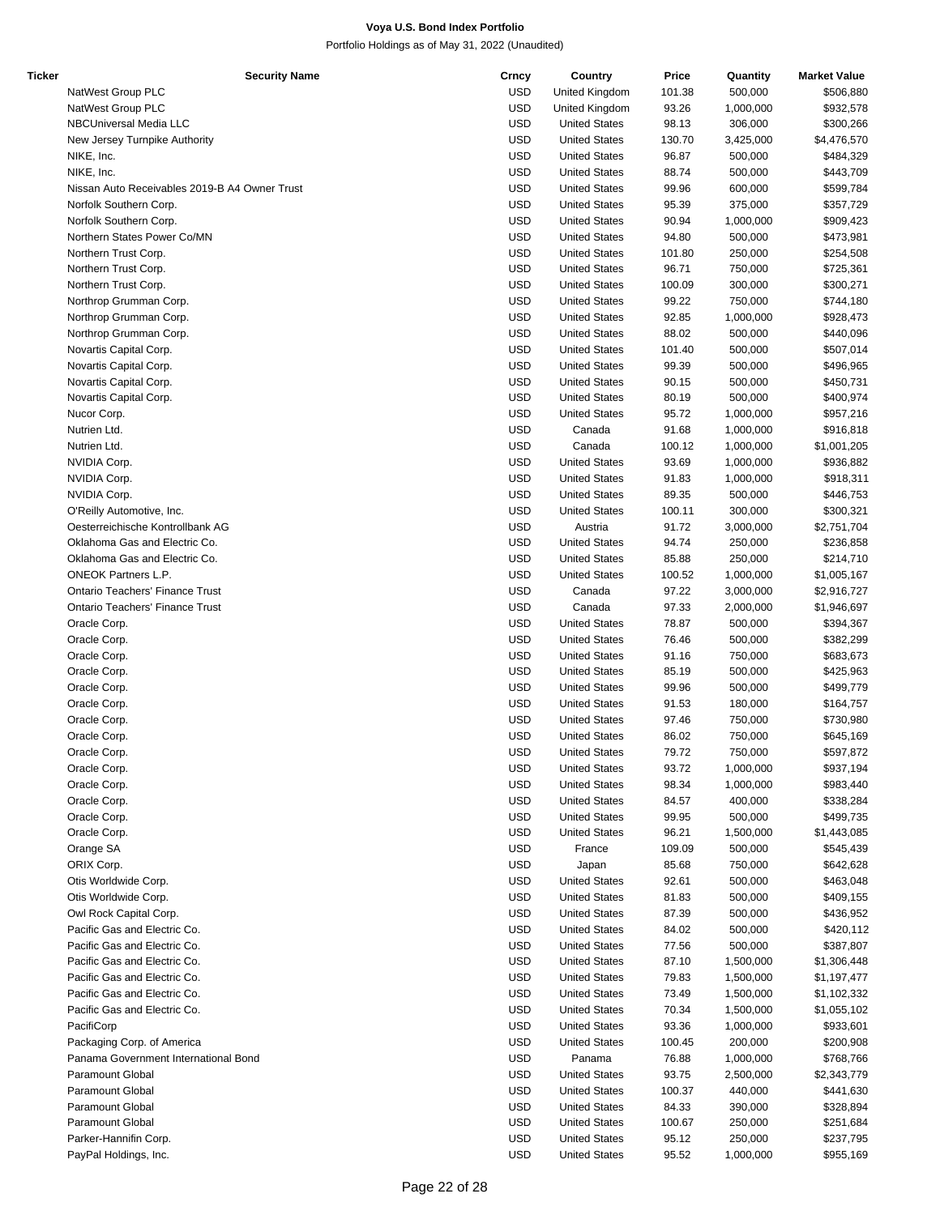| Ticker | <b>Security Name</b>                          | Crncy      | Country              | Price  | Quantity  | <b>Market Value</b> |
|--------|-----------------------------------------------|------------|----------------------|--------|-----------|---------------------|
|        | NatWest Group PLC                             | <b>USD</b> | United Kingdom       | 101.38 | 500,000   | \$506,880           |
|        | NatWest Group PLC                             | <b>USD</b> | United Kingdom       | 93.26  | 1,000,000 | \$932,578           |
|        | NBCUniversal Media LLC                        | <b>USD</b> | <b>United States</b> | 98.13  | 306,000   | \$300,266           |
|        | New Jersey Turnpike Authority                 | <b>USD</b> | <b>United States</b> | 130.70 | 3,425,000 | \$4,476,570         |
|        | NIKE, Inc.                                    | <b>USD</b> | <b>United States</b> | 96.87  | 500,000   | \$484,329           |
|        | NIKE, Inc.                                    | <b>USD</b> | <b>United States</b> | 88.74  | 500,000   | \$443,709           |
|        | Nissan Auto Receivables 2019-B A4 Owner Trust | <b>USD</b> | <b>United States</b> | 99.96  | 600,000   | \$599,784           |
|        |                                               |            |                      |        |           |                     |
|        | Norfolk Southern Corp.                        | <b>USD</b> | <b>United States</b> | 95.39  | 375,000   | \$357,729           |
|        | Norfolk Southern Corp.                        | <b>USD</b> | <b>United States</b> | 90.94  | 1,000,000 | \$909,423           |
|        | Northern States Power Co/MN                   | <b>USD</b> | <b>United States</b> | 94.80  | 500,000   | \$473,981           |
|        | Northern Trust Corp.                          | <b>USD</b> | <b>United States</b> | 101.80 | 250,000   | \$254,508           |
|        | Northern Trust Corp.                          | <b>USD</b> | <b>United States</b> | 96.71  | 750,000   | \$725,361           |
|        | Northern Trust Corp.                          | <b>USD</b> | <b>United States</b> | 100.09 | 300,000   | \$300,271           |
|        | Northrop Grumman Corp.                        | <b>USD</b> | <b>United States</b> | 99.22  | 750,000   | \$744,180           |
|        | Northrop Grumman Corp.                        | <b>USD</b> | <b>United States</b> | 92.85  | 1,000,000 | \$928,473           |
|        | Northrop Grumman Corp.                        | <b>USD</b> | <b>United States</b> | 88.02  | 500,000   | \$440,096           |
|        | Novartis Capital Corp.                        | <b>USD</b> | <b>United States</b> | 101.40 | 500,000   | \$507,014           |
|        | Novartis Capital Corp.                        | <b>USD</b> | <b>United States</b> | 99.39  | 500,000   | \$496,965           |
|        | Novartis Capital Corp.                        | <b>USD</b> | <b>United States</b> | 90.15  | 500,000   | \$450,731           |
|        |                                               | <b>USD</b> |                      |        |           |                     |
|        | Novartis Capital Corp.                        |            | <b>United States</b> | 80.19  | 500,000   | \$400,974           |
|        | Nucor Corp.                                   | <b>USD</b> | <b>United States</b> | 95.72  | 1,000,000 | \$957,216           |
|        | Nutrien Ltd.                                  | <b>USD</b> | Canada               | 91.68  | 1,000,000 | \$916,818           |
|        | Nutrien Ltd.                                  | <b>USD</b> | Canada               | 100.12 | 1,000,000 | \$1,001,205         |
|        | NVIDIA Corp.                                  | <b>USD</b> | <b>United States</b> | 93.69  | 1,000,000 | \$936,882           |
|        | NVIDIA Corp.                                  | <b>USD</b> | <b>United States</b> | 91.83  | 1,000,000 | \$918,311           |
|        | NVIDIA Corp.                                  | <b>USD</b> | <b>United States</b> | 89.35  | 500,000   | \$446,753           |
|        | O'Reilly Automotive, Inc.                     | <b>USD</b> | <b>United States</b> | 100.11 | 300,000   | \$300,321           |
|        | Oesterreichische Kontrollbank AG              | <b>USD</b> | Austria              | 91.72  | 3,000,000 | \$2,751,704         |
|        | Oklahoma Gas and Electric Co.                 | <b>USD</b> | <b>United States</b> | 94.74  | 250,000   | \$236,858           |
|        | Oklahoma Gas and Electric Co.                 | <b>USD</b> | <b>United States</b> | 85.88  | 250,000   | \$214,710           |
|        | <b>ONEOK Partners L.P.</b>                    | <b>USD</b> | <b>United States</b> | 100.52 | 1,000,000 | \$1,005,167         |
|        | <b>Ontario Teachers' Finance Trust</b>        |            |                      |        |           |                     |
|        |                                               | <b>USD</b> | Canada               | 97.22  | 3,000,000 | \$2,916,727         |
|        | <b>Ontario Teachers' Finance Trust</b>        | <b>USD</b> | Canada               | 97.33  | 2,000,000 | \$1,946,697         |
|        | Oracle Corp.                                  | <b>USD</b> | <b>United States</b> | 78.87  | 500,000   | \$394,367           |
|        | Oracle Corp.                                  | <b>USD</b> | <b>United States</b> | 76.46  | 500,000   | \$382,299           |
|        | Oracle Corp.                                  | <b>USD</b> | <b>United States</b> | 91.16  | 750,000   | \$683,673           |
|        | Oracle Corp.                                  | <b>USD</b> | <b>United States</b> | 85.19  | 500,000   | \$425,963           |
|        | Oracle Corp.                                  | <b>USD</b> | <b>United States</b> | 99.96  | 500,000   | \$499,779           |
|        | Oracle Corp.                                  | <b>USD</b> | <b>United States</b> | 91.53  | 180,000   | \$164,757           |
|        | Oracle Corp.                                  | <b>USD</b> | <b>United States</b> | 97.46  | 750,000   | \$730,980           |
|        | Oracle Corp.                                  | <b>USD</b> | <b>United States</b> | 86.02  | 750,000   | \$645,169           |
|        | Oracle Corp.                                  | <b>USD</b> | <b>United States</b> | 79.72  | 750,000   | \$597,872           |
|        | Oracle Corp.                                  | <b>USD</b> | <b>United States</b> | 93.72  | 1,000,000 | \$937,194           |
|        | Oracle Corp.                                  | <b>USD</b> | <b>United States</b> | 98.34  | 1,000,000 | \$983,440           |
|        |                                               |            |                      |        |           |                     |
|        | Oracle Corp.                                  | <b>USD</b> | <b>United States</b> | 84.57  | 400,000   | \$338,284           |
|        | Oracle Corp.                                  | <b>USD</b> | <b>United States</b> | 99.95  | 500,000   | \$499,735           |
|        | Oracle Corp.                                  | <b>USD</b> | <b>United States</b> | 96.21  | 1,500,000 | \$1,443,085         |
|        | Orange SA                                     | <b>USD</b> | France               | 109.09 | 500,000   | \$545,439           |
|        | ORIX Corp.                                    | <b>USD</b> | Japan                | 85.68  | 750,000   | \$642,628           |
|        | Otis Worldwide Corp.                          | <b>USD</b> | <b>United States</b> | 92.61  | 500,000   | \$463,048           |
|        | Otis Worldwide Corp.                          | <b>USD</b> | <b>United States</b> | 81.83  | 500,000   | \$409,155           |
|        | Owl Rock Capital Corp.                        | <b>USD</b> | <b>United States</b> | 87.39  | 500,000   | \$436,952           |
|        | Pacific Gas and Electric Co.                  | <b>USD</b> | <b>United States</b> | 84.02  | 500,000   | \$420,112           |
|        | Pacific Gas and Electric Co.                  | <b>USD</b> | <b>United States</b> | 77.56  | 500,000   | \$387,807           |
|        | Pacific Gas and Electric Co.                  | <b>USD</b> | <b>United States</b> | 87.10  | 1,500,000 | \$1,306,448         |
|        | Pacific Gas and Electric Co.                  | <b>USD</b> | <b>United States</b> | 79.83  | 1,500,000 |                     |
|        |                                               |            |                      |        |           | \$1,197,477         |
|        | Pacific Gas and Electric Co.                  | <b>USD</b> | <b>United States</b> | 73.49  | 1,500,000 | \$1,102,332         |
|        | Pacific Gas and Electric Co.                  | <b>USD</b> | <b>United States</b> | 70.34  | 1,500,000 | \$1,055,102         |
|        | PacifiCorp                                    | <b>USD</b> | <b>United States</b> | 93.36  | 1,000,000 | \$933,601           |
|        | Packaging Corp. of America                    | <b>USD</b> | <b>United States</b> | 100.45 | 200,000   | \$200,908           |
|        | Panama Government International Bond          | <b>USD</b> | Panama               | 76.88  | 1,000,000 | \$768,766           |
|        | Paramount Global                              | <b>USD</b> | <b>United States</b> | 93.75  | 2,500,000 | \$2,343,779         |
|        | Paramount Global                              | <b>USD</b> | <b>United States</b> | 100.37 | 440,000   | \$441,630           |
|        | <b>Paramount Global</b>                       | <b>USD</b> | <b>United States</b> | 84.33  | 390,000   | \$328,894           |
|        | <b>Paramount Global</b>                       | <b>USD</b> | <b>United States</b> | 100.67 | 250,000   | \$251,684           |
|        | Parker-Hannifin Corp.                         | <b>USD</b> | <b>United States</b> | 95.12  | 250,000   | \$237,795           |
|        | PayPal Holdings, Inc.                         | <b>USD</b> | <b>United States</b> | 95.52  | 1,000,000 | \$955,169           |
|        |                                               |            |                      |        |           |                     |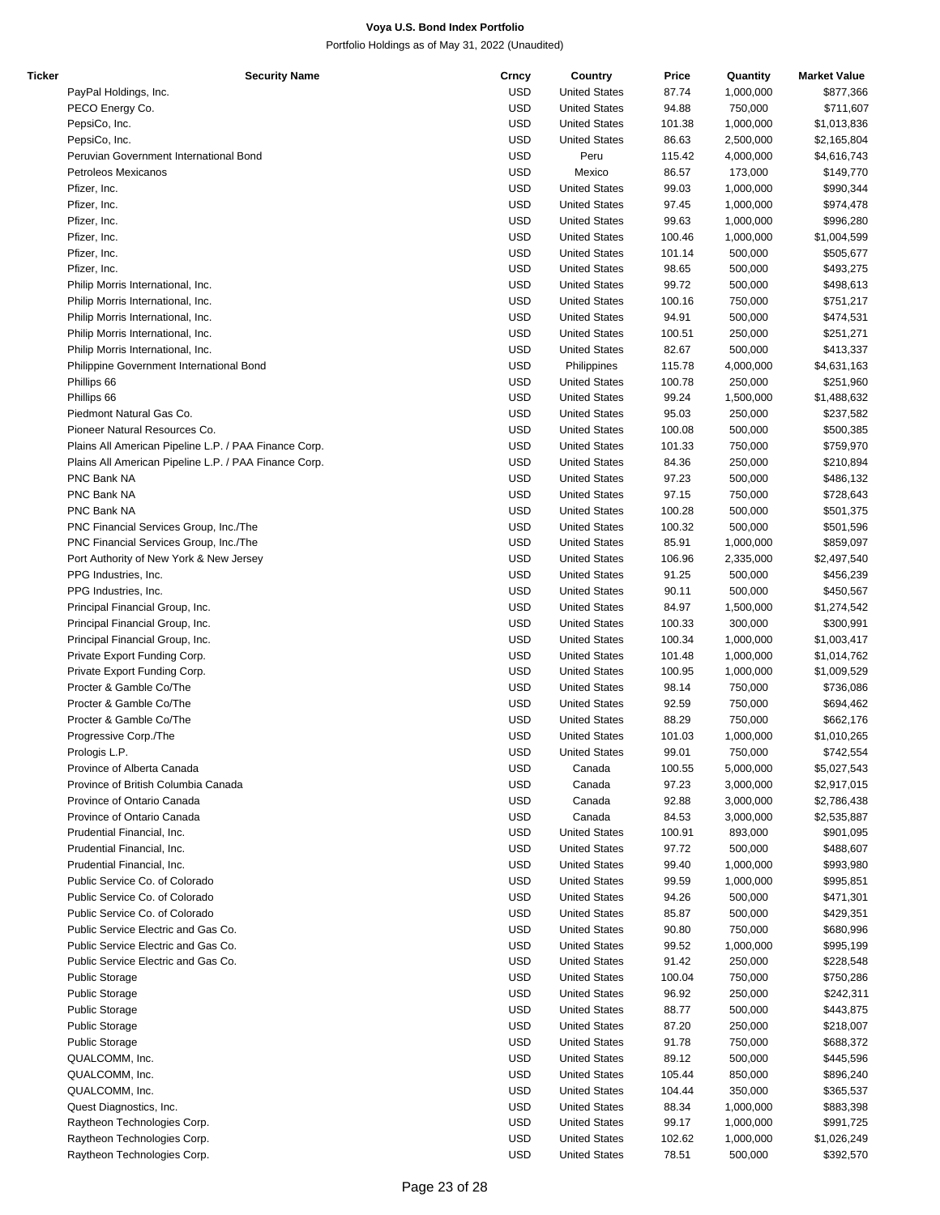| Ticker | <b>Security Name</b>                                  | Crncy      | Country              | Price  | Quantity  | <b>Market Value</b> |
|--------|-------------------------------------------------------|------------|----------------------|--------|-----------|---------------------|
|        | PayPal Holdings, Inc.                                 | <b>USD</b> | <b>United States</b> | 87.74  | 1,000,000 | \$877,366           |
|        | PECO Energy Co.                                       | <b>USD</b> | <b>United States</b> | 94.88  | 750,000   | \$711,607           |
|        | PepsiCo, Inc.                                         | <b>USD</b> | <b>United States</b> | 101.38 | 1,000,000 | \$1,013,836         |
|        | PepsiCo, Inc.                                         | <b>USD</b> | <b>United States</b> | 86.63  | 2,500,000 | \$2,165,804         |
|        | Peruvian Government International Bond                | <b>USD</b> | Peru                 | 115.42 | 4,000,000 |                     |
|        |                                                       |            |                      |        |           | \$4,616,743         |
|        | Petroleos Mexicanos                                   | <b>USD</b> | Mexico               | 86.57  | 173,000   | \$149,770           |
|        | Pfizer, Inc.                                          | <b>USD</b> | <b>United States</b> | 99.03  | 1,000,000 | \$990,344           |
|        | Pfizer, Inc.                                          | <b>USD</b> | <b>United States</b> | 97.45  | 1,000,000 | \$974,478           |
|        | Pfizer, Inc.                                          | <b>USD</b> | <b>United States</b> | 99.63  | 1,000,000 | \$996,280           |
|        | Pfizer, Inc.                                          | <b>USD</b> | <b>United States</b> | 100.46 | 1,000,000 | \$1,004,599         |
|        | Pfizer, Inc.                                          | <b>USD</b> | <b>United States</b> | 101.14 | 500,000   | \$505,677           |
|        | Pfizer, Inc.                                          | <b>USD</b> | <b>United States</b> | 98.65  | 500,000   | \$493,275           |
|        | Philip Morris International, Inc.                     | <b>USD</b> | <b>United States</b> | 99.72  | 500,000   | \$498,613           |
|        | Philip Morris International, Inc.                     | <b>USD</b> | <b>United States</b> | 100.16 | 750,000   |                     |
|        |                                                       |            |                      |        |           | \$751,217           |
|        | Philip Morris International, Inc.                     | <b>USD</b> | <b>United States</b> | 94.91  | 500,000   | \$474,531           |
|        | Philip Morris International, Inc.                     | <b>USD</b> | <b>United States</b> | 100.51 | 250,000   | \$251,271           |
|        | Philip Morris International, Inc.                     | <b>USD</b> | <b>United States</b> | 82.67  | 500,000   | \$413,337           |
|        | Philippine Government International Bond              | <b>USD</b> | Philippines          | 115.78 | 4,000,000 | \$4,631,163         |
|        | Phillips 66                                           | <b>USD</b> | <b>United States</b> | 100.78 | 250,000   | \$251,960           |
|        | Phillips 66                                           | <b>USD</b> | <b>United States</b> | 99.24  | 1,500,000 | \$1,488,632         |
|        | Piedmont Natural Gas Co.                              | <b>USD</b> | <b>United States</b> | 95.03  | 250,000   | \$237,582           |
|        | Pioneer Natural Resources Co.                         | <b>USD</b> | <b>United States</b> | 100.08 | 500,000   | \$500,385           |
|        |                                                       | <b>USD</b> | <b>United States</b> |        |           |                     |
|        | Plains All American Pipeline L.P. / PAA Finance Corp. |            |                      | 101.33 | 750,000   | \$759,970           |
|        | Plains All American Pipeline L.P. / PAA Finance Corp. | <b>USD</b> | <b>United States</b> | 84.36  | 250,000   | \$210,894           |
|        | PNC Bank NA                                           | <b>USD</b> | <b>United States</b> | 97.23  | 500,000   | \$486,132           |
|        | PNC Bank NA                                           | <b>USD</b> | <b>United States</b> | 97.15  | 750,000   | \$728,643           |
|        | PNC Bank NA                                           | <b>USD</b> | <b>United States</b> | 100.28 | 500,000   | \$501,375           |
|        | PNC Financial Services Group, Inc./The                | <b>USD</b> | <b>United States</b> | 100.32 | 500,000   | \$501,596           |
|        | PNC Financial Services Group, Inc./The                | <b>USD</b> | <b>United States</b> | 85.91  | 1,000,000 | \$859,097           |
|        | Port Authority of New York & New Jersey               | <b>USD</b> | <b>United States</b> | 106.96 | 2,335,000 | \$2,497,540         |
|        | PPG Industries, Inc.                                  | <b>USD</b> | <b>United States</b> | 91.25  | 500,000   | \$456,239           |
|        |                                                       |            |                      |        |           |                     |
|        | PPG Industries, Inc.                                  | <b>USD</b> | <b>United States</b> | 90.11  | 500,000   | \$450,567           |
|        | Principal Financial Group, Inc.                       | <b>USD</b> | <b>United States</b> | 84.97  | 1,500,000 | \$1,274,542         |
|        | Principal Financial Group, Inc.                       | <b>USD</b> | <b>United States</b> | 100.33 | 300,000   | \$300,991           |
|        | Principal Financial Group, Inc.                       | <b>USD</b> | <b>United States</b> | 100.34 | 1,000,000 | \$1,003,417         |
|        | Private Export Funding Corp.                          | <b>USD</b> | <b>United States</b> | 101.48 | 1,000,000 | \$1,014,762         |
|        | Private Export Funding Corp.                          | <b>USD</b> | <b>United States</b> | 100.95 | 1,000,000 | \$1,009,529         |
|        | Procter & Gamble Co/The                               | <b>USD</b> | <b>United States</b> | 98.14  | 750,000   | \$736,086           |
|        | Procter & Gamble Co/The                               | <b>USD</b> | <b>United States</b> | 92.59  | 750,000   | \$694,462           |
|        | Procter & Gamble Co/The                               | <b>USD</b> | <b>United States</b> | 88.29  | 750,000   | \$662,176           |
|        |                                                       |            |                      |        |           |                     |
|        | Progressive Corp./The                                 | <b>USD</b> | <b>United States</b> | 101.03 | 1,000,000 | \$1,010,265         |
|        | Prologis L.P.                                         | <b>USD</b> | <b>United States</b> | 99.01  | 750,000   | \$742,554           |
|        | Province of Alberta Canada                            | <b>USD</b> | Canada               | 100.55 | 5,000,000 | \$5,027,543         |
|        | Province of British Columbia Canada                   | <b>USD</b> | Canada               | 97.23  | 3,000,000 | \$2,917,015         |
|        | Province of Ontario Canada                            | <b>USD</b> | Canada               | 92.88  | 3,000,000 | \$2,786,438         |
|        | Province of Ontario Canada                            | <b>USD</b> | Canada               | 84.53  | 3,000,000 | \$2,535,887         |
|        | Prudential Financial, Inc.                            | <b>USD</b> | <b>United States</b> | 100.91 | 893,000   | \$901,095           |
|        | Prudential Financial, Inc.                            | <b>USD</b> | <b>United States</b> | 97.72  | 500,000   | \$488,607           |
|        | Prudential Financial, Inc.                            | <b>USD</b> | <b>United States</b> | 99.40  | 1,000,000 | \$993,980           |
|        |                                                       |            |                      |        |           |                     |
|        | Public Service Co. of Colorado                        | <b>USD</b> | <b>United States</b> | 99.59  | 1,000,000 | \$995,851           |
|        | Public Service Co. of Colorado                        | <b>USD</b> | <b>United States</b> | 94.26  | 500,000   | \$471,301           |
|        | Public Service Co. of Colorado                        | <b>USD</b> | <b>United States</b> | 85.87  | 500,000   | \$429,351           |
|        | Public Service Electric and Gas Co.                   | <b>USD</b> | <b>United States</b> | 90.80  | 750,000   | \$680,996           |
|        | Public Service Electric and Gas Co.                   | <b>USD</b> | <b>United States</b> | 99.52  | 1,000,000 | \$995,199           |
|        | Public Service Electric and Gas Co.                   | <b>USD</b> | <b>United States</b> | 91.42  | 250,000   | \$228,548           |
|        | <b>Public Storage</b>                                 | <b>USD</b> | <b>United States</b> | 100.04 | 750,000   | \$750,286           |
|        | <b>Public Storage</b>                                 | <b>USD</b> | <b>United States</b> | 96.92  | 250,000   | \$242,311           |
|        |                                                       |            |                      |        |           |                     |
|        | <b>Public Storage</b>                                 | <b>USD</b> | <b>United States</b> | 88.77  | 500,000   | \$443,875           |
|        | <b>Public Storage</b>                                 | <b>USD</b> | <b>United States</b> | 87.20  | 250,000   | \$218,007           |
|        | <b>Public Storage</b>                                 | <b>USD</b> | <b>United States</b> | 91.78  | 750,000   | \$688,372           |
|        | QUALCOMM, Inc.                                        | <b>USD</b> | <b>United States</b> | 89.12  | 500,000   | \$445,596           |
|        | QUALCOMM, Inc.                                        | <b>USD</b> | <b>United States</b> | 105.44 | 850,000   | \$896,240           |
|        | QUALCOMM, Inc.                                        | <b>USD</b> | <b>United States</b> | 104.44 | 350,000   | \$365,537           |
|        | Quest Diagnostics, Inc.                               | <b>USD</b> | <b>United States</b> | 88.34  | 1,000,000 | \$883,398           |
|        | Raytheon Technologies Corp.                           | <b>USD</b> | <b>United States</b> | 99.17  | 1,000,000 | \$991,725           |
|        | Raytheon Technologies Corp.                           | <b>USD</b> | <b>United States</b> | 102.62 | 1,000,000 | \$1,026,249         |
|        |                                                       |            |                      |        |           |                     |
|        | Raytheon Technologies Corp.                           | <b>USD</b> | <b>United States</b> | 78.51  | 500,000   | \$392,570           |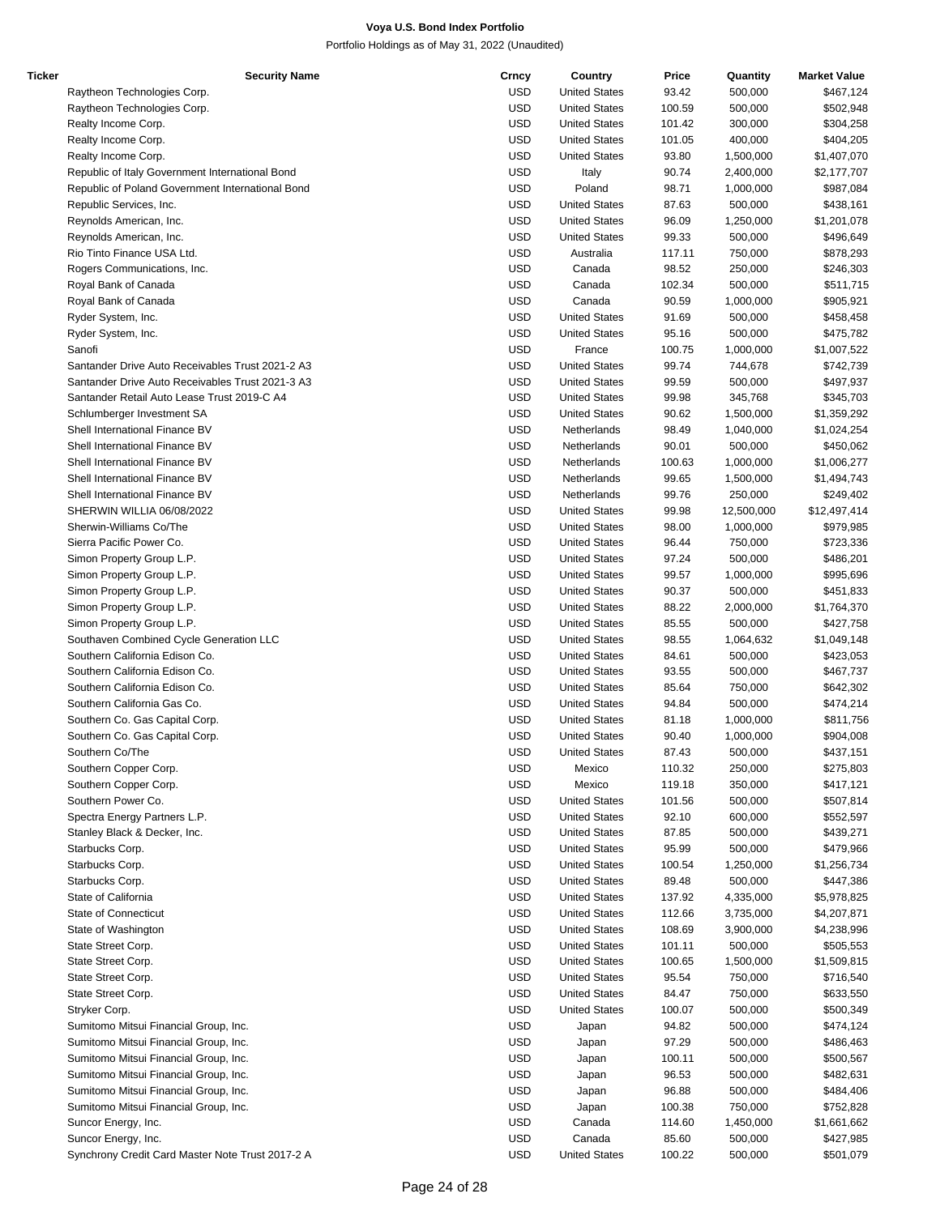| Ticker | <b>Security Name</b>                             | Crncy      | Country              | Price  | Quantity   | <b>Market Value</b> |
|--------|--------------------------------------------------|------------|----------------------|--------|------------|---------------------|
|        | Raytheon Technologies Corp.                      | <b>USD</b> | <b>United States</b> | 93.42  | 500,000    | \$467,124           |
|        | Raytheon Technologies Corp.                      | <b>USD</b> | <b>United States</b> | 100.59 | 500,000    | \$502,948           |
|        | Realty Income Corp.                              | <b>USD</b> | <b>United States</b> | 101.42 | 300,000    | \$304,258           |
|        | Realty Income Corp.                              | <b>USD</b> | <b>United States</b> | 101.05 | 400,000    | \$404,205           |
|        | Realty Income Corp.                              | <b>USD</b> | <b>United States</b> | 93.80  | 1,500,000  | \$1,407,070         |
|        | Republic of Italy Government International Bond  | <b>USD</b> | Italy                | 90.74  | 2,400,000  | \$2,177,707         |
|        | Republic of Poland Government International Bond | <b>USD</b> | Poland               | 98.71  | 1,000,000  | \$987,084           |
|        | Republic Services, Inc.                          | <b>USD</b> | <b>United States</b> | 87.63  | 500,000    | \$438,161           |
|        | Reynolds American, Inc.                          | <b>USD</b> | <b>United States</b> | 96.09  | 1,250,000  | \$1,201,078         |
|        | Reynolds American, Inc.                          | <b>USD</b> | <b>United States</b> | 99.33  | 500,000    | \$496,649           |
|        | Rio Tinto Finance USA Ltd.                       | <b>USD</b> | Australia            | 117.11 | 750,000    | \$878,293           |
|        |                                                  |            |                      |        |            |                     |
|        | Rogers Communications, Inc.                      | <b>USD</b> | Canada               | 98.52  | 250,000    | \$246,303           |
|        | Royal Bank of Canada                             | <b>USD</b> | Canada               | 102.34 | 500,000    | \$511,715           |
|        | Royal Bank of Canada                             | <b>USD</b> | Canada               | 90.59  | 1,000,000  | \$905,921           |
|        | Ryder System, Inc.                               | <b>USD</b> | <b>United States</b> | 91.69  | 500,000    | \$458,458           |
|        | Ryder System, Inc.                               | <b>USD</b> | <b>United States</b> | 95.16  | 500,000    | \$475,782           |
|        | Sanofi                                           | <b>USD</b> | France               | 100.75 | 1,000,000  | \$1,007,522         |
|        | Santander Drive Auto Receivables Trust 2021-2 A3 | <b>USD</b> | <b>United States</b> | 99.74  | 744,678    | \$742,739           |
|        | Santander Drive Auto Receivables Trust 2021-3 A3 | <b>USD</b> | <b>United States</b> | 99.59  | 500,000    | \$497,937           |
|        | Santander Retail Auto Lease Trust 2019-C A4      | <b>USD</b> | <b>United States</b> | 99.98  | 345,768    | \$345,703           |
|        | Schlumberger Investment SA                       | <b>USD</b> | <b>United States</b> | 90.62  | 1,500,000  | \$1,359,292         |
|        | Shell International Finance BV                   | <b>USD</b> | Netherlands          | 98.49  | 1,040,000  | \$1,024,254         |
|        | Shell International Finance BV                   | <b>USD</b> | Netherlands          | 90.01  | 500,000    | \$450,062           |
|        | Shell International Finance BV                   | <b>USD</b> | Netherlands          | 100.63 | 1,000,000  | \$1,006,277         |
|        | Shell International Finance BV                   | <b>USD</b> | Netherlands          | 99.65  | 1,500,000  | \$1,494,743         |
|        | Shell International Finance BV                   | <b>USD</b> | Netherlands          | 99.76  | 250,000    | \$249,402           |
|        | SHERWIN WILLIA 06/08/2022                        | <b>USD</b> | <b>United States</b> | 99.98  | 12,500,000 | \$12,497,414        |
|        | Sherwin-Williams Co/The                          | <b>USD</b> | <b>United States</b> | 98.00  | 1,000,000  | \$979,985           |
|        | Sierra Pacific Power Co.                         | <b>USD</b> | <b>United States</b> | 96.44  | 750,000    | \$723,336           |
|        |                                                  |            |                      |        |            |                     |
|        | Simon Property Group L.P.                        | <b>USD</b> | <b>United States</b> | 97.24  | 500,000    | \$486,201           |
|        | Simon Property Group L.P.                        | <b>USD</b> | <b>United States</b> | 99.57  | 1,000,000  | \$995,696           |
|        | Simon Property Group L.P.                        | <b>USD</b> | <b>United States</b> | 90.37  | 500,000    | \$451,833           |
|        | Simon Property Group L.P.                        | <b>USD</b> | <b>United States</b> | 88.22  | 2,000,000  | \$1,764,370         |
|        | Simon Property Group L.P.                        | <b>USD</b> | <b>United States</b> | 85.55  | 500,000    | \$427,758           |
|        | Southaven Combined Cycle Generation LLC          | <b>USD</b> | <b>United States</b> | 98.55  | 1,064,632  | \$1,049,148         |
|        | Southern California Edison Co.                   | <b>USD</b> | <b>United States</b> | 84.61  | 500,000    | \$423,053           |
|        | Southern California Edison Co.                   | <b>USD</b> | <b>United States</b> | 93.55  | 500,000    | \$467,737           |
|        | Southern California Edison Co.                   | <b>USD</b> | <b>United States</b> | 85.64  | 750,000    | \$642,302           |
|        | Southern California Gas Co.                      | <b>USD</b> | <b>United States</b> | 94.84  | 500,000    | \$474,214           |
|        | Southern Co. Gas Capital Corp.                   | <b>USD</b> | <b>United States</b> | 81.18  | 1,000,000  | \$811,756           |
|        | Southern Co. Gas Capital Corp.                   | <b>USD</b> | <b>United States</b> | 90.40  | 1,000,000  | \$904,008           |
|        | Southern Co/The                                  | <b>USD</b> | <b>United States</b> | 87.43  | 500,000    | \$437,151           |
|        | Southern Copper Corp.                            | <b>USD</b> | Mexico               | 110.32 | 250,000    | \$275,803           |
|        | Southern Copper Corp.                            | <b>USD</b> | Mexico               | 119.18 | 350,000    | \$417,121           |
|        | Southern Power Co.                               | <b>USD</b> | <b>United States</b> | 101.56 | 500,000    | \$507,814           |
|        | Spectra Energy Partners L.P.                     | <b>USD</b> | <b>United States</b> | 92.10  | 600,000    | \$552,597           |
|        | Stanley Black & Decker, Inc.                     | <b>USD</b> | <b>United States</b> | 87.85  | 500,000    | \$439,271           |
|        | Starbucks Corp.                                  | <b>USD</b> | <b>United States</b> | 95.99  | 500,000    | \$479,966           |
|        | Starbucks Corp.                                  | <b>USD</b> | <b>United States</b> | 100.54 | 1,250,000  | \$1,256,734         |
|        | Starbucks Corp.                                  | <b>USD</b> | <b>United States</b> | 89.48  | 500,000    | \$447,386           |
|        | State of California                              | <b>USD</b> | <b>United States</b> | 137.92 | 4,335,000  | \$5,978,825         |
|        |                                                  | <b>USD</b> | <b>United States</b> |        |            |                     |
|        | State of Connecticut                             |            |                      | 112.66 | 3,735,000  | \$4,207,871         |
|        | State of Washington                              | <b>USD</b> | <b>United States</b> | 108.69 | 3,900,000  | \$4,238,996         |
|        | State Street Corp.                               | <b>USD</b> | <b>United States</b> | 101.11 | 500,000    | \$505,553           |
|        | State Street Corp.                               | <b>USD</b> | <b>United States</b> | 100.65 | 1,500,000  | \$1,509,815         |
|        | State Street Corp.                               | <b>USD</b> | <b>United States</b> | 95.54  | 750,000    | \$716,540           |
|        | State Street Corp.                               | <b>USD</b> | <b>United States</b> | 84.47  | 750,000    | \$633,550           |
|        | Stryker Corp.                                    | <b>USD</b> | <b>United States</b> | 100.07 | 500,000    | \$500,349           |
|        | Sumitomo Mitsui Financial Group, Inc.            | <b>USD</b> | Japan                | 94.82  | 500,000    | \$474,124           |
|        | Sumitomo Mitsui Financial Group, Inc.            | <b>USD</b> | Japan                | 97.29  | 500,000    | \$486,463           |
|        | Sumitomo Mitsui Financial Group, Inc.            | <b>USD</b> | Japan                | 100.11 | 500,000    | \$500,567           |
|        | Sumitomo Mitsui Financial Group, Inc.            | <b>USD</b> | Japan                | 96.53  | 500,000    | \$482,631           |
|        | Sumitomo Mitsui Financial Group, Inc.            | <b>USD</b> | Japan                | 96.88  | 500,000    | \$484,406           |
|        | Sumitomo Mitsui Financial Group, Inc.            | <b>USD</b> | Japan                | 100.38 | 750,000    | \$752,828           |
|        | Suncor Energy, Inc.                              | <b>USD</b> | Canada               | 114.60 | 1,450,000  | \$1,661,662         |
|        | Suncor Energy, Inc.                              | <b>USD</b> | Canada               | 85.60  | 500,000    | \$427,985           |
|        | Synchrony Credit Card Master Note Trust 2017-2 A | USD        | <b>United States</b> | 100.22 | 500,000    | \$501,079           |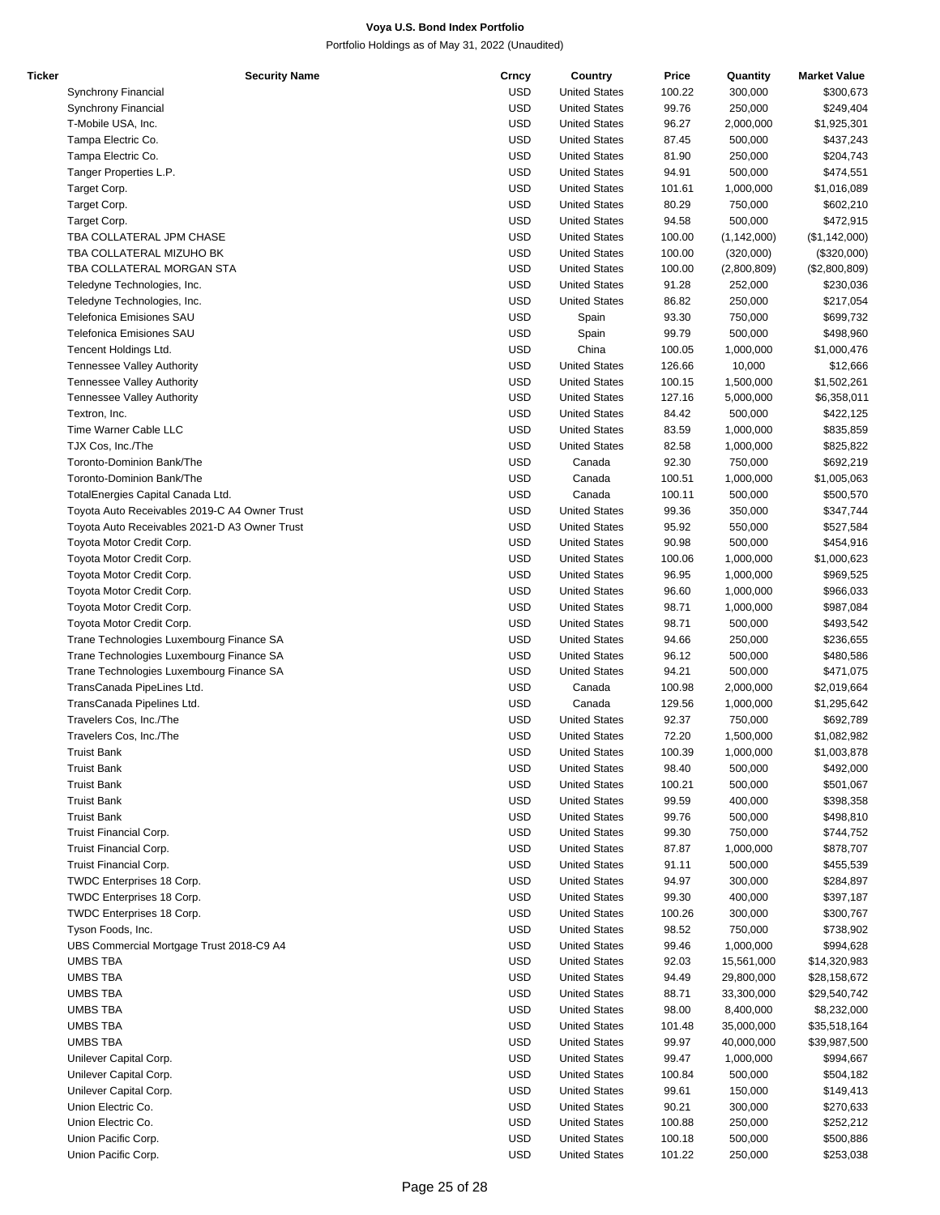| Ticker | <b>Security Name</b>                          | Crncy      | Country              | Price  | Quantity      | <b>Market Value</b> |
|--------|-----------------------------------------------|------------|----------------------|--------|---------------|---------------------|
|        | Synchrony Financial                           | <b>USD</b> | <b>United States</b> | 100.22 | 300,000       | \$300,673           |
|        | Synchrony Financial                           | <b>USD</b> | <b>United States</b> | 99.76  | 250,000       | \$249,404           |
|        | T-Mobile USA, Inc.                            | <b>USD</b> | <b>United States</b> | 96.27  | 2,000,000     | \$1,925,301         |
|        | Tampa Electric Co.                            | <b>USD</b> | <b>United States</b> | 87.45  | 500,000       | \$437,243           |
|        |                                               |            |                      |        |               |                     |
|        | Tampa Electric Co.                            | <b>USD</b> | <b>United States</b> | 81.90  | 250,000       | \$204,743           |
|        | Tanger Properties L.P.                        | <b>USD</b> | <b>United States</b> | 94.91  | 500,000       | \$474,551           |
|        | Target Corp.                                  | <b>USD</b> | <b>United States</b> | 101.61 | 1,000,000     | \$1,016,089         |
|        | Target Corp.                                  | <b>USD</b> | <b>United States</b> | 80.29  | 750,000       | \$602,210           |
|        | Target Corp.                                  | <b>USD</b> | <b>United States</b> | 94.58  | 500,000       | \$472,915           |
|        | TBA COLLATERAL JPM CHASE                      | <b>USD</b> | <b>United States</b> | 100.00 | (1, 142, 000) | (\$1,142,000)       |
|        | TBA COLLATERAL MIZUHO BK                      | <b>USD</b> | <b>United States</b> | 100.00 | (320,000)     | (\$320,000)         |
|        | TBA COLLATERAL MORGAN STA                     | <b>USD</b> | <b>United States</b> | 100.00 | (2,800,809)   | (\$2,800,809)       |
|        |                                               |            | <b>United States</b> |        |               |                     |
|        | Teledyne Technologies, Inc.                   | <b>USD</b> |                      | 91.28  | 252,000       | \$230,036           |
|        | Teledyne Technologies, Inc.                   | <b>USD</b> | <b>United States</b> | 86.82  | 250,000       | \$217,054           |
|        | Telefonica Emisiones SAU                      | <b>USD</b> | Spain                | 93.30  | 750,000       | \$699,732           |
|        | Telefonica Emisiones SAU                      | <b>USD</b> | Spain                | 99.79  | 500,000       | \$498,960           |
|        | Tencent Holdings Ltd.                         | <b>USD</b> | China                | 100.05 | 1,000,000     | \$1,000,476         |
|        | <b>Tennessee Valley Authority</b>             | <b>USD</b> | <b>United States</b> | 126.66 | 10,000        | \$12,666            |
|        | Tennessee Valley Authority                    | <b>USD</b> | <b>United States</b> | 100.15 | 1,500,000     | \$1,502,261         |
|        | <b>Tennessee Valley Authority</b>             | <b>USD</b> | <b>United States</b> | 127.16 | 5,000,000     | \$6,358,011         |
|        | Textron, Inc.                                 | <b>USD</b> | <b>United States</b> | 84.42  | 500,000       | \$422,125           |
|        |                                               |            |                      |        |               |                     |
|        | Time Warner Cable LLC                         | <b>USD</b> | <b>United States</b> | 83.59  | 1,000,000     | \$835,859           |
|        | TJX Cos, Inc./The                             | <b>USD</b> | <b>United States</b> | 82.58  | 1,000,000     | \$825,822           |
|        | Toronto-Dominion Bank/The                     | <b>USD</b> | Canada               | 92.30  | 750,000       | \$692,219           |
|        | Toronto-Dominion Bank/The                     | <b>USD</b> | Canada               | 100.51 | 1,000,000     | \$1,005,063         |
|        | TotalEnergies Capital Canada Ltd.             | <b>USD</b> | Canada               | 100.11 | 500,000       | \$500,570           |
|        | Toyota Auto Receivables 2019-C A4 Owner Trust | <b>USD</b> | <b>United States</b> | 99.36  | 350,000       | \$347,744           |
|        | Toyota Auto Receivables 2021-D A3 Owner Trust | <b>USD</b> | <b>United States</b> | 95.92  | 550,000       | \$527,584           |
|        | Toyota Motor Credit Corp.                     | <b>USD</b> | <b>United States</b> | 90.98  | 500,000       | \$454,916           |
|        |                                               |            |                      |        |               |                     |
|        | Toyota Motor Credit Corp.                     | <b>USD</b> | <b>United States</b> | 100.06 | 1,000,000     | \$1,000,623         |
|        | Toyota Motor Credit Corp.                     | <b>USD</b> | <b>United States</b> | 96.95  | 1,000,000     | \$969,525           |
|        | Toyota Motor Credit Corp.                     | <b>USD</b> | <b>United States</b> | 96.60  | 1,000,000     | \$966,033           |
|        | Toyota Motor Credit Corp.                     | <b>USD</b> | <b>United States</b> | 98.71  | 1,000,000     | \$987,084           |
|        | Toyota Motor Credit Corp.                     | <b>USD</b> | <b>United States</b> | 98.71  | 500,000       | \$493,542           |
|        | Trane Technologies Luxembourg Finance SA      | <b>USD</b> | <b>United States</b> | 94.66  | 250,000       | \$236,655           |
|        | Trane Technologies Luxembourg Finance SA      | <b>USD</b> | <b>United States</b> | 96.12  | 500,000       | \$480,586           |
|        | Trane Technologies Luxembourg Finance SA      | <b>USD</b> | <b>United States</b> | 94.21  | 500,000       | \$471,075           |
|        |                                               | <b>USD</b> | Canada               | 100.98 | 2,000,000     |                     |
|        | TransCanada PipeLines Ltd.                    |            |                      |        |               | \$2,019,664         |
|        | TransCanada Pipelines Ltd.                    | <b>USD</b> | Canada               | 129.56 | 1,000,000     | \$1,295,642         |
|        | Travelers Cos, Inc./The                       | <b>USD</b> | <b>United States</b> | 92.37  | 750,000       | \$692,789           |
|        | Travelers Cos, Inc./The                       | <b>USD</b> | <b>United States</b> | 72.20  | 1,500,000     | \$1,082,982         |
|        | <b>Truist Bank</b>                            | <b>USD</b> | <b>United States</b> | 100.39 | 1.000.000     | \$1,003,878         |
|        | <b>Truist Bank</b>                            | <b>USD</b> | <b>United States</b> | 98.40  | 500,000       | \$492,000           |
|        | <b>Truist Bank</b>                            | <b>USD</b> | <b>United States</b> | 100.21 | 500,000       | \$501,067           |
|        | <b>Truist Bank</b>                            | <b>USD</b> | <b>United States</b> | 99.59  | 400,000       | \$398,358           |
|        | <b>Truist Bank</b>                            | <b>USD</b> | <b>United States</b> | 99.76  | 500,000       | \$498,810           |
|        |                                               |            |                      |        |               |                     |
|        | Truist Financial Corp.                        | <b>USD</b> | <b>United States</b> | 99.30  | 750,000       | \$744,752           |
|        | Truist Financial Corp.                        | <b>USD</b> | <b>United States</b> | 87.87  | 1,000,000     | \$878,707           |
|        | <b>Truist Financial Corp.</b>                 | <b>USD</b> | <b>United States</b> | 91.11  | 500,000       | \$455,539           |
|        | TWDC Enterprises 18 Corp.                     | <b>USD</b> | <b>United States</b> | 94.97  | 300,000       | \$284,897           |
|        | TWDC Enterprises 18 Corp.                     | <b>USD</b> | <b>United States</b> | 99.30  | 400,000       | \$397,187           |
|        | TWDC Enterprises 18 Corp.                     | <b>USD</b> | <b>United States</b> | 100.26 | 300,000       | \$300,767           |
|        | Tyson Foods, Inc.                             | <b>USD</b> | <b>United States</b> | 98.52  | 750,000       | \$738,902           |
|        | UBS Commercial Mortgage Trust 2018-C9 A4      | <b>USD</b> | <b>United States</b> | 99.46  | 1,000,000     | \$994,628           |
|        |                                               | <b>USD</b> |                      |        |               |                     |
|        | UMBS TBA                                      |            | <b>United States</b> | 92.03  | 15,561,000    | \$14,320,983        |
|        | <b>UMBS TBA</b>                               | <b>USD</b> | <b>United States</b> | 94.49  | 29,800,000    | \$28,158,672        |
|        | UMBS TBA                                      | <b>USD</b> | <b>United States</b> | 88.71  | 33,300,000    | \$29,540,742        |
|        | UMBS TBA                                      | <b>USD</b> | <b>United States</b> | 98.00  | 8,400,000     | \$8,232,000         |
|        | UMBS TBA                                      | <b>USD</b> | <b>United States</b> | 101.48 | 35,000,000    | \$35,518,164        |
|        | <b>UMBS TBA</b>                               | <b>USD</b> | <b>United States</b> | 99.97  | 40,000,000    | \$39,987,500        |
|        | Unilever Capital Corp.                        | USD        | <b>United States</b> | 99.47  | 1,000,000     | \$994,667           |
|        | Unilever Capital Corp.                        | USD        | <b>United States</b> | 100.84 | 500,000       | \$504,182           |
|        |                                               |            |                      |        |               |                     |
|        | Unilever Capital Corp.                        | <b>USD</b> | <b>United States</b> | 99.61  | 150,000       | \$149,413           |
|        | Union Electric Co.                            | <b>USD</b> | <b>United States</b> | 90.21  | 300,000       | \$270,633           |
|        | Union Electric Co.                            | USD        | <b>United States</b> | 100.88 | 250,000       | \$252,212           |
|        | Union Pacific Corp.                           | <b>USD</b> | <b>United States</b> | 100.18 | 500,000       | \$500,886           |
|        | Union Pacific Corp.                           | <b>USD</b> | <b>United States</b> | 101.22 | 250,000       | \$253,038           |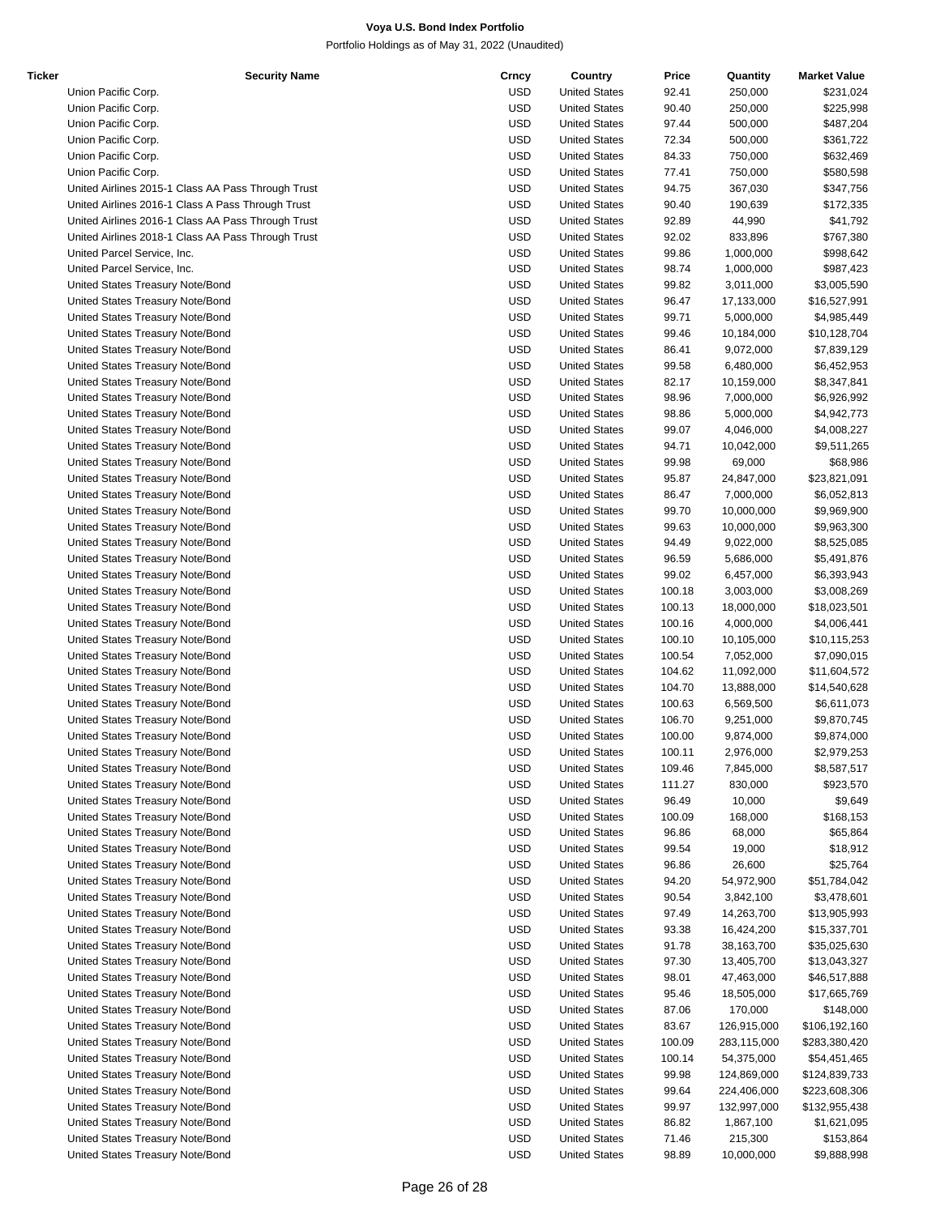| Ticker | <b>Security Name</b>                               | Crncy      | Country              | Price  | Quantity    | <b>Market Value</b> |
|--------|----------------------------------------------------|------------|----------------------|--------|-------------|---------------------|
|        | Union Pacific Corp.                                | <b>USD</b> | <b>United States</b> | 92.41  | 250,000     | \$231,024           |
|        | Union Pacific Corp.                                | <b>USD</b> | <b>United States</b> | 90.40  | 250,000     | \$225,998           |
|        | Union Pacific Corp.                                | <b>USD</b> | <b>United States</b> | 97.44  | 500,000     | \$487,204           |
|        |                                                    |            |                      |        |             |                     |
|        | Union Pacific Corp.                                | <b>USD</b> | <b>United States</b> | 72.34  | 500,000     | \$361,722           |
|        | Union Pacific Corp.                                | <b>USD</b> | <b>United States</b> | 84.33  | 750,000     | \$632,469           |
|        | Union Pacific Corp.                                | <b>USD</b> | <b>United States</b> | 77.41  | 750,000     | \$580,598           |
|        | United Airlines 2015-1 Class AA Pass Through Trust | <b>USD</b> | <b>United States</b> | 94.75  | 367,030     | \$347,756           |
|        | United Airlines 2016-1 Class A Pass Through Trust  | <b>USD</b> | <b>United States</b> | 90.40  | 190,639     | \$172,335           |
|        | United Airlines 2016-1 Class AA Pass Through Trust | <b>USD</b> | <b>United States</b> | 92.89  | 44,990      | \$41,792            |
|        | United Airlines 2018-1 Class AA Pass Through Trust | <b>USD</b> | <b>United States</b> | 92.02  | 833,896     | \$767,380           |
|        |                                                    |            |                      |        |             |                     |
|        | United Parcel Service, Inc.                        | <b>USD</b> | <b>United States</b> | 99.86  | 1,000,000   | \$998,642           |
|        | United Parcel Service, Inc.                        | <b>USD</b> | <b>United States</b> | 98.74  | 1,000,000   | \$987,423           |
|        | United States Treasury Note/Bond                   | <b>USD</b> | <b>United States</b> | 99.82  | 3,011,000   | \$3,005,590         |
|        | United States Treasury Note/Bond                   | <b>USD</b> | <b>United States</b> | 96.47  | 17,133,000  | \$16,527,991        |
|        | United States Treasury Note/Bond                   | <b>USD</b> | <b>United States</b> | 99.71  | 5,000,000   | \$4,985,449         |
|        | United States Treasury Note/Bond                   | <b>USD</b> | <b>United States</b> | 99.46  |             | \$10,128,704        |
|        |                                                    |            |                      |        | 10,184,000  |                     |
|        | United States Treasury Note/Bond                   | <b>USD</b> | <b>United States</b> | 86.41  | 9,072,000   | \$7,839,129         |
|        | United States Treasury Note/Bond                   | <b>USD</b> | <b>United States</b> | 99.58  | 6,480,000   | \$6,452,953         |
|        | United States Treasury Note/Bond                   | <b>USD</b> | <b>United States</b> | 82.17  | 10,159,000  | \$8,347,841         |
|        | United States Treasury Note/Bond                   | <b>USD</b> | <b>United States</b> | 98.96  | 7,000,000   | \$6,926,992         |
|        | United States Treasury Note/Bond                   | <b>USD</b> | <b>United States</b> | 98.86  | 5,000,000   | \$4,942,773         |
|        | United States Treasury Note/Bond                   | <b>USD</b> | <b>United States</b> | 99.07  |             |                     |
|        |                                                    |            |                      |        | 4,046,000   | \$4,008,227         |
|        | United States Treasury Note/Bond                   | <b>USD</b> | <b>United States</b> | 94.71  | 10,042,000  | \$9,511,265         |
|        | United States Treasury Note/Bond                   | <b>USD</b> | <b>United States</b> | 99.98  | 69,000      | \$68,986            |
|        | United States Treasury Note/Bond                   | <b>USD</b> | <b>United States</b> | 95.87  | 24,847,000  | \$23,821,091        |
|        | United States Treasury Note/Bond                   | <b>USD</b> | <b>United States</b> | 86.47  | 7,000,000   | \$6,052,813         |
|        | United States Treasury Note/Bond                   | <b>USD</b> | <b>United States</b> | 99.70  | 10,000,000  | \$9,969,900         |
|        |                                                    |            |                      |        |             |                     |
|        | United States Treasury Note/Bond                   | <b>USD</b> | <b>United States</b> | 99.63  | 10,000,000  | \$9,963,300         |
|        | United States Treasury Note/Bond                   | <b>USD</b> | <b>United States</b> | 94.49  | 9,022,000   | \$8,525,085         |
|        | United States Treasury Note/Bond                   | <b>USD</b> | <b>United States</b> | 96.59  | 5,686,000   | \$5,491,876         |
|        | United States Treasury Note/Bond                   | <b>USD</b> | <b>United States</b> | 99.02  | 6,457,000   | \$6,393,943         |
|        | United States Treasury Note/Bond                   | <b>USD</b> | <b>United States</b> | 100.18 | 3,003,000   | \$3,008,269         |
|        |                                                    |            |                      |        |             |                     |
|        | United States Treasury Note/Bond                   | <b>USD</b> | <b>United States</b> | 100.13 | 18,000,000  | \$18,023,501        |
|        | United States Treasury Note/Bond                   | <b>USD</b> | <b>United States</b> | 100.16 | 4,000,000   | \$4,006,441         |
|        | United States Treasury Note/Bond                   | <b>USD</b> | <b>United States</b> | 100.10 | 10,105,000  | \$10,115,253        |
|        | United States Treasury Note/Bond                   | <b>USD</b> | <b>United States</b> | 100.54 | 7,052,000   | \$7,090,015         |
|        | United States Treasury Note/Bond                   | <b>USD</b> | <b>United States</b> | 104.62 | 11,092,000  | \$11,604,572        |
|        |                                                    |            |                      |        |             |                     |
|        | United States Treasury Note/Bond                   | <b>USD</b> | <b>United States</b> | 104.70 | 13,888,000  | \$14,540,628        |
|        | United States Treasury Note/Bond                   | <b>USD</b> | <b>United States</b> | 100.63 | 6,569,500   | \$6,611,073         |
|        | United States Treasury Note/Bond                   | <b>USD</b> | <b>United States</b> | 106.70 | 9,251,000   | \$9,870,745         |
|        | United States Treasury Note/Bond                   | <b>USD</b> | <b>United States</b> | 100.00 | 9,874,000   | \$9,874,000         |
|        | United States Treasury Note/Bond                   | <b>USD</b> | <b>United States</b> | 100.11 | 2,976,000   | \$2,979,253         |
|        | United States Treasury Note/Bond                   | <b>USD</b> | <b>United States</b> | 109.46 |             |                     |
|        |                                                    |            |                      |        | 7,845,000   | \$8,587,517         |
|        | United States Treasury Note/Bond                   | <b>USD</b> | <b>United States</b> | 111.27 | 830,000     | \$923,570           |
|        | United States Treasury Note/Bond                   | USD        | <b>United States</b> | 96.49  | 10,000      | \$9,649             |
|        | United States Treasury Note/Bond                   | <b>USD</b> | <b>United States</b> | 100.09 | 168,000     | \$168,153           |
|        | United States Treasury Note/Bond                   | <b>USD</b> | <b>United States</b> | 96.86  | 68,000      | \$65,864            |
|        | United States Treasury Note/Bond                   | USD        | <b>United States</b> | 99.54  | 19,000      | \$18,912            |
|        |                                                    |            |                      |        |             |                     |
|        | United States Treasury Note/Bond                   | USD        | <b>United States</b> | 96.86  | 26,600      | \$25,764            |
|        | United States Treasury Note/Bond                   | <b>USD</b> | <b>United States</b> | 94.20  | 54,972,900  | \$51,784,042        |
|        | United States Treasury Note/Bond                   | <b>USD</b> | <b>United States</b> | 90.54  | 3,842,100   | \$3,478,601         |
|        | United States Treasury Note/Bond                   | <b>USD</b> | <b>United States</b> | 97.49  | 14,263,700  | \$13,905,993        |
|        | United States Treasury Note/Bond                   | USD        | <b>United States</b> | 93.38  | 16,424,200  | \$15,337,701        |
|        |                                                    |            |                      |        |             |                     |
|        | United States Treasury Note/Bond                   | USD        | <b>United States</b> | 91.78  | 38,163,700  | \$35,025,630        |
|        | United States Treasury Note/Bond                   | <b>USD</b> | <b>United States</b> | 97.30  | 13,405,700  | \$13,043,327        |
|        | United States Treasury Note/Bond                   | USD        | <b>United States</b> | 98.01  | 47,463,000  | \$46,517,888        |
|        | United States Treasury Note/Bond                   | USD        | <b>United States</b> | 95.46  | 18,505,000  | \$17,665,769        |
|        | United States Treasury Note/Bond                   | <b>USD</b> | <b>United States</b> | 87.06  | 170,000     | \$148,000           |
|        | United States Treasury Note/Bond                   | <b>USD</b> | <b>United States</b> | 83.67  |             |                     |
|        |                                                    |            |                      |        | 126,915,000 | \$106,192,160       |
|        | United States Treasury Note/Bond                   | USD        | <b>United States</b> | 100.09 | 283,115,000 | \$283,380,420       |
|        | United States Treasury Note/Bond                   | USD        | <b>United States</b> | 100.14 | 54,375,000  | \$54,451,465        |
|        | United States Treasury Note/Bond                   | USD        | <b>United States</b> | 99.98  | 124,869,000 | \$124,839,733       |
|        | United States Treasury Note/Bond                   | <b>USD</b> | <b>United States</b> | 99.64  | 224,406,000 | \$223,608,306       |
|        | United States Treasury Note/Bond                   | USD        | <b>United States</b> | 99.97  | 132,997,000 | \$132,955,438       |
|        |                                                    |            |                      |        |             |                     |
|        | United States Treasury Note/Bond                   | USD        | <b>United States</b> | 86.82  | 1,867,100   | \$1,621,095         |
|        | United States Treasury Note/Bond                   | <b>USD</b> | <b>United States</b> | 71.46  | 215,300     | \$153,864           |
|        | United States Treasury Note/Bond                   | <b>USD</b> | <b>United States</b> | 98.89  | 10,000,000  | \$9,888,998         |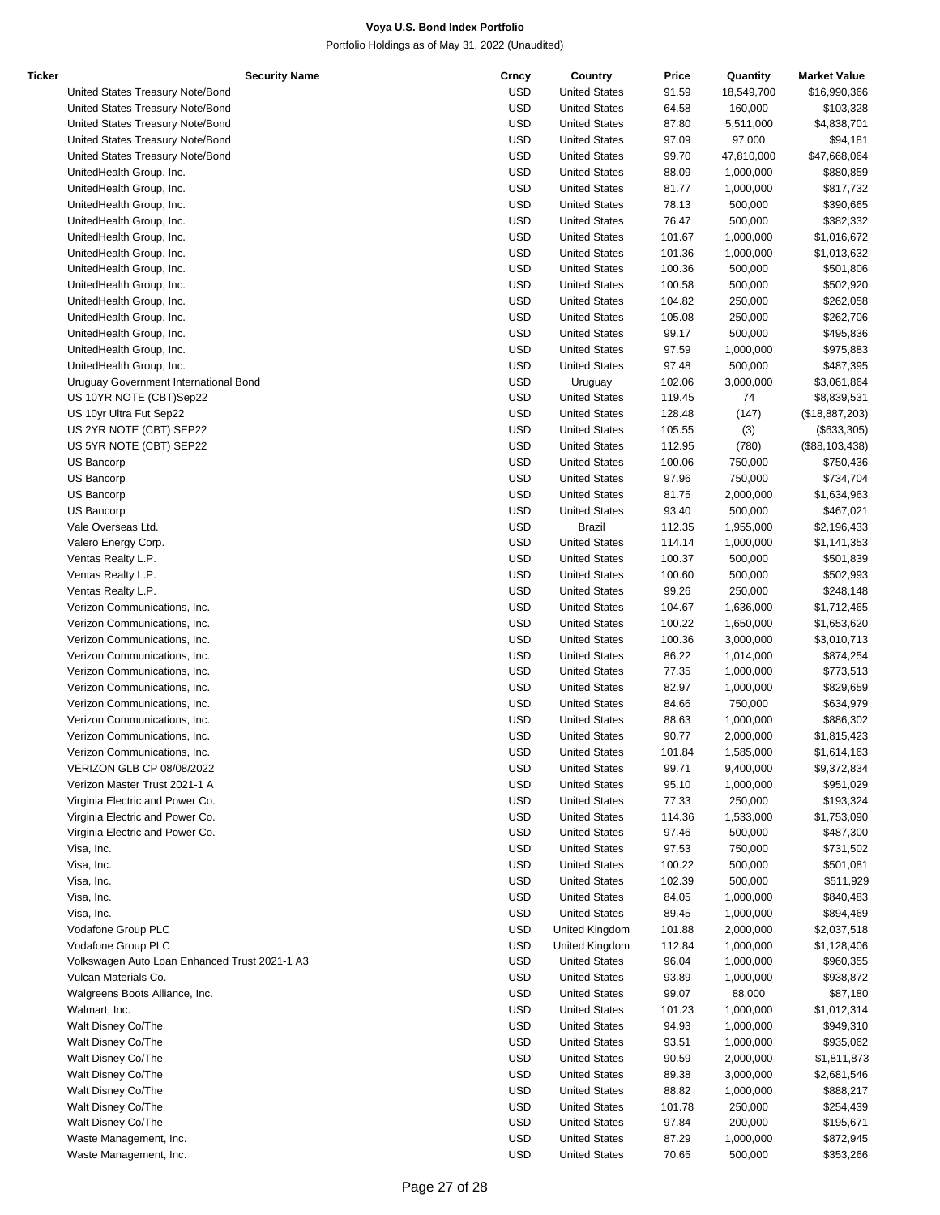| Ticker | <b>Security Name</b>                          | Crncy      | Country              | Price  | Quantity   | <b>Market Value</b> |
|--------|-----------------------------------------------|------------|----------------------|--------|------------|---------------------|
|        | United States Treasury Note/Bond              | <b>USD</b> | <b>United States</b> | 91.59  | 18,549,700 | \$16,990,366        |
|        | United States Treasury Note/Bond              | <b>USD</b> | <b>United States</b> | 64.58  | 160,000    | \$103,328           |
|        | United States Treasury Note/Bond              | <b>USD</b> | <b>United States</b> | 87.80  | 5,511,000  | \$4,838,701         |
|        | United States Treasury Note/Bond              | <b>USD</b> | <b>United States</b> | 97.09  | 97,000     | \$94,181            |
|        | United States Treasury Note/Bond              | <b>USD</b> | <b>United States</b> | 99.70  | 47,810,000 | \$47,668,064        |
|        | UnitedHealth Group, Inc.                      | <b>USD</b> | <b>United States</b> | 88.09  | 1,000,000  | \$880,859           |
|        | UnitedHealth Group, Inc.                      | <b>USD</b> | <b>United States</b> | 81.77  | 1,000,000  | \$817,732           |
|        | UnitedHealth Group, Inc.                      | <b>USD</b> | <b>United States</b> | 78.13  | 500,000    | \$390,665           |
|        | UnitedHealth Group, Inc.                      | <b>USD</b> | <b>United States</b> | 76.47  | 500,000    | \$382,332           |
|        | UnitedHealth Group, Inc.                      | <b>USD</b> | <b>United States</b> | 101.67 | 1,000,000  | \$1,016,672         |
|        | UnitedHealth Group, Inc.                      | <b>USD</b> | <b>United States</b> | 101.36 | 1,000,000  | \$1,013,632         |
|        |                                               | <b>USD</b> |                      |        |            |                     |
|        | UnitedHealth Group, Inc.                      |            | <b>United States</b> | 100.36 | 500,000    | \$501,806           |
|        | UnitedHealth Group, Inc.                      | <b>USD</b> | <b>United States</b> | 100.58 | 500,000    | \$502,920           |
|        | UnitedHealth Group, Inc.                      | <b>USD</b> | <b>United States</b> | 104.82 | 250,000    | \$262,058           |
|        | UnitedHealth Group, Inc.                      | <b>USD</b> | <b>United States</b> | 105.08 | 250,000    | \$262,706           |
|        | UnitedHealth Group, Inc.                      | <b>USD</b> | <b>United States</b> | 99.17  | 500,000    | \$495,836           |
|        | UnitedHealth Group, Inc.                      | <b>USD</b> | <b>United States</b> | 97.59  | 1,000,000  | \$975,883           |
|        | UnitedHealth Group, Inc.                      | <b>USD</b> | <b>United States</b> | 97.48  | 500,000    | \$487,395           |
|        | Uruguay Government International Bond         | <b>USD</b> | Uruguay              | 102.06 | 3,000,000  | \$3,061,864         |
|        | US 10YR NOTE (CBT)Sep22                       | <b>USD</b> | <b>United States</b> | 119.45 | 74         | \$8,839,531         |
|        | US 10yr Ultra Fut Sep22                       | <b>USD</b> | <b>United States</b> | 128.48 | (147)      | (\$18,887,203)      |
|        | US 2YR NOTE (CBT) SEP22                       | <b>USD</b> | <b>United States</b> | 105.55 | (3)        | (\$633,305)         |
|        | US 5YR NOTE (CBT) SEP22                       | <b>USD</b> | <b>United States</b> | 112.95 | (780)      | (\$88,103,438)      |
|        | US Bancorp                                    | <b>USD</b> | <b>United States</b> | 100.06 | 750,000    | \$750,436           |
|        | <b>US Bancorp</b>                             | <b>USD</b> | <b>United States</b> | 97.96  | 750,000    | \$734,704           |
|        | US Bancorp                                    | <b>USD</b> | <b>United States</b> | 81.75  | 2,000,000  | \$1,634,963         |
|        | US Bancorp                                    | <b>USD</b> | <b>United States</b> | 93.40  | 500,000    | \$467,021           |
|        | Vale Overseas Ltd.                            | <b>USD</b> | <b>Brazil</b>        | 112.35 | 1,955,000  | \$2,196,433         |
|        | Valero Energy Corp.                           | <b>USD</b> | <b>United States</b> | 114.14 | 1,000,000  | \$1,141,353         |
|        | Ventas Realty L.P.                            | <b>USD</b> | <b>United States</b> | 100.37 | 500,000    | \$501,839           |
|        | Ventas Realty L.P.                            | <b>USD</b> | <b>United States</b> | 100.60 | 500,000    | \$502,993           |
|        | Ventas Realty L.P.                            | <b>USD</b> | <b>United States</b> | 99.26  | 250,000    | \$248,148           |
|        | Verizon Communications, Inc.                  | <b>USD</b> | <b>United States</b> | 104.67 | 1,636,000  | \$1,712,465         |
|        | Verizon Communications, Inc.                  | <b>USD</b> | <b>United States</b> | 100.22 | 1,650,000  | \$1,653,620         |
|        | Verizon Communications, Inc.                  | <b>USD</b> | <b>United States</b> | 100.36 | 3,000,000  | \$3,010,713         |
|        |                                               | <b>USD</b> |                      |        |            |                     |
|        | Verizon Communications, Inc.                  |            | <b>United States</b> | 86.22  | 1,014,000  | \$874,254           |
|        | Verizon Communications, Inc.                  | <b>USD</b> | <b>United States</b> | 77.35  | 1,000,000  | \$773,513           |
|        | Verizon Communications, Inc.                  | <b>USD</b> | <b>United States</b> | 82.97  | 1,000,000  | \$829,659           |
|        | Verizon Communications, Inc.                  | <b>USD</b> | <b>United States</b> | 84.66  | 750,000    | \$634,979           |
|        | Verizon Communications, Inc.                  | <b>USD</b> | <b>United States</b> | 88.63  | 1,000,000  | \$886,302           |
|        | Verizon Communications, Inc.                  | <b>USD</b> | <b>United States</b> | 90.77  | 2,000,000  | \$1,815,423         |
|        | Verizon Communications, Inc.                  | <b>USD</b> | <b>United States</b> | 101.84 | 1,585,000  | \$1,614,163         |
|        | VERIZON GLB CP 08/08/2022                     | <b>USD</b> | <b>United States</b> | 99.71  | 9,400,000  | \$9,372,834         |
|        | Verizon Master Trust 2021-1 A                 | <b>USD</b> | <b>United States</b> | 95.10  | 1,000,000  | \$951,029           |
|        | Virginia Electric and Power Co.               | <b>USD</b> | <b>United States</b> | 77.33  | 250,000    | \$193,324           |
|        | Virginia Electric and Power Co.               | <b>USD</b> | <b>United States</b> | 114.36 | 1,533,000  | \$1,753,090         |
|        | Virginia Electric and Power Co.               | <b>USD</b> | <b>United States</b> | 97.46  | 500,000    | \$487,300           |
|        | Visa, Inc.                                    | <b>USD</b> | <b>United States</b> | 97.53  | 750,000    | \$731,502           |
|        | Visa, Inc.                                    | <b>USD</b> | <b>United States</b> | 100.22 | 500,000    | \$501,081           |
|        | Visa, Inc.                                    | <b>USD</b> | <b>United States</b> | 102.39 | 500,000    | \$511,929           |
|        | Visa, Inc.                                    | <b>USD</b> | <b>United States</b> | 84.05  | 1,000,000  | \$840,483           |
|        | Visa, Inc.                                    | <b>USD</b> | <b>United States</b> | 89.45  | 1,000,000  | \$894,469           |
|        | Vodafone Group PLC                            | <b>USD</b> | United Kingdom       | 101.88 | 2,000,000  | \$2,037,518         |
|        | Vodafone Group PLC                            | <b>USD</b> | United Kingdom       | 112.84 | 1,000,000  | \$1,128,406         |
|        | Volkswagen Auto Loan Enhanced Trust 2021-1 A3 | <b>USD</b> | <b>United States</b> | 96.04  | 1,000,000  | \$960,355           |
|        | Vulcan Materials Co.                          | <b>USD</b> | <b>United States</b> | 93.89  | 1,000,000  | \$938,872           |
|        | Walgreens Boots Alliance, Inc.                | <b>USD</b> | <b>United States</b> | 99.07  | 88,000     | \$87,180            |
|        | Walmart, Inc.                                 | <b>USD</b> | <b>United States</b> | 101.23 | 1,000,000  | \$1,012,314         |
|        | Walt Disney Co/The                            | <b>USD</b> | <b>United States</b> | 94.93  | 1,000,000  | \$949,310           |
|        | Walt Disney Co/The                            | <b>USD</b> | <b>United States</b> | 93.51  | 1,000,000  | \$935,062           |
|        |                                               |            |                      |        |            |                     |
|        | Walt Disney Co/The                            | <b>USD</b> | <b>United States</b> | 90.59  | 2,000,000  | \$1,811,873         |
|        | Walt Disney Co/The                            | <b>USD</b> | <b>United States</b> | 89.38  | 3,000,000  | \$2,681,546         |
|        | Walt Disney Co/The                            | <b>USD</b> | <b>United States</b> | 88.82  | 1,000,000  | \$888,217           |
|        | Walt Disney Co/The                            | <b>USD</b> | <b>United States</b> | 101.78 | 250,000    | \$254,439           |
|        | Walt Disney Co/The                            | <b>USD</b> | <b>United States</b> | 97.84  | 200,000    | \$195,671           |
|        | Waste Management, Inc.                        | <b>USD</b> | <b>United States</b> | 87.29  | 1,000,000  | \$872,945           |
|        | Waste Management, Inc.                        | <b>USD</b> | <b>United States</b> | 70.65  | 500,000    | \$353,266           |